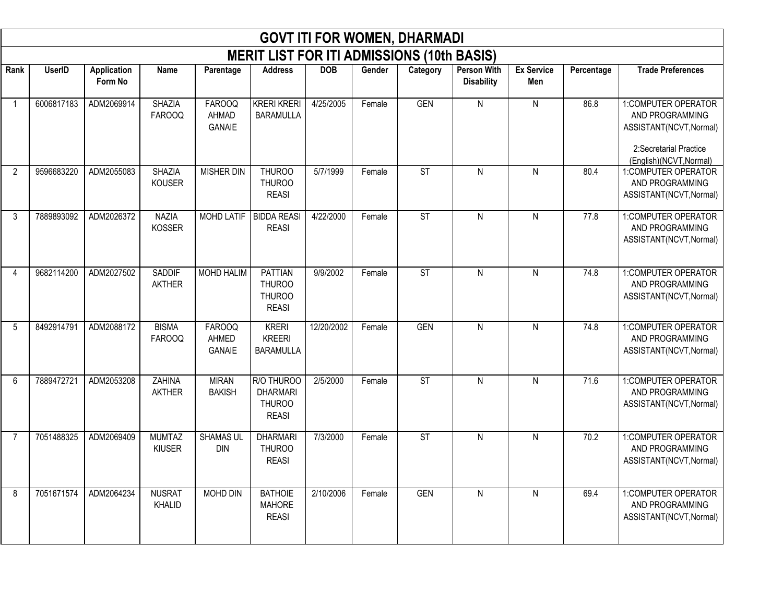|              | <b>GOVT ITI FOR WOMEN, DHARMADI</b><br><b>MERIT LIST FOR ITI ADMISSIONS (10th BASIS)</b> |                               |                                |                                         |                                                                  |            |        |                        |                                         |                          |            |                                                                                                                        |  |  |
|--------------|------------------------------------------------------------------------------------------|-------------------------------|--------------------------------|-----------------------------------------|------------------------------------------------------------------|------------|--------|------------------------|-----------------------------------------|--------------------------|------------|------------------------------------------------------------------------------------------------------------------------|--|--|
|              |                                                                                          |                               |                                |                                         |                                                                  |            |        |                        |                                         |                          |            |                                                                                                                        |  |  |
| Rank         | <b>UserID</b>                                                                            | <b>Application</b><br>Form No | Name                           | Parentage                               | <b>Address</b>                                                   | <b>DOB</b> | Gender | Category               | <b>Person With</b><br><b>Disability</b> | <b>Ex Service</b><br>Men | Percentage | <b>Trade Preferences</b>                                                                                               |  |  |
| $\mathbf{1}$ | 6006817183                                                                               | ADM2069914                    | <b>SHAZIA</b><br><b>FAROOQ</b> | <b>FAROOQ</b><br>AHMAD<br><b>GANAIE</b> | <b>KRERI KRERI</b><br><b>BARAMULLA</b>                           | 4/25/2005  | Female | <b>GEN</b>             | N                                       | N                        | 86.8       | 1:COMPUTER OPERATOR<br>AND PROGRAMMING<br>ASSISTANT(NCVT, Normal)<br>2:Secretarial Practice<br>(English)(NCVT, Normal) |  |  |
| 2            | 9596683220                                                                               | ADM2055083                    | <b>SHAZIA</b><br><b>KOUSER</b> | <b>MISHER DIN</b>                       | <b>THUROO</b><br><b>THUROO</b><br><b>REASI</b>                   | 5/7/1999   | Female | $\overline{\text{ST}}$ | N                                       | ${\sf N}$                | 80.4       | 1:COMPUTER OPERATOR<br>AND PROGRAMMING<br>ASSISTANT(NCVT, Normal)                                                      |  |  |
| 3            | 7889893092                                                                               | ADM2026372                    | <b>NAZIA</b><br><b>KOSSER</b>  | <b>MOHD LATIF</b>                       | <b>BIDDA REASI</b><br><b>REASI</b>                               | 4/22/2000  | Female | ST                     | N                                       | N                        | 77.8       | 1:COMPUTER OPERATOR<br>AND PROGRAMMING<br>ASSISTANT(NCVT, Normal)                                                      |  |  |
| 4            | 9682114200                                                                               | ADM2027502                    | SADDIF<br><b>AKTHER</b>        | MOHD HALIM                              | <b>PATTIAN</b><br><b>THUROO</b><br><b>THUROO</b><br><b>REASI</b> | 9/9/2002   | Female | $\overline{\text{ST}}$ | N                                       | ${\sf N}$                | 74.8       | 1:COMPUTER OPERATOR<br>AND PROGRAMMING<br>ASSISTANT(NCVT, Normal)                                                      |  |  |
| 5            | 8492914791                                                                               | ADM2088172                    | <b>BISMA</b><br><b>FAROOQ</b>  | <b>FAROOQ</b><br>AHMED<br><b>GANAIE</b> | <b>KRERI</b><br><b>KREERI</b><br><b>BARAMULLA</b>                | 12/20/2002 | Female | <b>GEN</b>             | N                                       | ${\sf N}$                | 74.8       | 1:COMPUTER OPERATOR<br>AND PROGRAMMING<br>ASSISTANT(NCVT, Normal)                                                      |  |  |
| 6            | 7889472721                                                                               | ADM2053208                    | <b>ZAHINA</b><br><b>AKTHER</b> | <b>MIRAN</b><br><b>BAKISH</b>           | R/O THUROO<br><b>DHARMARI</b><br><b>THUROO</b><br><b>REASI</b>   | 2/5/2000   | Female | <b>ST</b>              | N                                       | N                        | 71.6       | 1:COMPUTER OPERATOR<br>AND PROGRAMMING<br>ASSISTANT(NCVT, Normal)                                                      |  |  |
| 7            | 7051488325                                                                               | ADM2069409                    | <b>MUMTAZ</b><br>KIUSER        | <b>SHAMAS UL</b><br><b>DIN</b>          | <b>DHARMARI</b><br><b>THUROO</b><br><b>REASI</b>                 | 7/3/2000   | Female | <b>ST</b>              | N                                       | N                        | 70.2       | 1:COMPUTER OPERATOR<br>AND PROGRAMMING<br>ASSISTANT(NCVT, Normal)                                                      |  |  |
| 8            | 7051671574                                                                               | ADM2064234                    | <b>NUSRAT</b><br>KHALID        | MOHD DIN                                | <b>BATHOIE</b><br><b>MAHORE</b><br><b>REASI</b>                  | 2/10/2006  | Female | GEN                    | N                                       | N                        | 69.4       | 1:COMPUTER OPERATOR<br>AND PROGRAMMING<br>ASSISTANT(NCVT, Normal)                                                      |  |  |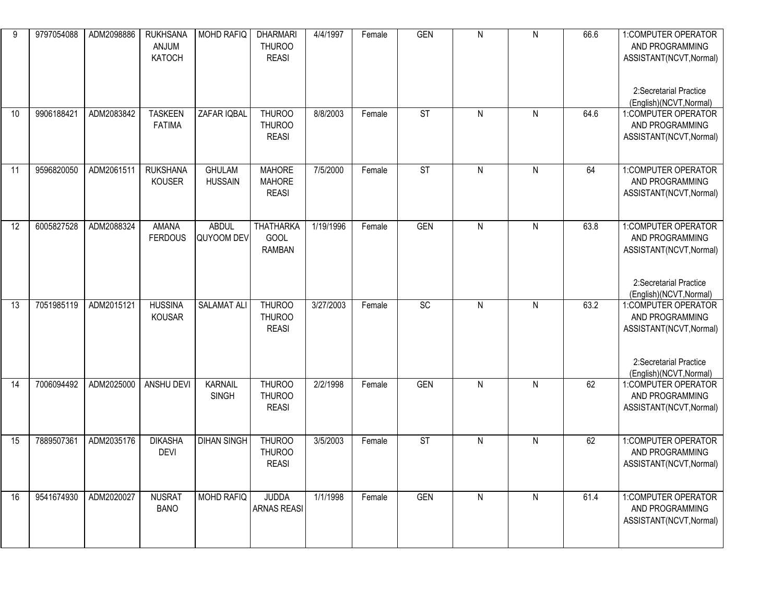| 9  | 9797054088 | ADM2098886 | <b>RUKHSANA</b><br>ANJUM<br><b>KATOCH</b> | MOHD RAFIQ                      | <b>DHARMARI</b><br><b>THUROO</b><br><b>REASI</b> | 4/4/1997  | Female | <b>GEN</b> | ${\sf N}$    | N         | 66.6 | 1: COMPUTER OPERATOR<br>AND PROGRAMMING<br>ASSISTANT(NCVT, Normal)<br>2:Secretarial Practice<br>(English)(NCVT, Normal) |
|----|------------|------------|-------------------------------------------|---------------------------------|--------------------------------------------------|-----------|--------|------------|--------------|-----------|------|-------------------------------------------------------------------------------------------------------------------------|
| 10 | 9906188421 | ADM2083842 | <b>TASKEEN</b><br><b>FATIMA</b>           | ZAFAR IQBAL                     | <b>THUROO</b><br><b>THUROO</b><br><b>REASI</b>   | 8/8/2003  | Female | <b>ST</b>  | ${\sf N}$    | ${\sf N}$ | 64.6 | 1:COMPUTER OPERATOR<br>AND PROGRAMMING<br>ASSISTANT(NCVT, Normal)                                                       |
| 11 | 9596820050 | ADM2061511 | <b>RUKSHANA</b><br>KOUSER                 | <b>GHULAM</b><br><b>HUSSAIN</b> | <b>MAHORE</b><br><b>MAHORE</b><br><b>REASI</b>   | 7/5/2000  | Female | <b>ST</b>  | ${\sf N}$    | ${\sf N}$ | 64   | 1:COMPUTER OPERATOR<br>AND PROGRAMMING<br>ASSISTANT(NCVT, Normal)                                                       |
| 12 | 6005827528 | ADM2088324 | <b>AMANA</b><br><b>FERDOUS</b>            | <b>ABDUL</b><br>QUYOOM DEV      | <b>THATHARKA</b><br>GOOL<br><b>RAMBAN</b>        | 1/19/1996 | Female | <b>GEN</b> | ${\sf N}$    | ${\sf N}$ | 63.8 | 1:COMPUTER OPERATOR<br>AND PROGRAMMING<br>ASSISTANT(NCVT, Normal)<br>2:Secretarial Practice<br>(English)(NCVT, Normal)  |
| 13 | 7051985119 | ADM2015121 | <b>HUSSINA</b><br><b>KOUSAR</b>           | <b>SALAMAT ALI</b>              | THUROO<br><b>THUROO</b><br><b>REASI</b>          | 3/27/2003 | Female | SC         | $\mathsf{N}$ | ${\sf N}$ | 63.2 | 1:COMPUTER OPERATOR<br>AND PROGRAMMING<br>ASSISTANT(NCVT, Normal)<br>2:Secretarial Practice<br>(English)(NCVT, Normal)  |
| 14 | 7006094492 | ADM2025000 | ANSHU DEVI                                | <b>KARNAIL</b><br><b>SINGH</b>  | THUROO<br><b>THUROO</b><br><b>REASI</b>          | 2/2/1998  | Female | <b>GEN</b> | ${\sf N}$    | N         | 62   | 1:COMPUTER OPERATOR<br>AND PROGRAMMING<br>ASSISTANT(NCVT, Normal)                                                       |
| 15 | 7889507361 | ADM2035176 | <b>DIKASHA</b><br><b>DEVI</b>             | <b>DIHAN SINGH</b>              | <b>THUROO</b><br><b>THUROO</b><br><b>REASI</b>   | 3/5/2003  | Female | <b>ST</b>  | ${\sf N}$    | ${\sf N}$ | 62   | 1:COMPUTER OPERATOR<br>AND PROGRAMMING<br>ASSISTANT(NCVT, Normal)                                                       |
| 16 | 9541674930 | ADM2020027 | <b>NUSRAT</b><br><b>BANO</b>              | <b>MOHD RAFIQ</b>               | <b>JUDDA</b><br><b>ARNAS REASI</b>               | 1/1/1998  | Female | <b>GEN</b> | ${\sf N}$    | N         | 61.4 | 1:COMPUTER OPERATOR<br>AND PROGRAMMING<br>ASSISTANT(NCVT, Normal)                                                       |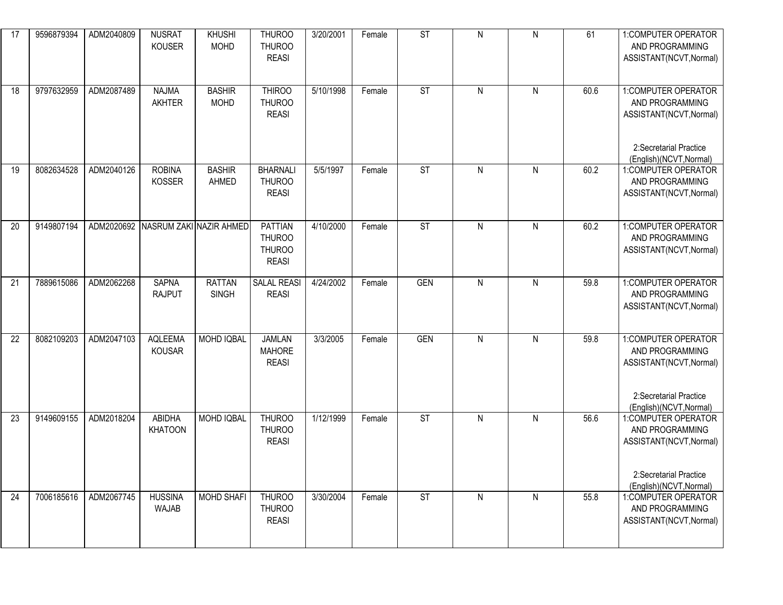| 17 | 9596879394 | ADM2040809 | <b>NUSRAT</b><br><b>KOUSER</b> | <b>KHUSHI</b><br><b>MOHD</b>       | <b>THUROO</b><br><b>THUROO</b><br><b>REASI</b>                   | 3/20/2001 | Female | ST                       | ${\sf N}$    | ${\sf N}$ | 61   | 1:COMPUTER OPERATOR<br>AND PROGRAMMING<br>ASSISTANT(NCVT, Normal)                                                      |
|----|------------|------------|--------------------------------|------------------------------------|------------------------------------------------------------------|-----------|--------|--------------------------|--------------|-----------|------|------------------------------------------------------------------------------------------------------------------------|
| 18 | 9797632959 | ADM2087489 | <b>NAJMA</b><br>AKHTER         | <b>BASHIR</b><br><b>MOHD</b>       | <b>THIROO</b><br><b>THUROO</b><br><b>REASI</b>                   | 5/10/1998 | Female | <b>ST</b>                | $\mathsf{N}$ | N         | 60.6 | 1:COMPUTER OPERATOR<br>AND PROGRAMMING<br>ASSISTANT(NCVT, Normal)<br>2:Secretarial Practice<br>(English)(NCVT, Normal) |
| 19 | 8082634528 | ADM2040126 | <b>ROBINA</b><br><b>KOSSER</b> | <b>BASHIR</b><br>AHMED             | <b>BHARNALI</b><br><b>THUROO</b><br><b>REASI</b>                 | 5/5/1997  | Female | <b>ST</b>                | ${\sf N}$    | ${\sf N}$ | 60.2 | 1:COMPUTER OPERATOR<br>AND PROGRAMMING<br>ASSISTANT(NCVT, Normal)                                                      |
| 20 | 9149807194 |            |                                | ADM2020692 NASRUM ZAKI NAZIR AHMED | <b>PATTIAN</b><br><b>THUROO</b><br><b>THUROO</b><br><b>REASI</b> | 4/10/2000 | Female | ST                       | $\mathsf{N}$ | N         | 60.2 | 1:COMPUTER OPERATOR<br>AND PROGRAMMING<br>ASSISTANT(NCVT, Normal)                                                      |
| 21 | 7889615086 | ADM2062268 | <b>SAPNA</b><br><b>RAJPUT</b>  | <b>RATTAN</b><br><b>SINGH</b>      | <b>SALAL REASI</b><br><b>REASI</b>                               | 4/24/2002 | Female | <b>GEN</b>               | $\mathsf{N}$ | ${\sf N}$ | 59.8 | 1:COMPUTER OPERATOR<br>AND PROGRAMMING<br>ASSISTANT(NCVT, Normal)                                                      |
| 22 | 8082109203 | ADM2047103 | <b>AQLEEMA</b><br>KOUSAR       | MOHD IQBAL                         | <b>JAMLAN</b><br><b>MAHORE</b><br><b>REASI</b>                   | 3/3/2005  | Female | <b>GEN</b>               | $\mathsf{N}$ | ${\sf N}$ | 59.8 | 1:COMPUTER OPERATOR<br>AND PROGRAMMING<br>ASSISTANT(NCVT, Normal)<br>2:Secretarial Practice<br>(English)(NCVT, Normal) |
| 23 | 9149609155 | ADM2018204 | ABIDHA<br><b>KHATOON</b>       | <b>MOHD IQBAL</b>                  | <b>THUROO</b><br><b>THUROO</b><br><b>REASI</b>                   | 1/12/1999 | Female | $\overline{\mathsf{ST}}$ | $\mathsf{N}$ | ${\sf N}$ | 56.6 | 1:COMPUTER OPERATOR<br>AND PROGRAMMING<br>ASSISTANT(NCVT, Normal)<br>2:Secretarial Practice<br>(English)(NCVT, Normal) |
| 24 | 7006185616 | ADM2067745 | <b>HUSSINA</b><br>WAJAB        | <b>MOHD SHAFI</b>                  | <b>THUROO</b><br><b>THUROO</b><br><b>REASI</b>                   | 3/30/2004 | Female | <b>ST</b>                | ${\sf N}$    | N         | 55.8 | 1:COMPUTER OPERATOR<br>AND PROGRAMMING<br>ASSISTANT(NCVT, Normal)                                                      |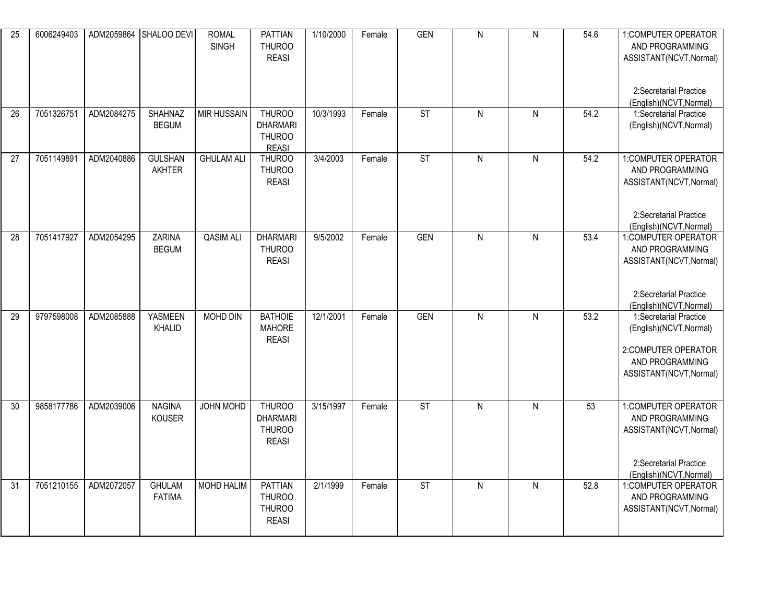| $\overline{25}$ | 6006249403 |            | ADM2059864 SHALOO DEVI          | <b>ROMAL</b><br><b>SINGH</b> | <b>PATTIAN</b><br><b>THUROO</b><br><b>REASI</b>                   | 1/10/2000 | Female | <b>GEN</b>               | $\overline{N}$ | $\overline{N}$ | 54.6 | 1:COMPUTER OPERATOR<br>AND PROGRAMMING<br>ASSISTANT(NCVT, Normal)<br>2:Secretarial Practice                             |
|-----------------|------------|------------|---------------------------------|------------------------------|-------------------------------------------------------------------|-----------|--------|--------------------------|----------------|----------------|------|-------------------------------------------------------------------------------------------------------------------------|
| 26              | 7051326751 | ADM2084275 | <b>SHAHNAZ</b><br><b>BEGUM</b>  | <b>MIR HUSSAIN</b>           | THUROO<br><b>DHARMARI</b><br><b>THUROO</b><br><b>REASI</b>        | 10/3/1993 | Female | $\overline{\text{ST}}$   | $\mathsf{N}$   | ${\sf N}$      | 54.2 | (English)(NCVT, Normal)<br>1:Secretarial Practice<br>(English)(NCVT, Normal)                                            |
| 27              | 7051149891 | ADM2040886 | <b>GULSHAN</b><br><b>AKHTER</b> | <b>GHULAM ALI</b>            | <b>THUROO</b><br><b>THUROO</b><br><b>REASI</b>                    | 3/4/2003  | Female | ST                       | $\mathsf{N}$   | ${\sf N}$      | 54.2 | 1:COMPUTER OPERATOR<br>AND PROGRAMMING<br>ASSISTANT(NCVT, Normal)<br>2:Secretarial Practice<br>(English)(NCVT, Normal)  |
| $\overline{28}$ | 7051417927 | ADM2054295 | <b>ZARINA</b><br><b>BEGUM</b>   | <b>QASIM ALI</b>             | <b>DHARMARI</b><br><b>THUROO</b><br><b>REASI</b>                  | 9/5/2002  | Female | <b>GEN</b>               | $\overline{N}$ | $\overline{N}$ | 53.4 | 1:COMPUTER OPERATOR<br>AND PROGRAMMING<br>ASSISTANT(NCVT, Normal)<br>2:Secretarial Practice<br>(English)(NCVT, Normal)  |
| 29              | 9797598008 | ADM2085888 | <b>YASMEEN</b><br>KHALID        | <b>MOHD DIN</b>              | <b>BATHOIE</b><br><b>MAHORE</b><br><b>REASI</b>                   | 12/1/2001 | Female | <b>GEN</b>               | $\overline{N}$ | $\overline{N}$ | 53.2 | 1:Secretarial Practice<br>(English)(NCVT, Normal)<br>2:COMPUTER OPERATOR<br>AND PROGRAMMING<br>ASSISTANT(NCVT, Normal)  |
| 30              | 9858177786 | ADM2039006 | <b>NAGINA</b><br><b>KOUSER</b>  | JOHN MOHD                    | <b>THUROO</b><br><b>DHARMARI</b><br><b>THUROO</b><br><b>REASI</b> | 3/15/1997 | Female | ST                       | $\mathsf{N}$   | ${\sf N}$      | 53   | 1: COMPUTER OPERATOR<br>AND PROGRAMMING<br>ASSISTANT(NCVT, Normal)<br>2:Secretarial Practice<br>(English)(NCVT, Normal) |
| 31              | 7051210155 | ADM2072057 | <b>GHULAM</b><br><b>FATIMA</b>  | <b>MOHD HALIM</b>            | <b>PATTIAN</b><br><b>THUROO</b><br><b>THUROO</b><br><b>REASI</b>  | 2/1/1999  | Female | $\overline{\mathsf{ST}}$ | $\mathsf{N}$   | $\mathsf{N}$   | 52.8 | 1:COMPUTER OPERATOR<br>AND PROGRAMMING<br>ASSISTANT(NCVT, Normal)                                                       |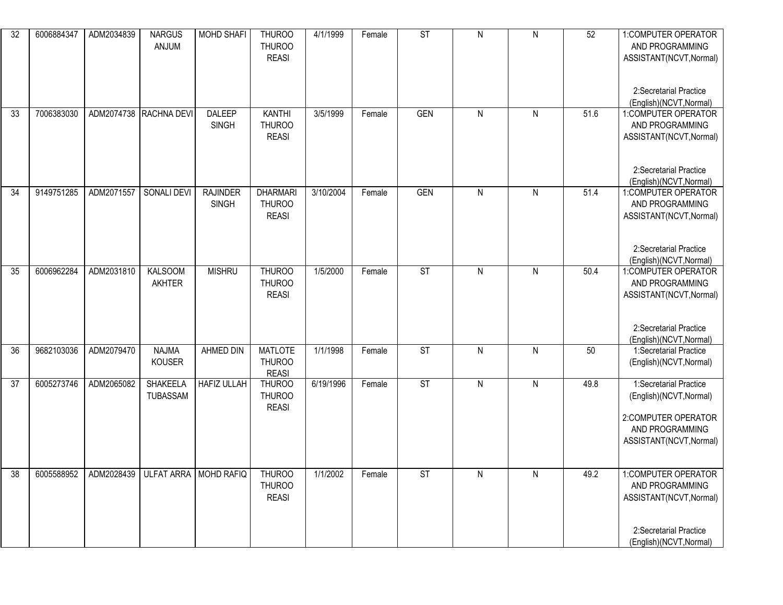| $\overline{32}$ | 6006884347 | ADM2034839 | <b>NARGUS</b><br>ANJUM               | <b>MOHD SHAFI</b>               | THUROO<br><b>THUROO</b><br><b>REASI</b>          | 4/1/1999           | Female | ST         | $\overline{N}$ | ${\sf N}$ | 52   | 1:COMPUTER OPERATOR<br>AND PROGRAMMING<br>ASSISTANT(NCVT, Normal)                                                      |
|-----------------|------------|------------|--------------------------------------|---------------------------------|--------------------------------------------------|--------------------|--------|------------|----------------|-----------|------|------------------------------------------------------------------------------------------------------------------------|
|                 |            |            |                                      |                                 |                                                  |                    |        |            |                |           |      | 2:Secretarial Practice<br>(English)(NCVT, Normal)                                                                      |
| 33              | 7006383030 |            | ADM2074738 RACHNA DEVI               | DALEEP<br><b>SINGH</b>          | <b>KANTHI</b><br><b>THUROO</b><br><b>REASI</b>   | 3/5/1999           | Female | <b>GEN</b> | $\mathsf{N}$   | ${\sf N}$ | 51.6 | 1:COMPUTER OPERATOR<br>AND PROGRAMMING<br>ASSISTANT(NCVT, Normal)                                                      |
|                 |            |            |                                      |                                 |                                                  |                    |        |            |                |           |      | 2:Secretarial Practice<br>(English)(NCVT, Normal)                                                                      |
| 34              | 9149751285 | ADM2071557 | SONALI DEVI                          | <b>RAJINDER</b><br><b>SINGH</b> | <b>DHARMARI</b><br><b>THUROO</b><br><b>REASI</b> | 3/10/2004          | Female | <b>GEN</b> | N              | ${\sf N}$ | 51.4 | 1:COMPUTER OPERATOR<br>AND PROGRAMMING<br>ASSISTANT(NCVT, Normal)                                                      |
|                 |            |            |                                      |                                 |                                                  |                    |        |            |                |           |      | 2:Secretarial Practice<br>(English)(NCVT, Normal)                                                                      |
| 35              | 6006962284 | ADM2031810 | <b>KALSOOM</b><br>AKHTER             | <b>MISHRU</b>                   | <b>THUROO</b><br><b>THUROO</b><br><b>REASI</b>   | 1/5/2000           | Female | <b>ST</b>  | $\mathsf{N}$   | ${\sf N}$ | 50.4 | 1:COMPUTER OPERATOR<br>AND PROGRAMMING<br>ASSISTANT(NCVT, Normal)                                                      |
|                 |            |            |                                      |                                 |                                                  |                    |        |            |                |           |      | 2:Secretarial Practice<br>(English)(NCVT, Normal)                                                                      |
| 36              | 9682103036 | ADM2079470 | <b>NAJMA</b><br>KOUSER               | AHMED DIN                       | <b>MATLOTE</b><br><b>THUROO</b><br><b>REASI</b>  | 1/1/1998           | Female | <b>ST</b>  | $\mathsf{N}$   | N         | 50   | 1:Secretarial Practice<br>(English)(NCVT, Normal)                                                                      |
| 37              | 6005273746 | ADM2065082 | SHAKEELA<br><b>TUBASSAM</b>          | <b>HAFIZ ULLAH</b>              | <b>THUROO</b><br><b>THUROO</b><br><b>REASI</b>   | $\sqrt{6/19/1996}$ | Female | <b>ST</b>  | $\mathsf{N}$   | ${\sf N}$ | 49.8 | 1:Secretarial Practice<br>(English)(NCVT, Normal)<br>2:COMPUTER OPERATOR<br>AND PROGRAMMING<br>ASSISTANT(NCVT, Normal) |
| 38              | 6005588952 |            | ADM2028439   ULFAT ARRA   MOHD RAFIQ |                                 | <b>THUROO</b>                                    | 1/1/2002           | Female | <b>ST</b>  | N              | N         | 49.2 | 1:COMPUTER OPERATOR                                                                                                    |
|                 |            |            |                                      |                                 | <b>THUROO</b><br><b>REASI</b>                    |                    |        |            |                |           |      | AND PROGRAMMING<br>ASSISTANT(NCVT, Normal)                                                                             |
|                 |            |            |                                      |                                 |                                                  |                    |        |            |                |           |      | 2:Secretarial Practice<br>(English)(NCVT, Normal)                                                                      |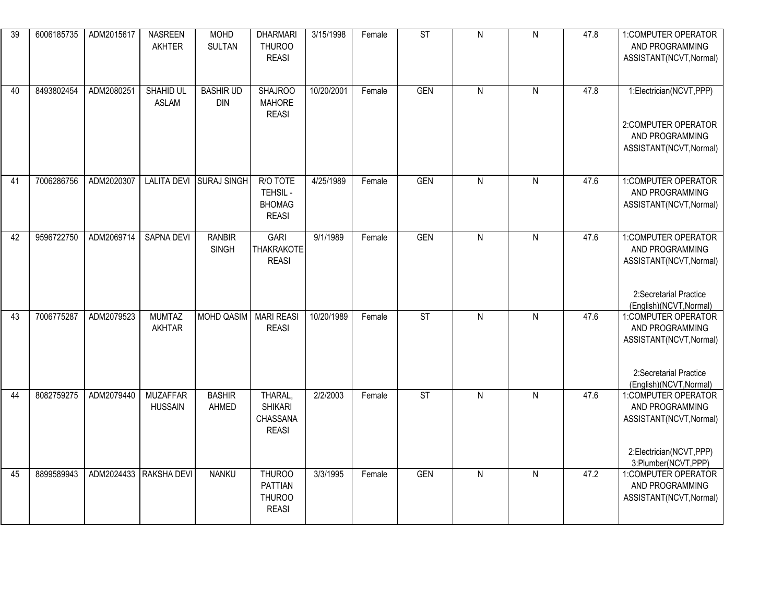| 39 | 6006185735 | ADM2015617 | <b>NASREEN</b><br><b>AKHTER</b>   | <b>MOHD</b><br><b>SULTAN</b>   | <b>DHARMARI</b><br><b>THUROO</b><br><b>REASI</b>          | 3/15/1998  | Female | ST         | $\overline{N}$ | $\overline{N}$ | 47.8 | 1: COMPUTER OPERATOR<br>AND PROGRAMMING<br>ASSISTANT(NCVT, Normal)                                                     |
|----|------------|------------|-----------------------------------|--------------------------------|-----------------------------------------------------------|------------|--------|------------|----------------|----------------|------|------------------------------------------------------------------------------------------------------------------------|
| 40 | 8493802454 | ADM2080251 | <b>SHAHID UL</b><br><b>ASLAM</b>  | <b>BASHIR UD</b><br><b>DIN</b> | <b>SHAJROO</b><br><b>MAHORE</b><br><b>REASI</b>           | 10/20/2001 | Female | <b>GEN</b> | ${\sf N}$      | ${\sf N}$      | 47.8 | 1:Electrician(NCVT,PPP)<br>2:COMPUTER OPERATOR<br>AND PROGRAMMING<br>ASSISTANT(NCVT, Normal)                           |
| 41 | 7006286756 | ADM2020307 |                                   | LALITA DEVI SURAJ SINGH        | R/O TOTE<br>TEHSIL -<br><b>BHOMAG</b><br><b>REASI</b>     | 4/25/1989  | Female | <b>GEN</b> | $\overline{N}$ | $\mathsf{N}$   | 47.6 | 1:COMPUTER OPERATOR<br>AND PROGRAMMING<br>ASSISTANT(NCVT, Normal)                                                      |
| 42 | 9596722750 | ADM2069714 | <b>SAPNA DEVI</b>                 | <b>RANBIR</b><br><b>SINGH</b>  | <b>GARI</b><br><b>THAKRAKOTE</b><br><b>REASI</b>          | 9/1/1989   | Female | <b>GEN</b> | $\overline{N}$ | $\overline{N}$ | 47.6 | 1:COMPUTER OPERATOR<br>AND PROGRAMMING<br>ASSISTANT(NCVT, Normal)<br>2:Secretarial Practice<br>(English)(NCVT, Normal) |
| 43 | 7006775287 | ADM2079523 | <b>MUMTAZ</b><br><b>AKHTAR</b>    | <b>MOHD QASIM</b>              | <b>MARI REASI</b><br><b>REASI</b>                         | 10/20/1989 | Female | ST         | $\mathsf{N}$   | ${\sf N}$      | 47.6 | 1:COMPUTER OPERATOR<br>AND PROGRAMMING<br>ASSISTANT(NCVT, Normal)<br>2:Secretarial Practice<br>(English)(NCVT, Normal) |
| 44 | 8082759275 | ADM2079440 | <b>MUZAFFAR</b><br><b>HUSSAIN</b> | <b>BASHIR</b><br>AHMED         | THARAL,<br><b>SHIKARI</b><br>CHASSANA<br><b>REASI</b>     | 2/2/2003   | Female | ST         | $\overline{N}$ | $\overline{N}$ | 47.6 | 1:COMPUTER OPERATOR<br>AND PROGRAMMING<br>ASSISTANT(NCVT, Normal)<br>2:Electrician(NCVT,PPP)<br>3:Plumber(NCVT,PPP)    |
| 45 | 8899589943 |            | ADM2024433 RAKSHA DEVI            | <b>NANKU</b>                   | <b>THUROO</b><br>PATTIAN<br><b>THUROO</b><br><b>REASI</b> | 3/3/1995   | Female | <b>GEN</b> | $\mathsf{N}$   | ${\sf N}$      | 47.2 | 1:COMPUTER OPERATOR<br>AND PROGRAMMING<br>ASSISTANT(NCVT, Normal)                                                      |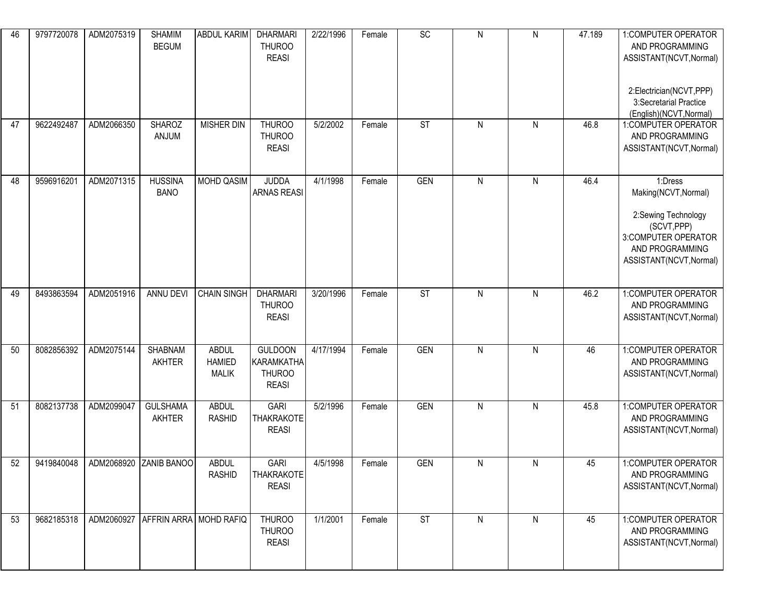| 46 | 9797720078 | ADM2075319 | <b>SHAMIM</b><br><b>BEGUM</b>         | ABDUL KARIM                                   | <b>DHARMARI</b><br><b>THUROO</b><br><b>REASI</b>                     | 2/22/1996 | Female | $\overline{SC}$          | ${\sf N}$ | N         | 47.189 | 1:COMPUTER OPERATOR<br>AND PROGRAMMING<br>ASSISTANT(NCVT, Normal)<br>2:Electrician(NCVT,PPP)<br>3:Secretarial Practice<br>(English)(NCVT, Normal) |
|----|------------|------------|---------------------------------------|-----------------------------------------------|----------------------------------------------------------------------|-----------|--------|--------------------------|-----------|-----------|--------|---------------------------------------------------------------------------------------------------------------------------------------------------|
| 47 | 9622492487 | ADM2066350 | <b>SHAROZ</b><br>ANJUM                | <b>MISHER DIN</b>                             | <b>THUROO</b><br><b>THUROO</b><br><b>REASI</b>                       | 5/2/2002  | Female | <b>ST</b>                | ${\sf N}$ | ${\sf N}$ | 46.8   | 1:COMPUTER OPERATOR<br>AND PROGRAMMING<br>ASSISTANT(NCVT, Normal)                                                                                 |
| 48 | 9596916201 | ADM2071315 | <b>HUSSINA</b><br><b>BANO</b>         | MOHD QASIM                                    | <b>JUDDA</b><br><b>ARNAS REASI</b>                                   | 4/1/1998  | Female | <b>GEN</b>               | ${\sf N}$ | ${\sf N}$ | 46.4   | 1:Dress<br>Making(NCVT, Normal)<br>2:Sewing Technology<br>(SCVT, PPP)<br>3:COMPUTER OPERATOR<br>AND PROGRAMMING<br>ASSISTANT(NCVT, Normal)        |
| 49 | 8493863594 | ADM2051916 | ANNU DEVI                             | <b>CHAIN SINGH</b>                            | <b>DHARMARI</b><br><b>THUROO</b><br><b>REASI</b>                     | 3/20/1996 | Female | $\overline{\mathsf{ST}}$ | ${\sf N}$ | ${\sf N}$ | 46.2   | 1:COMPUTER OPERATOR<br>AND PROGRAMMING<br>ASSISTANT(NCVT, Normal)                                                                                 |
| 50 | 8082856392 | ADM2075144 | <b>SHABNAM</b><br>AKHTER              | <b>ABDUL</b><br><b>HAMIED</b><br><b>MALIK</b> | <b>GULDOON</b><br><b>KARAMKATHA</b><br><b>THUROO</b><br><b>REASI</b> | 4/17/1994 | Female | <b>GEN</b>               | ${\sf N}$ | ${\sf N}$ | 46     | 1:COMPUTER OPERATOR<br>AND PROGRAMMING<br>ASSISTANT(NCVT, Normal)                                                                                 |
| 51 | 8082137738 | ADM2099047 | <b>GULSHAMA</b><br><b>AKHTER</b>      | <b>ABDUL</b><br><b>RASHID</b>                 | <b>GARI</b><br><b>THAKRAKOTE</b><br><b>REASI</b>                     | 5/2/1996  | Female | <b>GEN</b>               | ${\sf N}$ | ${\sf N}$ | 45.8   | 1:COMPUTER OPERATOR<br>AND PROGRAMMING<br>ASSISTANT(NCVT, Normal)                                                                                 |
| 52 | 9419840048 | ADM2068920 | <b>ZANIB BANOO</b>                    | <b>ABDUL</b><br><b>RASHID</b>                 | <b>GARI</b><br>THAKRAKOTE<br><b>REASI</b>                            | 4/5/1998  | Female | <b>GEN</b>               | ${\sf N}$ | N         | 45     | 1:COMPUTER OPERATOR<br>AND PROGRAMMING<br>ASSISTANT(NCVT, Normal)                                                                                 |
| 53 | 9682185318 |            | ADM2060927   AFFRIN ARRA   MOHD RAFIQ |                                               | THUROO<br><b>THUROO</b><br><b>REASI</b>                              | 1/1/2001  | Female | ST                       | ${\sf N}$ | N         | 45     | 1:COMPUTER OPERATOR<br>AND PROGRAMMING<br>ASSISTANT(NCVT, Normal)                                                                                 |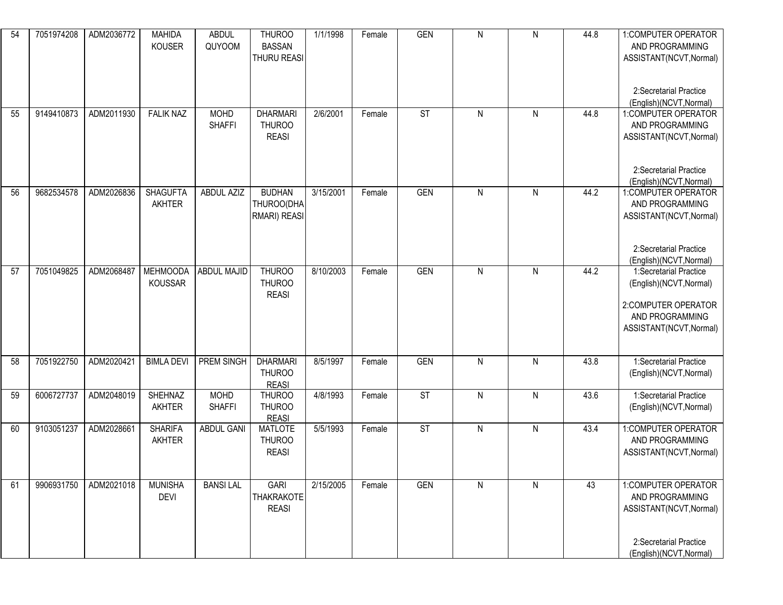| 54 | 7051974208 | ADM2036772 | <b>MAHIDA</b><br><b>KOUSER</b> | <b>ABDUL</b><br>QUYOOM       | <b>THUROO</b><br><b>BASSAN</b><br><b>THURU REASI</b> | 1/1/1998  | Female | <b>GEN</b> | ${\sf N}$    | N         | 44.8 | 1:COMPUTER OPERATOR<br>AND PROGRAMMING<br>ASSISTANT(NCVT, Normal)<br>2:Secretarial Practice                            |
|----|------------|------------|--------------------------------|------------------------------|------------------------------------------------------|-----------|--------|------------|--------------|-----------|------|------------------------------------------------------------------------------------------------------------------------|
| 55 | 9149410873 | ADM2011930 | <b>FALIK NAZ</b>               | <b>MOHD</b><br><b>SHAFFI</b> | <b>DHARMARI</b><br><b>THUROO</b><br><b>REASI</b>     | 2/6/2001  | Female | <b>ST</b>  | ${\sf N}$    | ${\sf N}$ | 44.8 | (English)(NCVT, Normal)<br>1:COMPUTER OPERATOR<br>AND PROGRAMMING<br>ASSISTANT(NCVT, Normal)                           |
| 56 | 9682534578 | ADM2026836 | <b>SHAGUFTA</b><br>AKHTER      | ABDUL AZIZ                   | <b>BUDHAN</b><br>THUROO(DHA<br>RMARI) REASI          | 3/15/2001 | Female | <b>GEN</b> | ${\sf N}$    | ${\sf N}$ | 44.2 | 2:Secretarial Practice<br>(English)(NCVT, Normal)<br>1:COMPUTER OPERATOR<br>AND PROGRAMMING<br>ASSISTANT(NCVT, Normal) |
| 57 | 7051049825 | ADM2068487 | <b>MEHMOODA</b>                | <b>ABDUL MAJID</b>           | <b>THUROO</b>                                        | 8/10/2003 | Female | <b>GEN</b> | ${\sf N}$    | ${\sf N}$ | 44.2 | 2:Secretarial Practice<br>(English)(NCVT, Normal)<br>1:Secretarial Practice                                            |
|    |            |            | <b>KOUSSAR</b>                 |                              | <b>THUROO</b><br><b>REASI</b>                        |           |        |            |              |           |      | (English)(NCVT, Normal)<br>2:COMPUTER OPERATOR<br>AND PROGRAMMING<br>ASSISTANT(NCVT, Normal)                           |
| 58 | 7051922750 | ADM2020421 | <b>BIMLA DEVI</b>              | PREM SINGH                   | <b>DHARMARI</b><br><b>THUROO</b><br><b>REASI</b>     | 8/5/1997  | Female | <b>GEN</b> | $\mathsf{N}$ | N         | 43.8 | 1:Secretarial Practice<br>(English)(NCVT, Normal)                                                                      |
| 59 | 6006727737 | ADM2048019 | SHEHNAZ<br>AKHTER              | <b>MOHD</b><br><b>SHAFFI</b> | <b>THUROO</b><br><b>THUROO</b><br><b>REASI</b>       | 4/8/1993  | Female | <b>ST</b>  | ${\sf N}$    | ${\sf N}$ | 43.6 | 1:Secretarial Practice<br>(English)(NCVT, Normal)                                                                      |
| 60 | 9103051237 | ADM2028661 | <b>SHARIFA</b><br>AKHTER       | <b>ABDUL GANI</b>            | <b>MATLOTE</b><br><b>THUROO</b><br><b>REASI</b>      | 5/5/1993  | Female | <b>ST</b>  | $\mathsf{N}$ | N         | 43.4 | 1:COMPUTER OPERATOR<br>AND PROGRAMMING<br>ASSISTANT(NCVT, Normal)                                                      |
| 61 | 9906931750 | ADM2021018 | <b>MUNISHA</b><br><b>DEVI</b>  | <b>BANSILAL</b>              | <b>GARI</b><br><b>THAKRAKOTE</b><br><b>REASI</b>     | 2/15/2005 | Female | <b>GEN</b> | ${\sf N}$    | N         | 43   | 1:COMPUTER OPERATOR<br>AND PROGRAMMING<br>ASSISTANT(NCVT, Normal)<br>2:Secretarial Practice                            |
|    |            |            |                                |                              |                                                      |           |        |            |              |           |      | (English)(NCVT, Normal)                                                                                                |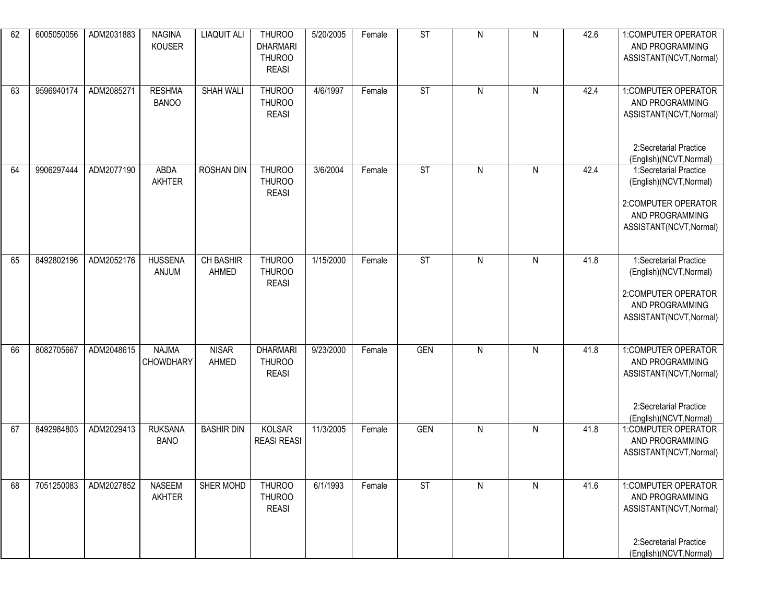| 62 | 6005050056 | ADM2031883 | <b>NAGINA</b><br><b>KOUSER</b>   | <b>LIAQUIT ALI</b>    | <b>THUROO</b><br><b>DHARMARI</b><br><b>THUROO</b><br><b>REASI</b> | 5/20/2005 | Female | ST         | ${\sf N}$    | ${\sf N}$    | 42.6 | 1:COMPUTER OPERATOR<br>AND PROGRAMMING<br>ASSISTANT(NCVT, Normal)                                                       |
|----|------------|------------|----------------------------------|-----------------------|-------------------------------------------------------------------|-----------|--------|------------|--------------|--------------|------|-------------------------------------------------------------------------------------------------------------------------|
| 63 | 9596940174 | ADM2085271 | <b>RESHMA</b><br><b>BANOO</b>    | <b>SHAH WALI</b>      | <b>THUROO</b><br><b>THUROO</b><br><b>REASI</b>                    | 4/6/1997  | Female | <b>ST</b>  | $\mathsf{N}$ | $\mathsf{N}$ | 42.4 | 1:COMPUTER OPERATOR<br>AND PROGRAMMING<br>ASSISTANT(NCVT, Normal)<br>2:Secretarial Practice<br>(English)(NCVT, Normal)  |
| 64 | 9906297444 | ADM2077190 | ABDA<br>AKHTER                   | <b>ROSHAN DIN</b>     | <b>THUROO</b><br><b>THUROO</b><br><b>REASI</b>                    | 3/6/2004  | Female | <b>ST</b>  | $\mathsf{N}$ | ${\sf N}$    | 42.4 | 1:Secretarial Practice<br>(English)(NCVT, Normal)<br>2:COMPUTER OPERATOR<br>AND PROGRAMMING<br>ASSISTANT(NCVT, Normal)  |
| 65 | 8492802196 | ADM2052176 | <b>HUSSENA</b><br>ANJUM          | CH BASHIR<br>AHMED    | <b>THUROO</b><br><b>THUROO</b><br><b>REASI</b>                    | 1/15/2000 | Female | <b>ST</b>  | ${\sf N}$    | ${\sf N}$    | 41.8 | 1:Secretarial Practice<br>(English)(NCVT, Normal)<br>2:COMPUTER OPERATOR<br>AND PROGRAMMING<br>ASSISTANT(NCVT, Normal)  |
| 66 | 8082705667 | ADM2048615 | <b>NAJMA</b><br><b>CHOWDHARY</b> | <b>NISAR</b><br>AHMED | <b>DHARMARI</b><br><b>THUROO</b><br><b>REASI</b>                  | 9/23/2000 | Female | <b>GEN</b> | $\mathsf{N}$ | N            | 41.8 | 1: COMPUTER OPERATOR<br>AND PROGRAMMING<br>ASSISTANT(NCVT, Normal)<br>2:Secretarial Practice<br>(English)(NCVT, Normal) |
| 67 | 8492984803 | ADM2029413 | <b>RUKSANA</b><br><b>BANO</b>    | <b>BASHIR DIN</b>     | <b>KOLSAR</b><br><b>REASI REASI</b>                               | 11/3/2005 | Female | GEN        | $\mathsf{N}$ | $\mathsf{N}$ | 41.8 | 1:COMPUTER OPERATOR<br>AND PROGRAMMING<br>ASSISTANT(NCVT, Normal)                                                       |
| 68 | 7051250083 | ADM2027852 | <b>NASEEM</b><br>AKHTER          | SHER MOHD             | THUROO<br><b>THUROO</b><br><b>REASI</b>                           | 6/1/1993  | Female | <b>ST</b>  | $\mathsf{N}$ | ${\sf N}$    | 41.6 | 1:COMPUTER OPERATOR<br>AND PROGRAMMING<br>ASSISTANT(NCVT, Normal)<br>2:Secretarial Practice<br>(English)(NCVT, Normal)  |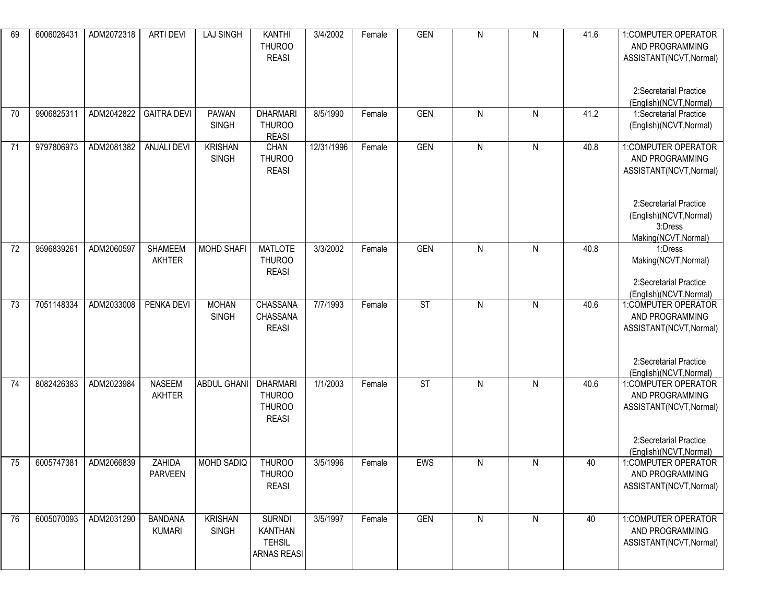| 69 | 6006026431 | ADM2072318 | <b>ARTI DEVI</b>                | <b>LAJ SINGH</b>               | <b>KANTHI</b><br><b>THUROO</b><br><b>REASI</b>                         | 3/4/2002   | Female | <b>GEN</b>               | $\mathsf{N}$ | ${\sf N}$ | 41.6 | 1: COMPUTER OPERATOR<br>AND PROGRAMMING<br>ASSISTANT(NCVT, Normal)<br>2:Secretarial Practice<br>(English)(NCVT, Normal)                                   |
|----|------------|------------|---------------------------------|--------------------------------|------------------------------------------------------------------------|------------|--------|--------------------------|--------------|-----------|------|-----------------------------------------------------------------------------------------------------------------------------------------------------------|
| 70 | 9906825311 | ADM2042822 | <b>GAITRA DEVI</b>              | <b>PAWAN</b><br><b>SINGH</b>   | <b>DHARMARI</b><br><b>THUROO</b><br><b>REASI</b>                       | 8/5/1990   | Female | <b>GEN</b>               | $\mathsf{N}$ | N         | 41.2 | 1:Secretarial Practice<br>(English)(NCVT, Normal)                                                                                                         |
| 71 | 9797806973 | ADM2081382 | <b>ANJALI DEVI</b>              | <b>KRISHAN</b><br><b>SINGH</b> | CHAN<br><b>THUROO</b><br><b>REASI</b>                                  | 12/31/1996 | Female | <b>GEN</b>               | $\mathsf{N}$ | ${\sf N}$ | 40.8 | 1:COMPUTER OPERATOR<br>AND PROGRAMMING<br>ASSISTANT(NCVT, Normal)<br>2:Secretarial Practice<br>(English)(NCVT, Normal)<br>3:Dress<br>Making(NCVT, Normal) |
| 72 | 9596839261 | ADM2060597 | <b>SHAMEEM</b><br><b>AKHTER</b> | <b>MOHD SHAFI</b>              | <b>MATLOTE</b><br><b>THUROO</b><br><b>REASI</b>                        | 3/3/2002   | Female | <b>GEN</b>               | $\mathsf{N}$ | ${\sf N}$ | 40.8 | 1:Dress<br>Making(NCVT, Normal)<br>2:Secretarial Practice<br>(English)(NCVT, Normal)                                                                      |
| 73 | 7051148334 | ADM2033008 | PENKA DEVI                      | <b>MOHAN</b><br><b>SINGH</b>   | <b>CHASSANA</b><br>CHASSANA<br><b>REASI</b>                            | 7/7/1993   | Female | $\overline{\mathsf{ST}}$ | ${\sf N}$    | ${\sf N}$ | 40.6 | 1:COMPUTER OPERATOR<br>AND PROGRAMMING<br>ASSISTANT(NCVT, Normal)<br>2:Secretarial Practice<br>(English)(NCVT, Normal)                                    |
| 74 | 8082426383 | ADM2023984 | <b>NASEEM</b><br>AKHTER         | ABDUL GHANI                    | <b>DHARMARI</b><br><b>THUROO</b><br><b>THUROO</b><br><b>REASI</b>      | 1/1/2003   | Female | <b>ST</b>                | $\mathsf{N}$ | ${\sf N}$ | 40.6 | 1:COMPUTER OPERATOR<br>AND PROGRAMMING<br>ASSISTANT(NCVT, Normal)<br>2:Secretarial Practice<br>(English)(NCVT, Normal)                                    |
| 75 | 6005747381 | ADM2066839 | ZAHIDA<br><b>PARVEEN</b>        | MOHD SADIQ                     | <b>THUROO</b><br><b>THUROO</b><br><b>REASI</b>                         | 3/5/1996   | Female | EWS                      | $\mathsf{N}$ | ${\sf N}$ | 40   | 1:COMPUTER OPERATOR<br>AND PROGRAMMING<br>ASSISTANT(NCVT, Normal)                                                                                         |
| 76 | 6005070093 | ADM2031290 | <b>BANDANA</b><br><b>KUMARI</b> | <b>KRISHAN</b><br>SINGH        | <b>SURNDI</b><br><b>KANTHAN</b><br><b>TEHSIL</b><br><b>ARNAS REASI</b> | 3/5/1997   | Female | <b>GEN</b>               | ${\sf N}$    | ${\sf N}$ | 40   | 1:COMPUTER OPERATOR<br>AND PROGRAMMING<br>ASSISTANT(NCVT, Normal)                                                                                         |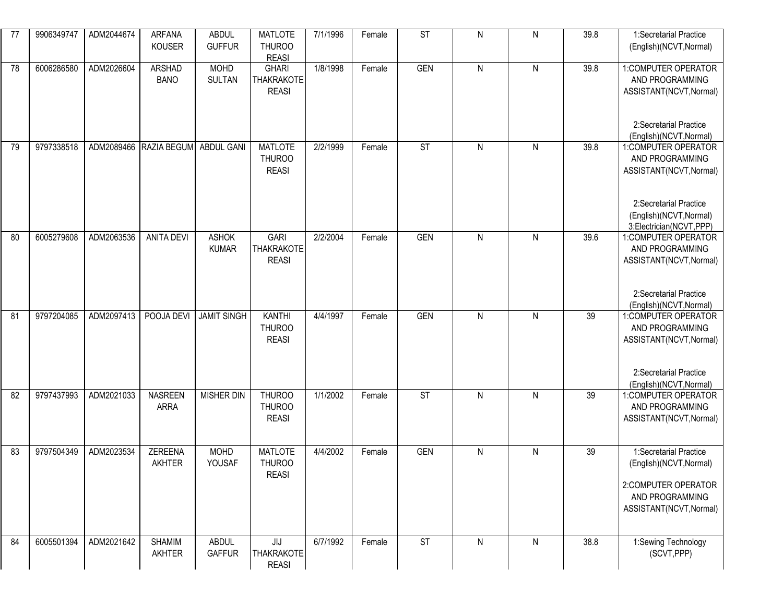| 77 | 9906349747 | ADM2044674 | <b>ARFANA</b><br><b>KOUSER</b> | <b>ABDUL</b><br><b>GUFFUR</b> | <b>MATLOTE</b><br><b>THUROO</b><br><b>REASI</b>     | 7/1/1996 | Female | $\overline{\text{ST}}$ | ${\sf N}$      | ${\sf N}$    | 39.8 | 1:Secretarial Practice<br>(English)(NCVT, Normal)                                                                                                 |
|----|------------|------------|--------------------------------|-------------------------------|-----------------------------------------------------|----------|--------|------------------------|----------------|--------------|------|---------------------------------------------------------------------------------------------------------------------------------------------------|
| 78 | 6006286580 | ADM2026604 | <b>ARSHAD</b><br><b>BANO</b>   | <b>MOHD</b><br><b>SULTAN</b>  | <b>GHARI</b><br><b>THAKRAKOTE</b><br><b>REASI</b>   | 1/8/1998 | Female | <b>GEN</b>             | $\overline{N}$ | ${\sf N}$    | 39.8 | 1:COMPUTER OPERATOR<br>AND PROGRAMMING<br>ASSISTANT(NCVT, Normal)<br>2:Secretarial Practice<br>(English)(NCVT, Normal)                            |
| 79 | 9797338518 | ADM2089466 | RAZIA BEGUM                    | <b>ABDUL GANI</b>             | <b>MATLOTE</b><br><b>THUROO</b><br><b>REASI</b>     | 2/2/1999 | Female | $\overline{\text{ST}}$ | $\mathsf{N}$   | ${\sf N}$    | 39.8 | 1:COMPUTER OPERATOR<br>AND PROGRAMMING<br>ASSISTANT(NCVT, Normal)<br>2:Secretarial Practice<br>(English)(NCVT, Normal)<br>3:Electrician(NCVT,PPP) |
| 80 | 6005279608 | ADM2063536 | <b>ANITA DEVI</b>              | <b>ASHOK</b><br><b>KUMAR</b>  | <b>GARI</b><br>THAKRAKOTE<br><b>REASI</b>           | 2/2/2004 | Female | <b>GEN</b>             | ${\sf N}$      | ${\sf N}$    | 39.6 | 1:COMPUTER OPERATOR<br>AND PROGRAMMING<br>ASSISTANT(NCVT, Normal)<br>2:Secretarial Practice<br>(English)(NCVT, Normal)                            |
| 81 | 9797204085 | ADM2097413 | POOJA DEVI                     | <b>JAMIT SINGH</b>            | <b>KANTHI</b><br><b>THUROO</b><br><b>REASI</b>      | 4/4/1997 | Female | <b>GEN</b>             | ${\sf N}$      | $\mathsf{N}$ | 39   | 1:COMPUTER OPERATOR<br>AND PROGRAMMING<br>ASSISTANT(NCVT, Normal)<br>2:Secretarial Practice<br>(English)(NCVT, Normal)                            |
| 82 | 9797437993 | ADM2021033 | <b>NASREEN</b><br><b>ARRA</b>  | <b>MISHER DIN</b>             | <b>THUROO</b><br><b>THUROO</b><br><b>REASI</b>      | 1/1/2002 | Female | <b>ST</b>              | $\mathsf{N}$   | ${\sf N}$    | 39   | 1:COMPUTER OPERATOR<br>AND PROGRAMMING<br>ASSISTANT(NCVT, Normal)                                                                                 |
| 83 | 9797504349 | ADM2023534 | ZEREENA<br>AKHTER              | <b>MOHD</b><br>YOUSAF         | <b>MATLOTE</b><br><b>THUROO</b><br><b>REASI</b>     | 4/4/2002 | Female | <b>GEN</b>             | ${\sf N}$      | ${\sf N}$    | 39   | 1:Secretarial Practice<br>(English)(NCVT, Normal)<br>2:COMPUTER OPERATOR<br>AND PROGRAMMING<br>ASSISTANT(NCVT, Normal)                            |
| 84 | 6005501394 | ADM2021642 | <b>SHAMIM</b><br>AKHTER        | <b>ABDUL</b><br>GAFFUR        | $J_{\text{L}}$<br><b>THAKRAKOTE</b><br><b>REASI</b> | 6/7/1992 | Female | $\overline{\text{ST}}$ | $\mathsf{N}$   | N            | 38.8 | 1:Sewing Technology<br>(SCVT, PPP)                                                                                                                |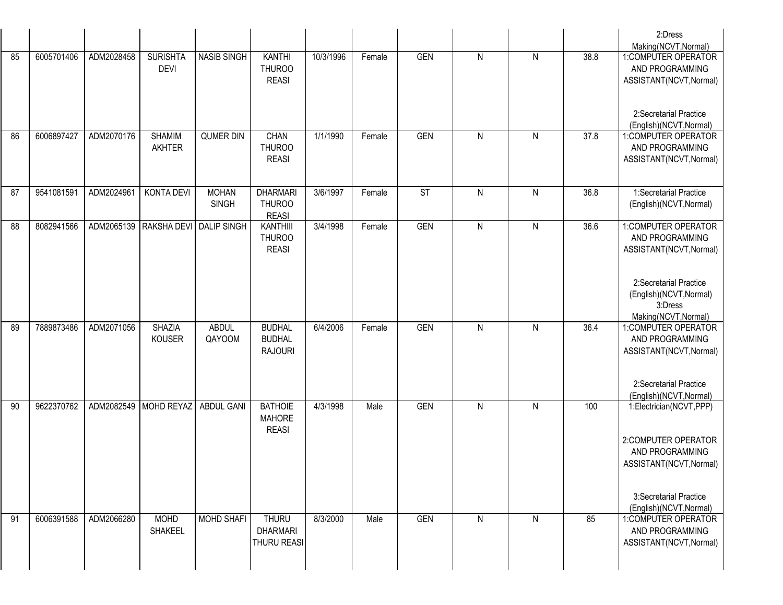|    |            |            |                                |                                    |                                                  |           |        |            |              |           |      | 2:Dress<br>Making(NCVT, Normal)                                                             |
|----|------------|------------|--------------------------------|------------------------------------|--------------------------------------------------|-----------|--------|------------|--------------|-----------|------|---------------------------------------------------------------------------------------------|
| 85 | 6005701406 | ADM2028458 | <b>SURISHTA</b><br><b>DEVI</b> | <b>NASIB SINGH</b>                 | <b>KANTHI</b><br><b>THUROO</b><br><b>REASI</b>   | 10/3/1996 | Female | <b>GEN</b> | $\mathsf{N}$ | N         | 38.8 | 1:COMPUTER OPERATOR<br>AND PROGRAMMING<br>ASSISTANT(NCVT, Normal)                           |
|    |            |            |                                |                                    |                                                  |           |        |            |              |           |      | 2:Secretarial Practice<br>(English)(NCVT, Normal)                                           |
| 86 | 6006897427 | ADM2070176 | <b>SHAMIM</b><br><b>AKHTER</b> | <b>QUMER DIN</b>                   | CHAN<br><b>THUROO</b><br><b>REASI</b>            | 1/1/1990  | Female | <b>GEN</b> | $\mathsf{N}$ | N         | 37.8 | 1:COMPUTER OPERATOR<br>AND PROGRAMMING<br>ASSISTANT(NCVT, Normal)                           |
| 87 | 9541081591 | ADM2024961 | KONTA DEVI                     | <b>MOHAN</b><br><b>SINGH</b>       | <b>DHARMARI</b><br><b>THUROO</b><br><b>REASI</b> | 3/6/1997  | Female | <b>ST</b>  | $\mathsf{N}$ | ${\sf N}$ | 36.8 | 1:Secretarial Practice<br>(English)(NCVT, Normal)                                           |
| 88 | 8082941566 |            |                                | ADM2065139 RAKSHA DEVI DALIP SINGH | KANTHIII<br><b>THUROO</b><br><b>REASI</b>        | 3/4/1998  | Female | <b>GEN</b> | $\mathsf{N}$ | N         | 36.6 | 1:COMPUTER OPERATOR<br>AND PROGRAMMING<br>ASSISTANT(NCVT, Normal)<br>2:Secretarial Practice |
|    |            |            |                                |                                    |                                                  |           |        |            |              |           |      | (English)(NCVT, Normal)<br>3:Dress<br>Making(NCVT, Normal)                                  |
| 89 | 7889873486 | ADM2071056 | <b>SHAZIA</b><br><b>KOUSER</b> | <b>ABDUL</b><br>QAYOOM             | <b>BUDHAL</b><br><b>BUDHAL</b><br><b>RAJOURI</b> | 6/4/2006  | Female | <b>GEN</b> | $\mathsf{N}$ | ${\sf N}$ | 36.4 | 1:COMPUTER OPERATOR<br>AND PROGRAMMING<br>ASSISTANT(NCVT, Normal)                           |
|    |            |            |                                |                                    |                                                  |           |        |            |              |           |      | 2:Secretarial Practice<br>(English)(NCVT, Normal)                                           |
| 90 | 9622370762 | ADM2082549 | MOHD REYAZ                     | <b>ABDUL GANI</b>                  | <b>BATHOIE</b><br><b>MAHORE</b><br><b>REASI</b>  | 4/3/1998  | Male   | <b>GEN</b> | $\mathsf{N}$ | ${\sf N}$ | 100  | 1:Electrician(NCVT,PPP)                                                                     |
|    |            |            |                                |                                    |                                                  |           |        |            |              |           |      | 2:COMPUTER OPERATOR<br>AND PROGRAMMING<br>ASSISTANT(NCVT, Normal)                           |
|    |            |            |                                |                                    |                                                  |           |        |            |              |           |      | 3:Secretarial Practice<br>(English)(NCVT, Normal)                                           |
| 91 | 6006391588 | ADM2066280 | <b>MOHD</b><br>SHAKEEL         | <b>MOHD SHAFI</b>                  | <b>THURU</b><br><b>DHARMARI</b><br>THURU REASI   | 8/3/2000  | Male   | <b>GEN</b> | $\mathsf{N}$ | N         | 85   | 1:COMPUTER OPERATOR<br>AND PROGRAMMING<br>ASSISTANT(NCVT, Normal)                           |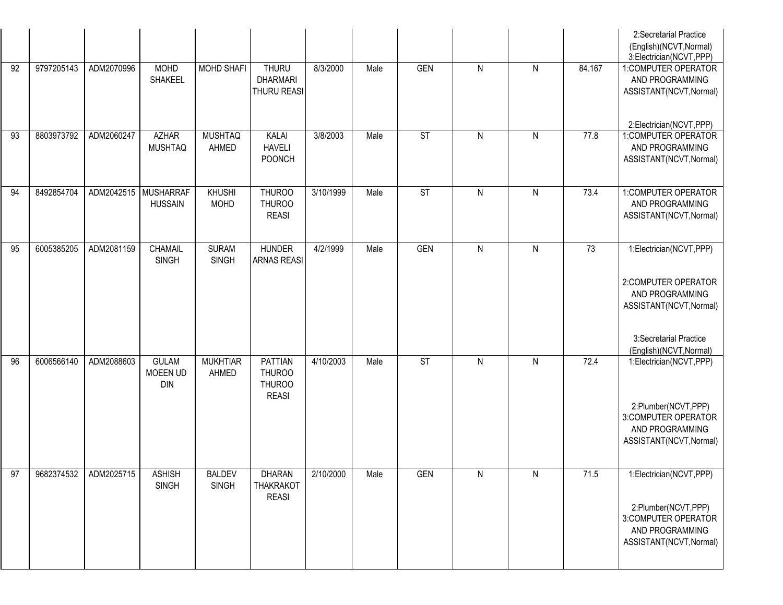|    |            |                      |                                        |                               |                                                           |           |      |                          |              |              |                 | 2:Secretarial Practice<br>(English)(NCVT, Normal)<br>3:Electrician(NCVT,PPP)                                                                      |
|----|------------|----------------------|----------------------------------------|-------------------------------|-----------------------------------------------------------|-----------|------|--------------------------|--------------|--------------|-----------------|---------------------------------------------------------------------------------------------------------------------------------------------------|
| 92 | 9797205143 | ADM2070996           | <b>MOHD</b><br><b>SHAKEEL</b>          | <b>MOHD SHAFI</b>             | <b>THURU</b><br><b>DHARMARI</b><br>THURU REASI            | 8/3/2000  | Male | <b>GEN</b>               | $\mathsf{N}$ | $\mathsf{N}$ | 84.167          | 1:COMPUTER OPERATOR<br>AND PROGRAMMING<br>ASSISTANT(NCVT, Normal)<br>2:Electrician(NCVT,PPP)                                                      |
| 93 | 8803973792 | ADM2060247           | <b>AZHAR</b><br><b>MUSHTAQ</b>         | <b>MUSHTAQ</b><br>AHMED       | KALAI<br><b>HAVELI</b><br><b>POONCH</b>                   | 3/8/2003  | Male | <b>ST</b>                | $\mathsf{N}$ | ${\sf N}$    | 77.8            | 1:COMPUTER OPERATOR<br>AND PROGRAMMING<br>ASSISTANT(NCVT, Normal)                                                                                 |
| 94 | 8492854704 | ADM2042515 MUSHARRAF | <b>HUSSAIN</b>                         | <b>KHUSHI</b><br><b>MOHD</b>  | <b>THUROO</b><br><b>THUROO</b><br><b>REASI</b>            | 3/10/1999 | Male | <b>ST</b>                | $\mathsf{N}$ | ${\sf N}$    | 73.4            | 1:COMPUTER OPERATOR<br>AND PROGRAMMING<br>ASSISTANT(NCVT, Normal)                                                                                 |
| 95 | 6005385205 | ADM2081159           | <b>CHAMAIL</b><br><b>SINGH</b>         | <b>SURAM</b><br><b>SINGH</b>  | <b>HUNDER</b><br><b>ARNAS REASI</b>                       | 4/2/1999  | Male | <b>GEN</b>               | ${\sf N}$    | ${\sf N}$    | $\overline{73}$ | 1:Electrician(NCVT,PPP)<br>2:COMPUTER OPERATOR<br>AND PROGRAMMING<br>ASSISTANT(NCVT, Normal)<br>3:Secretarial Practice<br>(English)(NCVT, Normal) |
| 96 | 6006566140 | ADM2088603           | <b>GULAM</b><br>MOEEN UD<br><b>DIN</b> | <b>MUKHTIAR</b><br>AHMED      | PATTIAN<br><b>THUROO</b><br><b>THUROO</b><br><b>REASI</b> | 4/10/2003 | Male | $\overline{\mathsf{ST}}$ | $\mathsf{N}$ | N            | 72.4            | 1:Electrician(NCVT,PPP)<br>2:Plumber(NCVT,PPP)<br>3:COMPUTER OPERATOR<br>AND PROGRAMMING<br>ASSISTANT(NCVT, Normal)                               |
| 97 | 9682374532 | ADM2025715           | <b>ASHISH</b><br><b>SINGH</b>          | <b>BALDEV</b><br><b>SINGH</b> | <b>DHARAN</b><br><b>THAKRAKOT</b><br><b>REASI</b>         | 2/10/2000 | Male | <b>GEN</b>               | $\mathsf{N}$ | ${\sf N}$    | 71.5            | 1:Electrician(NCVT,PPP)<br>2:Plumber(NCVT,PPP)<br>3:COMPUTER OPERATOR<br>AND PROGRAMMING<br>ASSISTANT(NCVT, Normal)                               |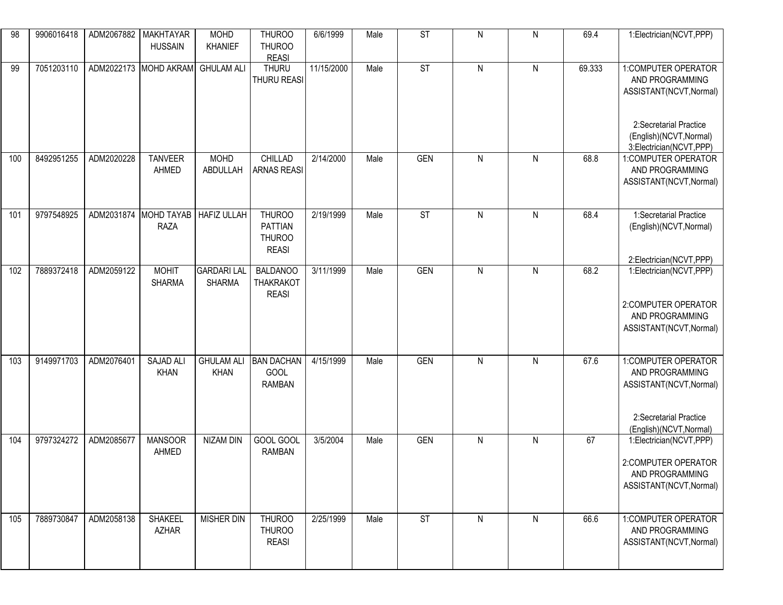| 98  | 9906016418 | ADM2067882 | <b>MAKHTAYAR</b><br><b>HUSSAIN</b>   | <b>MOHD</b><br>KHANIEF              | THUROO<br><b>THUROO</b><br><b>REASI</b>                   | 6/6/1999   | Male | $\overline{\mathsf{ST}}$ | ${\sf N}$      | $\mathsf{N}$   | 69.4   | 1:Electrician(NCVT,PPP)                                                                                                                           |
|-----|------------|------------|--------------------------------------|-------------------------------------|-----------------------------------------------------------|------------|------|--------------------------|----------------|----------------|--------|---------------------------------------------------------------------------------------------------------------------------------------------------|
| 99  | 7051203110 |            | ADM2022173 MOHD AKRAM                | <b>GHULAM ALI</b>                   | <b>THURU</b><br>THURU REASI                               | 11/15/2000 | Male | ST                       | ${\sf N}$      | $\mathsf{N}$   | 69.333 | 1:COMPUTER OPERATOR<br>AND PROGRAMMING<br>ASSISTANT(NCVT, Normal)<br>2:Secretarial Practice<br>(English)(NCVT, Normal)<br>3:Electrician(NCVT,PPP) |
| 100 | 8492951255 | ADM2020228 | <b>TANVEER</b><br>AHMED              | <b>MOHD</b><br>ABDULLAH             | <b>CHILLAD</b><br><b>ARNAS REASI</b>                      | 2/14/2000  | Male | <b>GEN</b>               | ${\sf N}$      | ${\sf N}$      | 68.8   | 1:COMPUTER OPERATOR<br>AND PROGRAMMING<br>ASSISTANT(NCVT, Normal)                                                                                 |
| 101 | 9797548925 |            | ADM2031874 MOHD TAYAB<br><b>RAZA</b> | <b>HAFIZ ULLAH</b>                  | <b>THUROO</b><br><b>PATTIAN</b><br>THUROO<br><b>REASI</b> | 2/19/1999  | Male | $\overline{\text{ST}}$   | $\mathsf{N}$   | $\mathsf{N}$   | 68.4   | 1:Secretarial Practice<br>(English)(NCVT, Normal)<br>2:Electrician(NCVT,PPP)                                                                      |
| 102 | 7889372418 | ADM2059122 | <b>MOHIT</b><br><b>SHARMA</b>        | <b>GARDARI LAL</b><br><b>SHARMA</b> | <b>BALDANOO</b><br><b>THAKRAKOT</b><br><b>REASI</b>       | 3/11/1999  | Male | <b>GEN</b>               | $\overline{N}$ | $\overline{N}$ | 68.2   | 1:Electrician(NCVT,PPP)<br>2:COMPUTER OPERATOR<br>AND PROGRAMMING<br>ASSISTANT(NCVT, Normal)                                                      |
| 103 | 9149971703 | ADM2076401 | <b>SAJAD ALI</b><br><b>KHAN</b>      | <b>GHULAM ALI</b><br><b>KHAN</b>    | <b>BAN DACHAN</b><br>GOOL<br><b>RAMBAN</b>                | 4/15/1999  | Male | <b>GEN</b>               | ${\sf N}$      | $\mathsf{N}$   | 67.6   | 1:COMPUTER OPERATOR<br>AND PROGRAMMING<br>ASSISTANT(NCVT, Normal)<br>2:Secretarial Practice<br>(English)(NCVT, Normal)                            |
| 104 | 9797324272 | ADM2085677 | <b>MANSOOR</b><br>AHMED              | <b>NIZAM DIN</b>                    | GOOL GOOL<br><b>RAMBAN</b>                                | 3/5/2004   | Male | <b>GEN</b>               | $\mathsf{N}$   | $\mathsf{N}$   | 67     | 1:Electrician(NCVT,PPP)<br>2:COMPUTER OPERATOR<br>AND PROGRAMMING<br>ASSISTANT(NCVT, Normal)                                                      |
| 105 | 7889730847 | ADM2058138 | SHAKEEL<br><b>AZHAR</b>              | MISHER DIN                          | <b>THUROO</b><br><b>THUROO</b><br><b>REASI</b>            | 2/25/1999  | Male | ST                       | ${\sf N}$      | N              | 66.6   | 1:COMPUTER OPERATOR<br>AND PROGRAMMING<br>ASSISTANT(NCVT, Normal)                                                                                 |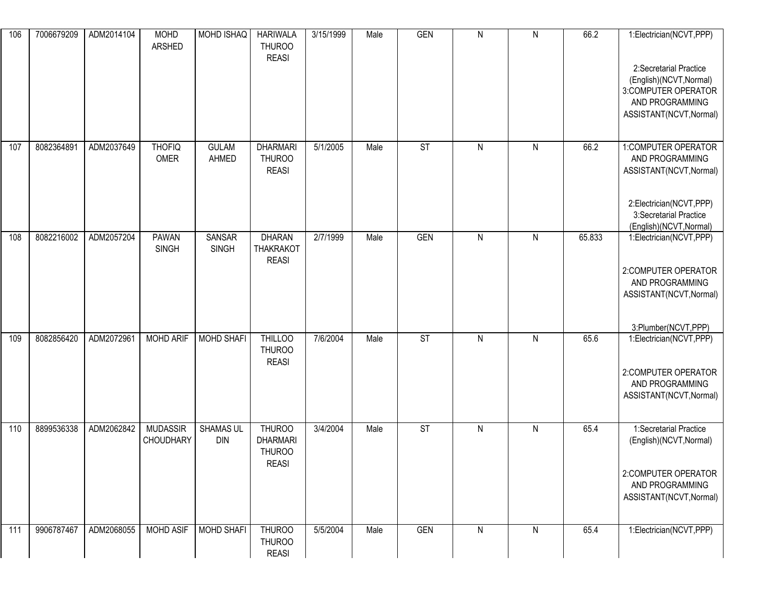| 106 | 7006679209 | ADM2014104 | <b>MOHD</b><br>ARSHED        | MOHD ISHAQ                    | <b>HARIWALA</b><br><b>THUROO</b><br><b>REASI</b>  | 3/15/1999 | Male | <b>GEN</b> | $\mathsf{N}$ | $\mathsf{N}$ | 66.2   | 1:Electrician(NCVT,PPP)                                                                                                |
|-----|------------|------------|------------------------------|-------------------------------|---------------------------------------------------|-----------|------|------------|--------------|--------------|--------|------------------------------------------------------------------------------------------------------------------------|
|     |            |            |                              |                               |                                                   |           |      |            |              |              |        | 2:Secretarial Practice<br>(English)(NCVT, Normal)<br>3:COMPUTER OPERATOR<br>AND PROGRAMMING<br>ASSISTANT(NCVT, Normal) |
| 107 | 8082364891 | ADM2037649 | <b>THOFIQ</b><br>OMER        | <b>GULAM</b><br>AHMED         | <b>DHARMARI</b><br><b>THUROO</b><br><b>REASI</b>  | 5/1/2005  | Male | ST         | $\mathsf{N}$ | $\mathsf{N}$ | 66.2   | 1:COMPUTER OPERATOR<br>AND PROGRAMMING<br>ASSISTANT(NCVT, Normal)                                                      |
|     |            |            |                              |                               |                                                   |           |      |            |              |              |        | 2:Electrician(NCVT,PPP)<br>3:Secretarial Practice<br>(English)(NCVT, Normal)                                           |
| 108 | 8082216002 | ADM2057204 | <b>PAWAN</b><br><b>SINGH</b> | <b>SANSAR</b><br><b>SINGH</b> | <b>DHARAN</b><br><b>THAKRAKOT</b><br><b>REASI</b> | 2/7/1999  | Male | <b>GEN</b> | $\mathsf{N}$ | $\mathsf{N}$ | 65.833 | 1:Electrician(NCVT,PPP)                                                                                                |
|     |            |            |                              |                               |                                                   |           |      |            |              |              |        | 2:COMPUTER OPERATOR<br>AND PROGRAMMING                                                                                 |
|     |            |            |                              |                               |                                                   |           |      |            |              |              |        | ASSISTANT(NCVT, Normal)                                                                                                |
|     |            |            |                              |                               |                                                   |           |      |            |              |              |        | 3:Plumber(NCVT,PPP)                                                                                                    |
| 109 | 8082856420 | ADM2072961 | <b>MOHD ARIF</b>             | <b>MOHD SHAFI</b>             | <b>THILLOO</b><br><b>THUROO</b><br><b>REASI</b>   | 7/6/2004  | Male | <b>ST</b>  | $\mathsf{N}$ | $\mathsf{N}$ | 65.6   | 1:Electrician(NCVT,PPP)                                                                                                |
|     |            |            |                              |                               |                                                   |           |      |            |              |              |        | 2:COMPUTER OPERATOR<br>AND PROGRAMMING<br>ASSISTANT(NCVT, Normal)                                                      |
| 110 | 8899536338 | ADM2062842 | <b>MUDASSIR</b>              | SHAMAS UL                     | <b>THUROO</b>                                     | 3/4/2004  | Male | ST         | $\mathsf{N}$ | $\mathsf{N}$ | 65.4   | 1:Secretarial Practice                                                                                                 |
|     |            |            | <b>CHOUDHARY</b>             | <b>DIN</b>                    | <b>DHARMARI</b><br><b>THUROO</b><br><b>REASI</b>  |           |      |            |              |              |        | (English)(NCVT, Normal)                                                                                                |
|     |            |            |                              |                               |                                                   |           |      |            |              |              |        | 2:COMPUTER OPERATOR<br>AND PROGRAMMING<br>ASSISTANT(NCVT, Normal)                                                      |
| 111 | 9906787467 | ADM2068055 | <b>MOHD ASIF</b>             | <b>MOHD SHAFI</b>             | <b>THUROO</b><br><b>THUROO</b><br><b>REASI</b>    | 5/5/2004  | Male | <b>GEN</b> | $\mathsf{N}$ | $\mathsf{N}$ | 65.4   | 1:Electrician(NCVT,PPP)                                                                                                |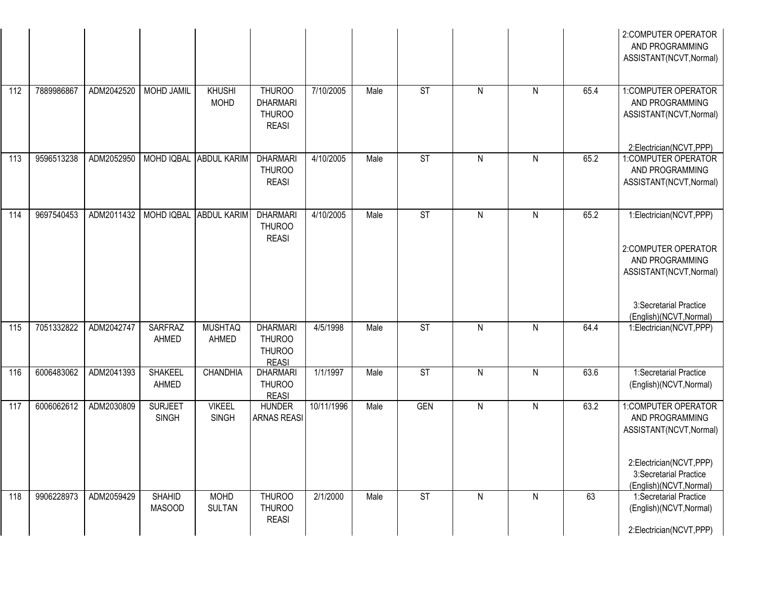|     |            |            |                                |                               |                                                                   |            |      |                        |                |                |      | 2:COMPUTER OPERATOR<br>AND PROGRAMMING<br>ASSISTANT(NCVT, Normal)                                                                                 |
|-----|------------|------------|--------------------------------|-------------------------------|-------------------------------------------------------------------|------------|------|------------------------|----------------|----------------|------|---------------------------------------------------------------------------------------------------------------------------------------------------|
| 112 | 7889986867 | ADM2042520 | <b>MOHD JAMIL</b>              | <b>KHUSHI</b><br><b>MOHD</b>  | <b>THUROO</b><br><b>DHARMARI</b><br><b>THUROO</b><br><b>REASI</b> | 7/10/2005  | Male | ST                     | $\mathsf{N}$   | $\mathsf{N}$   | 65.4 | 1:COMPUTER OPERATOR<br>AND PROGRAMMING<br>ASSISTANT(NCVT, Normal)                                                                                 |
| 113 | 9596513238 | ADM2052950 |                                | MOHD IQBAL ABDUL KARIM        | <b>DHARMARI</b><br><b>THUROO</b><br><b>REASI</b>                  | 4/10/2005  | Male | ST                     | $\mathsf{N}$   | ${\sf N}$      | 65.2 | 2:Electrician(NCVT,PPP)<br>1:COMPUTER OPERATOR<br>AND PROGRAMMING<br>ASSISTANT(NCVT, Normal)                                                      |
| 114 | 9697540453 | ADM2011432 |                                | MOHD IQBAL ABDUL KARIM        | <b>DHARMARI</b><br><b>THUROO</b><br><b>REASI</b>                  | 4/10/2005  | Male | $\overline{\text{ST}}$ | $\overline{N}$ | $\overline{N}$ | 65.2 | 1:Electrician(NCVT,PPP)<br>2:COMPUTER OPERATOR<br>AND PROGRAMMING<br>ASSISTANT(NCVT, Normal)<br>3:Secretarial Practice<br>(English)(NCVT, Normal) |
| 115 | 7051332822 | ADM2042747 | <b>SARFRAZ</b><br>AHMED        | <b>MUSHTAQ</b><br>AHMED       | <b>DHARMARI</b><br><b>THUROO</b><br><b>THUROO</b><br><b>REASI</b> | 4/5/1998   | Male | ST                     | $\mathsf{N}$   | $\overline{N}$ | 64.4 | 1:Electrician(NCVT,PPP)                                                                                                                           |
| 116 | 6006483062 | ADM2041393 | <b>SHAKEEL</b><br>AHMED        | <b>CHANDHIA</b>               | <b>DHARMARI</b><br><b>THUROO</b><br><b>REASI</b>                  | 1/1/1997   | Male | ST                     | $\mathsf{N}$   | $\mathsf{N}$   | 63.6 | 1:Secretarial Practice<br>(English)(NCVT, Normal)                                                                                                 |
| 117 | 6006062612 | ADM2030809 | <b>SURJEET</b><br><b>SINGH</b> | <b>VIKEEL</b><br><b>SINGH</b> | <b>HUNDER</b><br><b>ARNAS REASI</b>                               | 10/11/1996 | Male | <b>GEN</b>             | $\mathsf{N}$   | $\overline{N}$ | 63.2 | 1:COMPUTER OPERATOR<br>AND PROGRAMMING<br>ASSISTANT(NCVT, Normal)<br>2:Electrician(NCVT,PPP)<br>3:Secretarial Practice<br>(English)(NCVT, Normal) |
| 118 | 9906228973 | ADM2059429 | <b>SHAHID</b><br><b>MASOOD</b> | <b>MOHD</b><br><b>SULTAN</b>  | <b>THUROO</b><br><b>THUROO</b><br><b>REASI</b>                    | 2/1/2000   | Male | $\overline{\text{ST}}$ | $\mathsf{N}$   | $\mathsf{N}$   | 63   | 1:Secretarial Practice<br>(English)(NCVT, Normal)<br>2:Electrician(NCVT,PPP)                                                                      |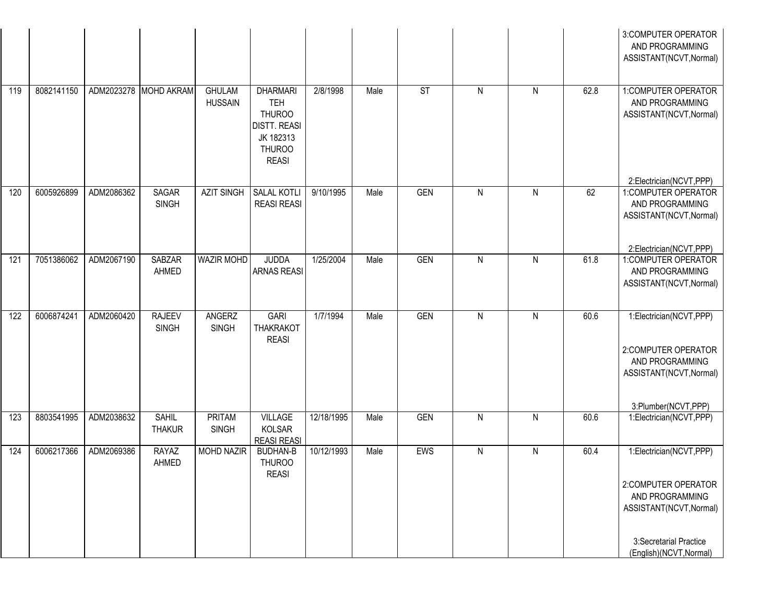|     |            |            |                               |                                 |                                                                                                                     |            |      |            |              |              |      | 3:COMPUTER OPERATOR<br>AND PROGRAMMING<br>ASSISTANT(NCVT, Normal)                                                                                 |
|-----|------------|------------|-------------------------------|---------------------------------|---------------------------------------------------------------------------------------------------------------------|------------|------|------------|--------------|--------------|------|---------------------------------------------------------------------------------------------------------------------------------------------------|
| 119 | 8082141150 |            | ADM2023278 MOHD AKRAM         | <b>GHULAM</b><br><b>HUSSAIN</b> | <b>DHARMARI</b><br><b>TEH</b><br><b>THUROO</b><br><b>DISTT. REASI</b><br>JK 182313<br><b>THUROO</b><br><b>REASI</b> | 2/8/1998   | Male | <b>ST</b>  | $\mathsf{N}$ | $\mathsf{N}$ | 62.8 | 1:COMPUTER OPERATOR<br>AND PROGRAMMING<br>ASSISTANT(NCVT, Normal)<br>2:Electrician(NCVT,PPP)                                                      |
| 120 | 6005926899 | ADM2086362 | SAGAR<br><b>SINGH</b>         | <b>AZIT SINGH</b>               | <b>SALAL KOTLI</b><br><b>REASI REASI</b>                                                                            | 9/10/1995  | Male | <b>GEN</b> | $\mathsf{N}$ | ${\sf N}$    | 62   | 1:COMPUTER OPERATOR<br>AND PROGRAMMING<br>ASSISTANT(NCVT, Normal)<br>2:Electrician(NCVT,PPP)                                                      |
| 121 | 7051386062 | ADM2067190 | <b>SABZAR</b><br>AHMED        | <b>WAZIR MOHD</b>               | <b>JUDDA</b><br><b>ARNAS REASI</b>                                                                                  | 1/25/2004  | Male | GEN        | $\mathsf{N}$ | $\mathsf{N}$ | 61.8 | 1:COMPUTER OPERATOR<br>AND PROGRAMMING<br>ASSISTANT(NCVT, Normal)                                                                                 |
| 122 | 6006874241 | ADM2060420 | <b>RAJEEV</b><br><b>SINGH</b> | ANGERZ<br><b>SINGH</b>          | <b>GARI</b><br><b>THAKRAKOT</b><br><b>REASI</b>                                                                     | 1/7/1994   | Male | <b>GEN</b> | $\mathsf{N}$ | $\mathsf{N}$ | 60.6 | 1:Electrician(NCVT,PPP)<br>2:COMPUTER OPERATOR<br>AND PROGRAMMING<br>ASSISTANT(NCVT, Normal)<br>3:Plumber(NCVT,PPP)                               |
| 123 | 8803541995 | ADM2038632 | <b>SAHIL</b><br><b>THAKUR</b> | PRITAM<br><b>SINGH</b>          | VILLAGE<br>KOLSAR<br><b>REASI REASI</b>                                                                             | 12/18/1995 | Male | <b>GEN</b> | $\mathsf{N}$ | $\mathsf{N}$ | 60.6 | 1:Electrician(NCVT,PPP)                                                                                                                           |
| 124 | 6006217366 | ADM2069386 | <b>RAYAZ</b><br>AHMED         | <b>MOHD NAZIR</b>               | <b>BUDHAN-B</b><br><b>THUROO</b><br><b>REASI</b>                                                                    | 10/12/1993 | Male | EWS        | $\mathsf{N}$ | $\mathsf{N}$ | 60.4 | 1:Electrician(NCVT,PPP)<br>2:COMPUTER OPERATOR<br>AND PROGRAMMING<br>ASSISTANT(NCVT, Normal)<br>3:Secretarial Practice<br>(English)(NCVT, Normal) |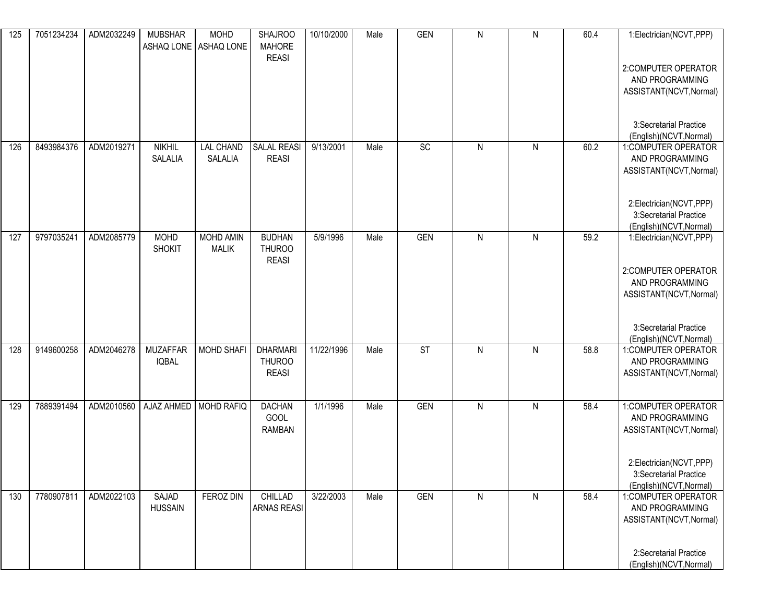| 125 | 7051234234 | ADM2032249 | <b>MUBSHAR</b>                  | <b>MOHD</b><br>ASHAQ LONE ASHAQ LONE | <b>SHAJROO</b><br><b>MAHORE</b>                  | 10/10/2000 | Male | <b>GEN</b>      | ${\sf N}$ | $\mathsf{N}$ | 60.4 | 1:Electrician(NCVT,PPP)                                                      |
|-----|------------|------------|---------------------------------|--------------------------------------|--------------------------------------------------|------------|------|-----------------|-----------|--------------|------|------------------------------------------------------------------------------|
|     |            |            |                                 |                                      | <b>REASI</b>                                     |            |      |                 |           |              |      | 2:COMPUTER OPERATOR<br>AND PROGRAMMING<br>ASSISTANT(NCVT, Normal)            |
|     |            |            |                                 |                                      |                                                  |            |      |                 |           |              |      | 3:Secretarial Practice<br>(English)(NCVT, Normal)                            |
| 126 | 8493984376 | ADM2019271 | <b>NIKHIL</b><br>SALALIA        | <b>LAL CHAND</b><br>SALALIA          | <b>SALAL REASI</b><br><b>REASI</b>               | 9/13/2001  | Male | $\overline{SC}$ | ${\sf N}$ | $\mathsf{N}$ | 60.2 | 1:COMPUTER OPERATOR<br>AND PROGRAMMING<br>ASSISTANT(NCVT, Normal)            |
|     |            |            |                                 |                                      |                                                  |            |      |                 |           |              |      | 2:Electrician(NCVT,PPP)<br>3:Secretarial Practice<br>(English)(NCVT, Normal) |
| 127 | 9797035241 | ADM2085779 | <b>MOHD</b><br><b>SHOKIT</b>    | MOHD AMIN<br><b>MALIK</b>            | <b>BUDHAN</b><br>THUROO<br><b>REASI</b>          | 5/9/1996   | Male | <b>GEN</b>      | ${\sf N}$ | ${\sf N}$    | 59.2 | 1:Electrician(NCVT,PPP)                                                      |
|     |            |            |                                 |                                      |                                                  |            |      |                 |           |              |      | 2:COMPUTER OPERATOR<br>AND PROGRAMMING<br>ASSISTANT(NCVT, Normal)            |
|     |            |            |                                 |                                      |                                                  |            |      |                 |           |              |      | 3:Secretarial Practice<br>(English)(NCVT, Normal)                            |
| 128 | 9149600258 | ADM2046278 | <b>MUZAFFAR</b><br><b>IQBAL</b> | <b>MOHD SHAFI</b>                    | <b>DHARMARI</b><br><b>THUROO</b><br><b>REASI</b> | 11/22/1996 | Male | <b>ST</b>       | ${\sf N}$ | ${\sf N}$    | 58.8 | 1:COMPUTER OPERATOR<br>AND PROGRAMMING<br>ASSISTANT(NCVT, Normal)            |
| 129 | 7889391494 | ADM2010560 | AJAZ AHMED                      | <b>MOHD RAFIQ</b>                    | <b>DACHAN</b><br>GOOL<br><b>RAMBAN</b>           | 1/1/1996   | Male | <b>GEN</b>      | ${\sf N}$ | ${\sf N}$    | 58.4 | 1: COMPUTER OPERATOR<br>AND PROGRAMMING<br>ASSISTANT(NCVT, Normal)           |
|     |            |            |                                 |                                      |                                                  |            |      |                 |           |              |      | 2:Electrician(NCVT,PPP)<br>3:Secretarial Practice<br>(English)(NCVT, Normal) |
| 130 | 7780907811 | ADM2022103 | SAJAD<br><b>HUSSAIN</b>         | FEROZ DIN                            | CHILLAD<br><b>ARNAS REASI</b>                    | 3/22/2003  | Male | GEN             | ${\sf N}$ | $\mathsf{N}$ | 58.4 | 1:COMPUTER OPERATOR<br>AND PROGRAMMING<br>ASSISTANT(NCVT, Normal)            |
|     |            |            |                                 |                                      |                                                  |            |      |                 |           |              |      | 2:Secretarial Practice<br>(English)(NCVT, Normal)                            |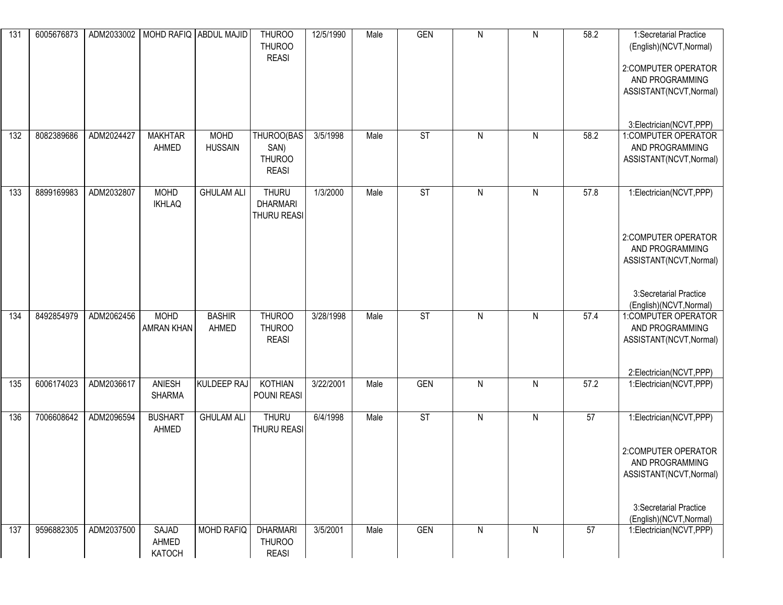| 131 | 6005676873 |            | ADM2033002   MOHD RAFIQ ABDUL MAJID |                   | <b>THUROO</b><br><b>THUROO</b> | 12/5/1990 | Male | <b>GEN</b>               | $\mathsf{N}$ | ${\sf N}$    | 58.2 | 1:Secretarial Practice                         |
|-----|------------|------------|-------------------------------------|-------------------|--------------------------------|-----------|------|--------------------------|--------------|--------------|------|------------------------------------------------|
|     |            |            |                                     |                   | <b>REASI</b>                   |           |      |                          |              |              |      | (English)(NCVT, Normal)                        |
|     |            |            |                                     |                   |                                |           |      |                          |              |              |      | 2:COMPUTER OPERATOR                            |
|     |            |            |                                     |                   |                                |           |      |                          |              |              |      | AND PROGRAMMING<br>ASSISTANT(NCVT, Normal)     |
|     |            |            |                                     |                   |                                |           |      |                          |              |              |      |                                                |
|     |            |            |                                     |                   |                                |           |      |                          |              |              |      | 3:Electrician(NCVT,PPP)                        |
| 132 | 8082389686 | ADM2024427 | <b>MAKHTAR</b>                      | <b>MOHD</b>       | THUROO(BAS                     | 3/5/1998  | Male | <b>ST</b>                | $\mathsf{N}$ | $\mathsf{N}$ | 58.2 | 1:COMPUTER OPERATOR                            |
|     |            |            | AHMED                               | <b>HUSSAIN</b>    | SAN)                           |           |      |                          |              |              |      | AND PROGRAMMING                                |
|     |            |            |                                     |                   | <b>THUROO</b><br><b>REASI</b>  |           |      |                          |              |              |      | ASSISTANT(NCVT, Normal)                        |
|     |            |            |                                     |                   |                                |           |      |                          |              |              |      |                                                |
| 133 | 8899169983 | ADM2032807 | <b>MOHD</b>                         | <b>GHULAM ALI</b> | <b>THURU</b>                   | 1/3/2000  | Male | $\overline{\mathsf{ST}}$ | $\mathsf{N}$ | $\mathsf{N}$ | 57.8 | 1:Electrician(NCVT,PPP)                        |
|     |            |            | <b>IKHLAQ</b>                       |                   | <b>DHARMARI</b><br>THURU REASI |           |      |                          |              |              |      |                                                |
|     |            |            |                                     |                   |                                |           |      |                          |              |              |      |                                                |
|     |            |            |                                     |                   |                                |           |      |                          |              |              |      | 2:COMPUTER OPERATOR                            |
|     |            |            |                                     |                   |                                |           |      |                          |              |              |      | AND PROGRAMMING                                |
|     |            |            |                                     |                   |                                |           |      |                          |              |              |      | ASSISTANT(NCVT, Normal)                        |
|     |            |            |                                     |                   |                                |           |      |                          |              |              |      |                                                |
|     |            |            |                                     |                   |                                |           |      |                          |              |              |      | 3:Secretarial Practice                         |
| 134 | 8492854979 | ADM2062456 | <b>MOHD</b>                         | <b>BASHIR</b>     | <b>THUROO</b>                  | 3/28/1998 | Male | $\overline{\text{ST}}$   | $\mathsf{N}$ | $\mathsf{N}$ | 57.4 | (English)(NCVT, Normal)<br>1:COMPUTER OPERATOR |
|     |            |            | <b>AMRAN KHAN</b>                   | AHMED             | <b>THUROO</b>                  |           |      |                          |              |              |      | AND PROGRAMMING                                |
|     |            |            |                                     |                   | <b>REASI</b>                   |           |      |                          |              |              |      | ASSISTANT(NCVT, Normal)                        |
|     |            |            |                                     |                   |                                |           |      |                          |              |              |      |                                                |
|     |            |            |                                     |                   |                                |           |      |                          |              |              |      | 2:Electrician(NCVT,PPP)                        |
| 135 | 6006174023 | ADM2036617 | ANIESH                              | KULDEEP RAJ       | KOTHIAN                        | 3/22/2001 | Male | <b>GEN</b>               | $\mathsf{N}$ | $\mathsf{N}$ | 57.2 | 1:Electrician(NCVT,PPP)                        |
|     |            |            | <b>SHARMA</b>                       |                   | POUNI REASI                    |           |      |                          |              |              |      |                                                |
| 136 | 7006608642 | ADM2096594 | <b>BUSHART</b>                      | <b>GHULAM ALI</b> | <b>THURU</b>                   | 6/4/1998  | Male | $\overline{\mathsf{ST}}$ | $\mathsf{N}$ | $\mathsf{N}$ | 57   | 1:Electrician(NCVT,PPP)                        |
|     |            |            | AHMED                               |                   | THURU REASI                    |           |      |                          |              |              |      |                                                |
|     |            |            |                                     |                   |                                |           |      |                          |              |              |      | 2:COMPUTER OPERATOR                            |
|     |            |            |                                     |                   |                                |           |      |                          |              |              |      | AND PROGRAMMING                                |
|     |            |            |                                     |                   |                                |           |      |                          |              |              |      | ASSISTANT(NCVT, Normal)                        |
|     |            |            |                                     |                   |                                |           |      |                          |              |              |      |                                                |
|     |            |            |                                     |                   |                                |           |      |                          |              |              |      | 3:Secretarial Practice                         |
|     |            |            |                                     |                   |                                |           |      |                          |              |              |      | (English)(NCVT, Normal)                        |
| 137 | 9596882305 | ADM2037500 | SAJAD                               | <b>MOHD RAFIQ</b> | <b>DHARMARI</b>                | 3/5/2001  | Male | <b>GEN</b>               | $\mathsf{N}$ | ${\sf N}$    | 57   | 1:Electrician(NCVT,PPP)                        |
|     |            |            | AHMED<br>KATOCH                     |                   | <b>THUROO</b><br><b>REASI</b>  |           |      |                          |              |              |      |                                                |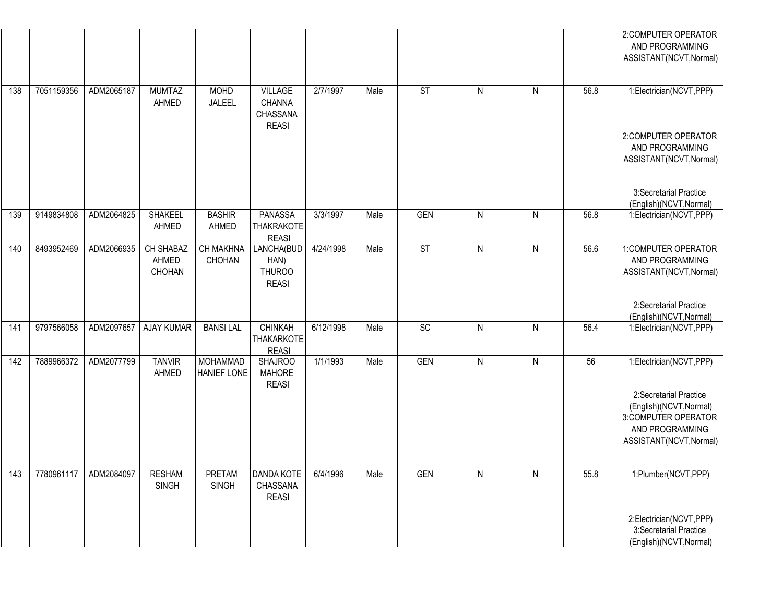|     |            |            |                                     |                                |                                                     |           |      |                 |              |              |      | 2:COMPUTER OPERATOR<br>AND PROGRAMMING<br>ASSISTANT(NCVT, Normal)                                                      |
|-----|------------|------------|-------------------------------------|--------------------------------|-----------------------------------------------------|-----------|------|-----------------|--------------|--------------|------|------------------------------------------------------------------------------------------------------------------------|
| 138 | 7051159356 | ADM2065187 | <b>MUMTAZ</b><br>AHMED              | <b>MOHD</b><br>JALEEL          | VILLAGE<br>CHANNA<br>CHASSANA<br><b>REASI</b>       | 2/7/1997  | Male | <b>ST</b>       | $\mathsf{N}$ | $\mathsf{N}$ | 56.8 | 1:Electrician(NCVT,PPP)                                                                                                |
|     |            |            |                                     |                                |                                                     |           |      |                 |              |              |      | 2:COMPUTER OPERATOR<br>AND PROGRAMMING<br>ASSISTANT(NCVT, Normal)                                                      |
|     |            |            |                                     |                                |                                                     |           |      |                 |              |              |      | 3:Secretarial Practice<br>(English)(NCVT, Normal)                                                                      |
| 139 | 9149834808 | ADM2064825 | <b>SHAKEEL</b><br>AHMED             | <b>BASHIR</b><br>AHMED         | <b>PANASSA</b><br><b>THAKRAKOTE</b><br><b>REASI</b> | 3/3/1997  | Male | <b>GEN</b>      | $\mathsf{N}$ | N            | 56.8 | 1:Electrician(NCVT,PPP)                                                                                                |
| 140 | 8493952469 | ADM2066935 | <b>CH SHABAZ</b><br>AHMED<br>CHOHAN | CH MAKHNA<br>CHOHAN            | LANCHA(BUD<br>HAN)<br><b>THUROO</b><br><b>REASI</b> | 4/24/1998 | Male | ST              | $\mathsf{N}$ | N            | 56.6 | 1:COMPUTER OPERATOR<br>AND PROGRAMMING<br>ASSISTANT(NCVT, Normal)                                                      |
|     |            |            |                                     |                                |                                                     |           |      |                 |              |              |      | 2:Secretarial Practice<br>(English)(NCVT, Normal)                                                                      |
| 141 | 9797566058 | ADM2097657 | <b>AJAY KUMAR</b>                   | <b>BANSILAL</b>                | <b>CHINKAH</b><br><b>THAKARKOTE</b><br><b>REASI</b> | 6/12/1998 | Male | $\overline{SC}$ | $\mathsf{N}$ | $\mathsf{N}$ | 56.4 | 1:Electrician(NCVT,PPP)                                                                                                |
| 142 | 7889966372 | ADM2077799 | <b>TANVIR</b><br>AHMED              | <b>MOHAMMAD</b><br>HANIEF LONE | <b>SHAJROO</b><br><b>MAHORE</b><br><b>REASI</b>     | 1/1/1993  | Male | <b>GEN</b>      | $\mathsf{N}$ | $\mathsf{N}$ | 56   | 1:Electrician(NCVT,PPP)                                                                                                |
|     |            |            |                                     |                                |                                                     |           |      |                 |              |              |      | 2:Secretarial Practice<br>(English)(NCVT, Normal)<br>3:COMPUTER OPERATOR<br>AND PROGRAMMING<br>ASSISTANT(NCVT, Normal) |
| 143 | 7780961117 | ADM2084097 | <b>RESHAM</b><br><b>SINGH</b>       | <b>PRETAM</b><br><b>SINGH</b>  | DANDA KOTE<br>CHASSANA<br><b>REASI</b>              | 6/4/1996  | Male | <b>GEN</b>      | N            | N            | 55.8 | 1:Plumber(NCVT,PPP)                                                                                                    |
|     |            |            |                                     |                                |                                                     |           |      |                 |              |              |      | 2:Electrician(NCVT,PPP)<br>3:Secretarial Practice<br>(English)(NCVT, Normal)                                           |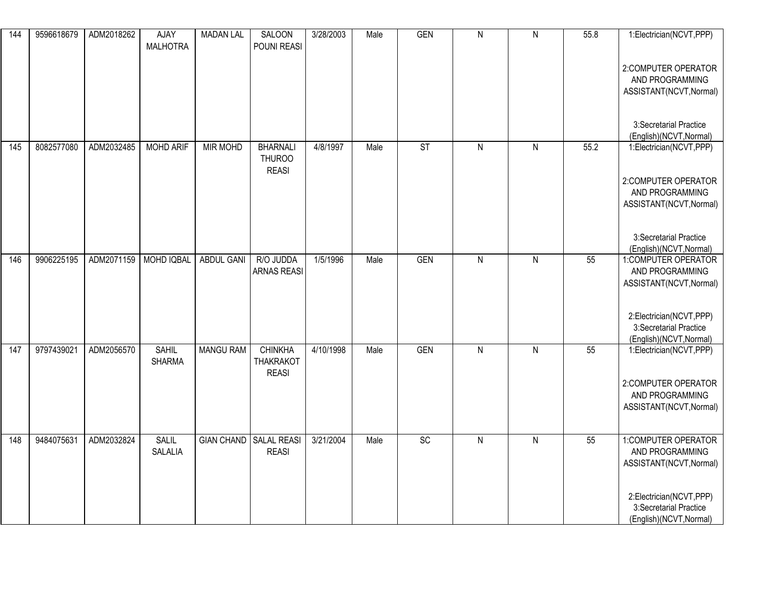| 144 | 9596618679 | ADM2018262 | AJAY<br><b>MALHOTRA</b>        | <b>MADAN LAL</b>       | SALOON<br>POUNI REASI                            | 3/28/2003 | Male | GEN        | $\mathsf{N}$   | $\mathsf{N}$   | 55.8 | 1:Electrician(NCVT,PPP)                                                      |
|-----|------------|------------|--------------------------------|------------------------|--------------------------------------------------|-----------|------|------------|----------------|----------------|------|------------------------------------------------------------------------------|
|     |            |            |                                |                        |                                                  |           |      |            |                |                |      | 2:COMPUTER OPERATOR<br>AND PROGRAMMING<br>ASSISTANT(NCVT, Normal)            |
|     |            |            |                                |                        |                                                  |           |      |            |                |                |      | 3:Secretarial Practice<br>(English)(NCVT, Normal)                            |
| 145 | 8082577080 | ADM2032485 | <b>MOHD ARIF</b>               | <b>MIR MOHD</b>        | <b>BHARNALI</b><br><b>THUROO</b><br><b>REASI</b> | 4/8/1997  | Male | ST         | $\mathsf{N}$   | $\mathsf{N}$   | 55.2 | 1:Electrician(NCVT,PPP)                                                      |
|     |            |            |                                |                        |                                                  |           |      |            |                |                |      | 2:COMPUTER OPERATOR<br>AND PROGRAMMING                                       |
|     |            |            |                                |                        |                                                  |           |      |            |                |                |      | ASSISTANT(NCVT, Normal)                                                      |
|     |            |            |                                |                        |                                                  |           |      |            |                |                |      | 3:Secretarial Practice<br>(English)(NCVT, Normal)                            |
| 146 | 9906225195 | ADM2071159 | MOHD IQBAL                     | <b>ABDUL GANI</b>      | R/O JUDDA<br><b>ARNAS REASI</b>                  | 1/5/1996  | Male | <b>GEN</b> | $\overline{N}$ | $\overline{N}$ | 55   | 1:COMPUTER OPERATOR<br>AND PROGRAMMING<br>ASSISTANT(NCVT, Normal)            |
|     |            |            |                                |                        |                                                  |           |      |            |                |                |      |                                                                              |
|     |            |            |                                |                        |                                                  |           |      |            |                |                |      | 2:Electrician(NCVT,PPP)<br>3:Secretarial Practice<br>(English)(NCVT, Normal) |
| 147 | 9797439021 | ADM2056570 | <b>SAHIL</b><br><b>SHARMA</b>  | <b>MANGU RAM</b>       | <b>CHINKHA</b><br><b>THAKRAKOT</b>               | 4/10/1998 | Male | <b>GEN</b> | $\mathsf{N}$   | $\mathsf{N}$   | 55   | 1:Electrician(NCVT,PPP)                                                      |
|     |            |            |                                |                        | <b>REASI</b>                                     |           |      |            |                |                |      | 2:COMPUTER OPERATOR<br>AND PROGRAMMING                                       |
|     |            |            |                                |                        |                                                  |           |      |            |                |                |      | ASSISTANT(NCVT, Normal)                                                      |
| 148 | 9484075631 | ADM2032824 | <b>SALIL</b><br><b>SALALIA</b> | GIAN CHAND SALAL REASI | <b>REASI</b>                                     | 3/21/2004 | Male | SC         | $\mathsf{N}$   | $\mathsf{N}$   | 55   | 1:COMPUTER OPERATOR<br>AND PROGRAMMING                                       |
|     |            |            |                                |                        |                                                  |           |      |            |                |                |      | ASSISTANT(NCVT, Normal)                                                      |
|     |            |            |                                |                        |                                                  |           |      |            |                |                |      | 2:Electrician(NCVT,PPP)<br>3:Secretarial Practice                            |
|     |            |            |                                |                        |                                                  |           |      |            |                |                |      | (English)(NCVT, Normal)                                                      |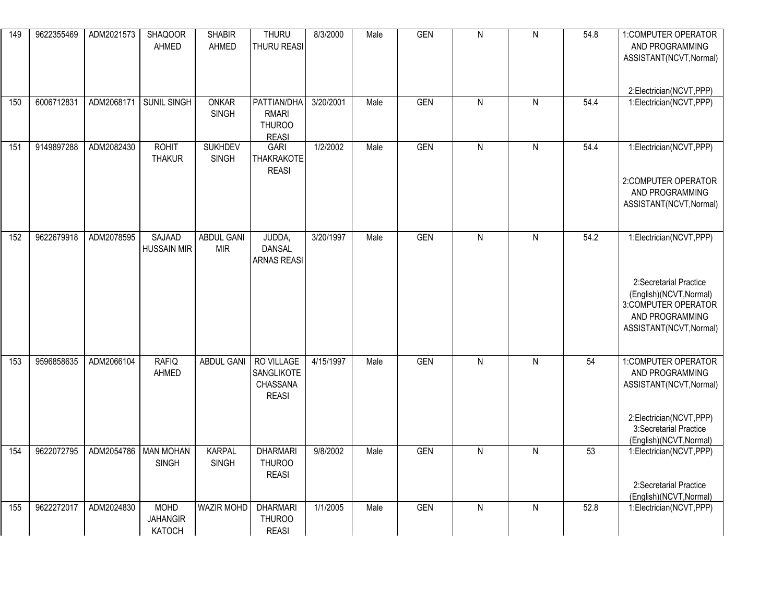| 149 | 9622355469 | ADM2021573 | <b>SHAQOOR</b><br>AHMED                  | <b>SHABIR</b><br>AHMED          | <b>THURU</b><br>THURU REASI                           | 8/3/2000  | Male | <b>GEN</b> | $\overline{N}$ | $\overline{N}$ | 54.8 | 1:COMPUTER OPERATOR<br>AND PROGRAMMING<br>ASSISTANT(NCVT, Normal)<br>2:Electrician(NCVT,PPP)                                                       |
|-----|------------|------------|------------------------------------------|---------------------------------|-------------------------------------------------------|-----------|------|------------|----------------|----------------|------|----------------------------------------------------------------------------------------------------------------------------------------------------|
| 150 | 6006712831 | ADM2068171 | <b>SUNIL SINGH</b>                       | <b>ONKAR</b><br><b>SINGH</b>    | PATTIAN/DHA<br>RMARI<br><b>THUROO</b><br><b>REASI</b> | 3/20/2001 | Male | <b>GEN</b> | $\overline{N}$ | $\overline{N}$ | 54.4 | 1:Electrician(NCVT,PPP)                                                                                                                            |
| 151 | 9149897288 | ADM2082430 | <b>ROHIT</b><br><b>THAKUR</b>            | <b>SUKHDEV</b><br><b>SINGH</b>  | <b>GARI</b><br><b>THAKRAKOTE</b><br><b>REASI</b>      | 1/2/2002  | Male | <b>GEN</b> | $\overline{N}$ | $\overline{N}$ | 54.4 | 1:Electrician(NCVT,PPP)<br>2:COMPUTER OPERATOR<br>AND PROGRAMMING<br>ASSISTANT(NCVT, Normal)                                                       |
| 152 | 9622679918 | ADM2078595 | <b>SAJAAD</b><br><b>HUSSAIN MIR</b>      | <b>ABDUL GANI</b><br><b>MIR</b> | JUDDA,<br><b>DANSAL</b><br><b>ARNAS REASI</b>         | 3/20/1997 | Male | <b>GEN</b> | $\mathsf{N}$   | $\mathsf{N}$   | 54.2 | 1:Electrician(NCVT,PPP)<br>2:Secretarial Practice<br>(English)(NCVT, Normal)<br>3:COMPUTER OPERATOR<br>AND PROGRAMMING<br>ASSISTANT(NCVT, Normal)  |
| 153 | 9596858635 | ADM2066104 | <b>RAFIQ</b><br>AHMED                    | <b>ABDUL GANI</b>               | RO VILLAGE<br>SANGLIKOTE<br>CHASSANA<br><b>REASI</b>  | 4/15/1997 | Male | <b>GEN</b> | $\overline{N}$ | $\overline{N}$ | 54   | 1: COMPUTER OPERATOR<br>AND PROGRAMMING<br>ASSISTANT(NCVT, Normal)<br>2:Electrician(NCVT,PPP)<br>3:Secretarial Practice<br>(English)(NCVT, Normal) |
| 154 | 9622072795 | ADM2054786 | <b>MAN MOHAN</b><br><b>SINGH</b>         | <b>KARPAL</b><br><b>SINGH</b>   | <b>DHARMARI</b><br><b>THUROO</b><br><b>REASI</b>      | 9/8/2002  | Male | <b>GEN</b> | ${\sf N}$      | ${\sf N}$      | 53   | 1:Electrician(NCVT,PPP)<br>2:Secretarial Practice<br>(English)(NCVT, Normal)                                                                       |
| 155 | 9622272017 | ADM2024830 | <b>MOHD</b><br><b>JAHANGIR</b><br>KATOCH | <b>WAZIR MOHD</b>               | <b>DHARMARI</b><br><b>THUROO</b><br><b>REASI</b>      | 1/1/2005  | Male | <b>GEN</b> | $\overline{N}$ | $\overline{N}$ | 52.8 | 1:Electrician(NCVT,PPP)                                                                                                                            |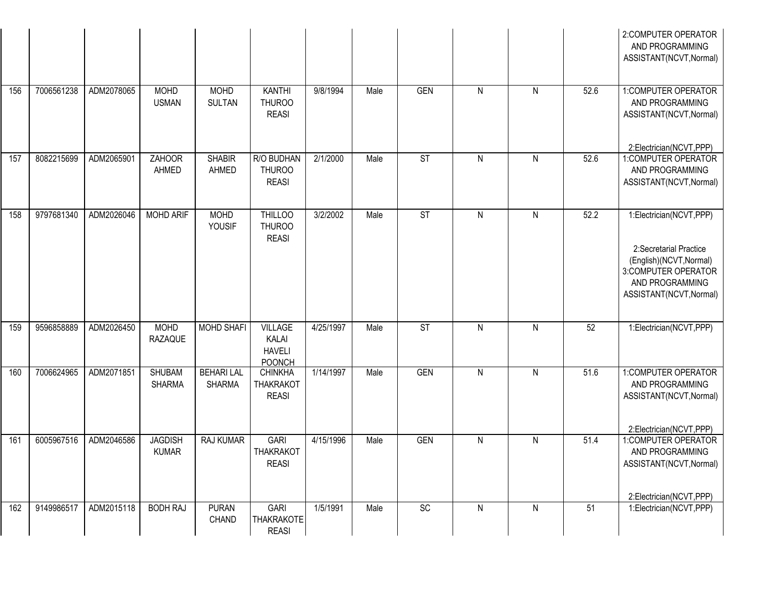|     |            |            |                                |                                    |                                                           |           |      |                 |                         |              |      | 2:COMPUTER OPERATOR<br>AND PROGRAMMING<br>ASSISTANT(NCVT, Normal)                                                                                 |
|-----|------------|------------|--------------------------------|------------------------------------|-----------------------------------------------------------|-----------|------|-----------------|-------------------------|--------------|------|---------------------------------------------------------------------------------------------------------------------------------------------------|
| 156 | 7006561238 | ADM2078065 | <b>MOHD</b><br><b>USMAN</b>    | <b>MOHD</b><br><b>SULTAN</b>       | <b>KANTHI</b><br><b>THUROO</b><br><b>REASI</b>            | 9/8/1994  | Male | <b>GEN</b>      | $\mathsf{N}$            | ${\sf N}$    | 52.6 | 1:COMPUTER OPERATOR<br>AND PROGRAMMING<br>ASSISTANT(NCVT, Normal)                                                                                 |
| 157 | 8082215699 | ADM2065901 | <b>ZAHOOR</b><br>AHMED         | <b>SHABIR</b><br>AHMED             | R/O BUDHAN<br><b>THUROO</b><br><b>REASI</b>               | 2/1/2000  | Male | ST              | $\mathsf{N}$            | N            | 52.6 | 2:Electrician(NCVT,PPP)<br>1:COMPUTER OPERATOR<br>AND PROGRAMMING<br>ASSISTANT(NCVT, Normal)                                                      |
| 158 | 9797681340 | ADM2026046 | <b>MOHD ARIF</b>               | <b>MOHD</b><br>YOUSIF              | <b>THILLOO</b><br><b>THUROO</b><br><b>REASI</b>           | 3/2/2002  | Male | ST              | $\mathsf{N}$            | ${\sf N}$    | 52.2 | 1:Electrician(NCVT,PPP)<br>2:Secretarial Practice<br>(English)(NCVT, Normal)<br>3:COMPUTER OPERATOR<br>AND PROGRAMMING<br>ASSISTANT(NCVT, Normal) |
| 159 | 9596858889 | ADM2026450 | <b>MOHD</b><br><b>RAZAQUE</b>  | <b>MOHD SHAFI</b>                  | <b>VILLAGE</b><br>KALAI<br><b>HAVELI</b><br><b>POONCH</b> | 4/25/1997 | Male | ST              | $\mathsf{N}$            | N            | 52   | 1:Electrician(NCVT,PPP)                                                                                                                           |
| 160 | 7006624965 | ADM2071851 | <b>SHUBAM</b><br><b>SHARMA</b> | <b>BEHARI LAL</b><br><b>SHARMA</b> | <b>CHINKHA</b><br><b>THAKRAKOT</b><br><b>REASI</b>        | 1/14/1997 | Male | <b>GEN</b>      | $\overline{\mathsf{N}}$ | $\mathsf{N}$ | 51.6 | 1:COMPUTER OPERATOR<br>AND PROGRAMMING<br>ASSISTANT(NCVT, Normal)<br>2:Electrician(NCVT,PPP)                                                      |
| 161 | 6005967516 | ADM2046586 | <b>JAGDISH</b><br><b>KUMAR</b> | <b>RAJ KUMAR</b>                   | <b>GARI</b><br><b>THAKRAKOT</b><br><b>REASI</b>           | 4/15/1996 | Male | <b>GEN</b>      | $\overline{N}$          | ${\sf N}$    | 51.4 | 1:COMPUTER OPERATOR<br>AND PROGRAMMING<br>ASSISTANT(NCVT, Normal)<br>2:Electrician(NCVT,PPP)                                                      |
| 162 | 9149986517 | ADM2015118 | <b>BODH RAJ</b>                | <b>PURAN</b><br><b>CHAND</b>       | GARI<br><b>THAKRAKOTE</b><br><b>REASI</b>                 | 1/5/1991  | Male | $\overline{SC}$ | $\overline{N}$          | $\mathsf{N}$ | 51   | 1:Electrician(NCVT,PPP)                                                                                                                           |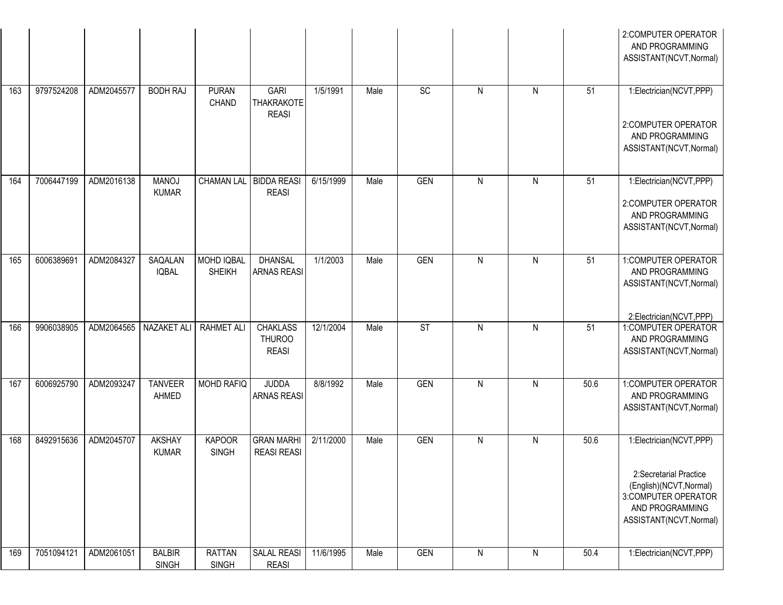|     |            |            |                               |                               |                                                  |           |      |                 |                |                |      | 2:COMPUTER OPERATOR<br>AND PROGRAMMING<br>ASSISTANT(NCVT, Normal)                                                                                 |
|-----|------------|------------|-------------------------------|-------------------------------|--------------------------------------------------|-----------|------|-----------------|----------------|----------------|------|---------------------------------------------------------------------------------------------------------------------------------------------------|
| 163 | 9797524208 | ADM2045577 | <b>BODH RAJ</b>               | <b>PURAN</b><br><b>CHAND</b>  | <b>GARI</b><br><b>THAKRAKOTE</b><br><b>REASI</b> | 1/5/1991  | Male | $\overline{SC}$ | $\mathsf{N}$   | $\mathsf{N}$   | 51   | 1:Electrician(NCVT,PPP)<br>2:COMPUTER OPERATOR<br>AND PROGRAMMING<br>ASSISTANT(NCVT, Normal)                                                      |
| 164 | 7006447199 | ADM2016138 | <b>MANOJ</b><br><b>KUMAR</b>  | CHAMAN LAL   BIDDA REASI      | <b>REASI</b>                                     | 6/15/1999 | Male | <b>GEN</b>      | $\mathsf{N}$   | $\mathsf{N}$   | 51   | 1:Electrician(NCVT,PPP)<br>2:COMPUTER OPERATOR<br>AND PROGRAMMING<br>ASSISTANT(NCVT, Normal)                                                      |
| 165 | 6006389691 | ADM2084327 | SAQALAN<br><b>IQBAL</b>       | MOHD IQBAL<br><b>SHEIKH</b>   | <b>DHANSAL</b><br><b>ARNAS REASI</b>             | 1/1/2003  | Male | <b>GEN</b>      | $\mathsf{N}$   | $\mathsf{N}$   | 51   | 1:COMPUTER OPERATOR<br>AND PROGRAMMING<br>ASSISTANT(NCVT, Normal)<br>2:Electrician(NCVT,PPP)                                                      |
| 166 | 9906038905 | ADM2064565 | NAZAKET ALI                   | <b>RAHMET ALI</b>             | <b>CHAKLASS</b><br><b>THUROO</b><br><b>REASI</b> | 12/1/2004 | Male | ST              | $\overline{N}$ | $\overline{N}$ | 51   | 1:COMPUTER OPERATOR<br>AND PROGRAMMING<br>ASSISTANT(NCVT, Normal)                                                                                 |
| 167 | 6006925790 | ADM2093247 | <b>TANVEER</b><br>AHMED       | MOHD RAFIQ                    | <b>JUDDA</b><br><b>ARNAS REASI</b>               | 8/8/1992  | Male | <b>GEN</b>      | $\mathsf{N}$   | $\mathsf{N}$   | 50.6 | 1:COMPUTER OPERATOR<br>AND PROGRAMMING<br>ASSISTANT(NCVT, Normal)                                                                                 |
| 168 | 8492915636 | ADM2045707 | <b>AKSHAY</b><br><b>KUMAR</b> | <b>KAPOOR</b><br><b>SINGH</b> | <b>GRAN MARHI</b><br><b>REASI REASI</b>          | 2/11/2000 | Male | <b>GEN</b>      | $\mathsf{N}$   | $\mathsf{N}$   | 50.6 | 1:Electrician(NCVT,PPP)<br>2:Secretarial Practice<br>(English)(NCVT, Normal)<br>3:COMPUTER OPERATOR<br>AND PROGRAMMING<br>ASSISTANT(NCVT, Normal) |
| 169 | 7051094121 | ADM2061051 | <b>BALBIR</b><br><b>SINGH</b> | <b>RATTAN</b><br><b>SINGH</b> | <b>SALAL REASI</b><br><b>REASI</b>               | 11/6/1995 | Male | GEN             | $\mathsf{N}$   | $\mathsf{N}$   | 50.4 | 1:Electrician(NCVT,PPP)                                                                                                                           |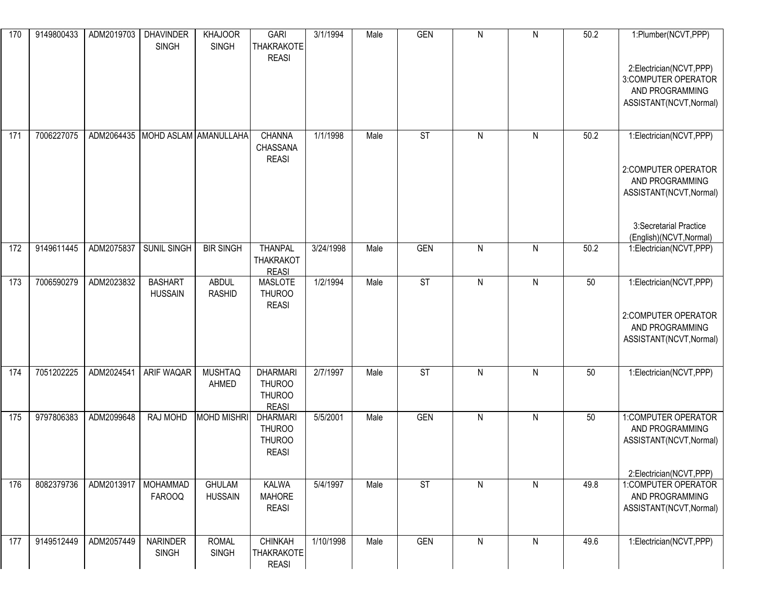| 170 | 9149800433 | ADM2019703 | <b>DHAVINDER</b><br><b>SINGH</b> | <b>KHAJOOR</b><br><b>SINGH</b>  | <b>GARI</b><br><b>THAKRAKOTE</b><br><b>REASI</b>                  | 3/1/1994  | Male | <b>GEN</b> | ${\sf N}$    | $\mathsf{N}$ | 50.2 | 1:Plumber(NCVT,PPP)<br>2:Electrician(NCVT,PPP)<br>3:COMPUTER OPERATOR<br>AND PROGRAMMING<br>ASSISTANT(NCVT, Normal) |
|-----|------------|------------|----------------------------------|---------------------------------|-------------------------------------------------------------------|-----------|------|------------|--------------|--------------|------|---------------------------------------------------------------------------------------------------------------------|
| 171 | 7006227075 | ADM2064435 |                                  | MOHD ASLAM AMANULLAHA           | CHANNA<br>CHASSANA<br><b>REASI</b>                                | 1/1/1998  | Male | <b>ST</b>  | $\mathsf{N}$ | ${\sf N}$    | 50.2 | 1:Electrician(NCVT,PPP)<br>2:COMPUTER OPERATOR<br>AND PROGRAMMING<br>ASSISTANT(NCVT, Normal)                        |
| 172 | 9149611445 | ADM2075837 | SUNIL SINGH                      | <b>BIR SINGH</b>                | <b>THANPAL</b>                                                    | 3/24/1998 | Male | <b>GEN</b> | $\mathsf{N}$ | N            | 50.2 | 3:Secretarial Practice<br>(English)(NCVT, Normal)<br>1:Electrician(NCVT,PPP)                                        |
|     |            |            |                                  |                                 | <b>THAKRAKOT</b><br><b>REASI</b>                                  |           |      |            |              |              |      |                                                                                                                     |
| 173 | 7006590279 | ADM2023832 | <b>BASHART</b><br><b>HUSSAIN</b> | <b>ABDUL</b><br><b>RASHID</b>   | <b>MASLOTE</b><br><b>THUROO</b><br><b>REASI</b>                   | 1/2/1994  | Male | <b>ST</b>  | $\mathsf{N}$ | $\mathsf{N}$ | 50   | 1:Electrician(NCVT,PPP)<br>2:COMPUTER OPERATOR<br>AND PROGRAMMING<br>ASSISTANT(NCVT, Normal)                        |
| 174 | 7051202225 | ADM2024541 | ARIF WAQAR                       | <b>MUSHTAQ</b><br>AHMED         | <b>DHARMARI</b><br><b>THUROO</b><br><b>THUROO</b><br><b>REASI</b> | 2/7/1997  | Male | <b>ST</b>  | $\mathsf{N}$ | N            | 50   | 1:Electrician(NCVT,PPP)                                                                                             |
| 175 | 9797806383 | ADM2099648 | <b>RAJ MOHD</b>                  | <b>MOHD MISHRI</b>              | <b>DHARMARI</b><br><b>THUROO</b><br><b>THUROO</b><br><b>REASI</b> | 5/5/2001  | Male | GEN        | $\mathsf{N}$ | N            | 50   | 1:COMPUTER OPERATOR<br>AND PROGRAMMING<br>ASSISTANT(NCVT, Normal)                                                   |
| 176 | 8082379736 | ADM2013917 | <b>MOHAMMAD</b><br><b>FAROOQ</b> | <b>GHULAM</b><br><b>HUSSAIN</b> | <b>KALWA</b><br><b>MAHORE</b><br><b>REASI</b>                     | 5/4/1997  | Male | <b>ST</b>  | ${\sf N}$    | N            | 49.8 | 2:Electrician(NCVT,PPP)<br>1:COMPUTER OPERATOR<br>AND PROGRAMMING<br>ASSISTANT(NCVT, Normal)                        |
| 177 | 9149512449 | ADM2057449 | <b>NARINDER</b><br><b>SINGH</b>  | <b>ROMAL</b><br><b>SINGH</b>    | <b>CHINKAH</b><br><b>THAKRAKOTE</b><br><b>REASI</b>               | 1/10/1998 | Male | <b>GEN</b> | ${\sf N}$    | $\mathsf{N}$ | 49.6 | 1:Electrician(NCVT,PPP)                                                                                             |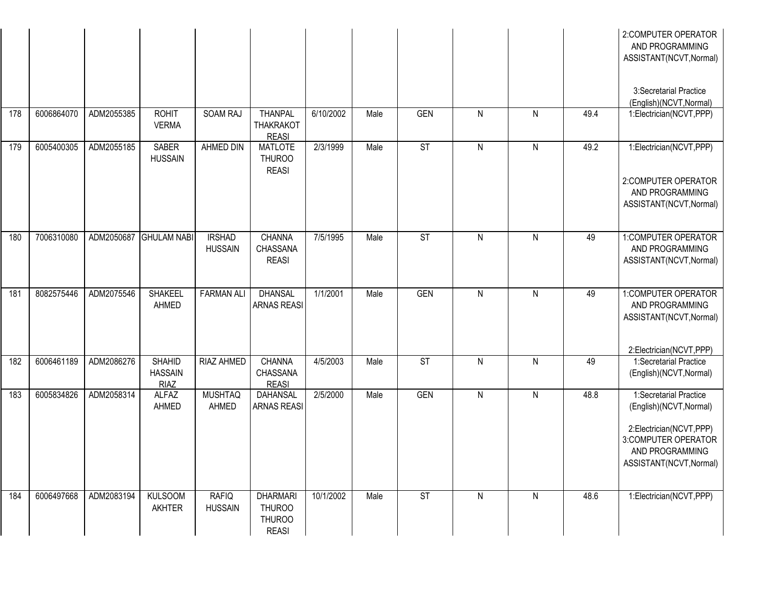|     |            |            |                                                |                                 |                                                                   |           |      |                        |                |                |      | 2:COMPUTER OPERATOR<br>AND PROGRAMMING<br>ASSISTANT(NCVT, Normal)                                                                                 |
|-----|------------|------------|------------------------------------------------|---------------------------------|-------------------------------------------------------------------|-----------|------|------------------------|----------------|----------------|------|---------------------------------------------------------------------------------------------------------------------------------------------------|
|     |            |            |                                                |                                 |                                                                   |           |      |                        |                |                |      | 3:Secretarial Practice<br>(English)(NCVT, Normal)                                                                                                 |
| 178 | 6006864070 | ADM2055385 | <b>ROHIT</b><br><b>VERMA</b>                   | <b>SOAM RAJ</b>                 | <b>THANPAL</b><br><b>THAKRAKOT</b><br><b>REASI</b>                | 6/10/2002 | Male | <b>GEN</b>             | $\overline{N}$ | $\overline{N}$ | 49.4 | 1:Electrician(NCVT,PPP)                                                                                                                           |
| 179 | 6005400305 | ADM2055185 | <b>SABER</b><br><b>HUSSAIN</b>                 | <b>AHMED DIN</b>                | <b>MATLOTE</b><br><b>THUROO</b><br><b>REASI</b>                   | 2/3/1999  | Male | $\overline{\text{ST}}$ | $\overline{N}$ | $\overline{N}$ | 49.2 | 1:Electrician(NCVT,PPP)<br>2:COMPUTER OPERATOR                                                                                                    |
|     |            |            |                                                |                                 |                                                                   |           |      |                        |                |                |      | AND PROGRAMMING<br>ASSISTANT(NCVT, Normal)                                                                                                        |
| 180 | 7006310080 | ADM2050687 | <b>GHULAM NABI</b>                             | <b>IRSHAD</b><br><b>HUSSAIN</b> | CHANNA<br>CHASSANA<br><b>REASI</b>                                | 7/5/1995  | Male | ST                     | $\mathsf{N}$   | $\mathsf{N}$   | 49   | 1:COMPUTER OPERATOR<br>AND PROGRAMMING<br>ASSISTANT(NCVT, Normal)                                                                                 |
| 181 | 8082575446 | ADM2075546 | <b>SHAKEEL</b><br>AHMED                        | <b>FARMAN ALI</b>               | <b>DHANSAL</b><br><b>ARNAS REASI</b>                              | 1/1/2001  | Male | <b>GEN</b>             | $\mathsf{N}$   | $\mathsf{N}$   | 49   | 1:COMPUTER OPERATOR<br>AND PROGRAMMING<br>ASSISTANT(NCVT, Normal)<br>2:Electrician(NCVT,PPP)                                                      |
| 182 | 6006461189 | ADM2086276 | <b>SHAHID</b><br><b>HASSAIN</b><br><b>RIAZ</b> | <b>RIAZ AHMED</b>               | <b>CHANNA</b><br>CHASSANA<br><b>REASI</b>                         | 4/5/2003  | Male | ST                     | $\mathsf{N}$   | $\overline{N}$ | 49   | 1:Secretarial Practice<br>(English)(NCVT, Normal)                                                                                                 |
| 183 | 6005834826 | ADM2058314 | <b>ALFAZ</b><br>AHMED                          | <b>MUSHTAQ</b><br>AHMED         | <b>DAHANSAL</b><br><b>ARNAS REASI</b>                             | 2/5/2000  | Male | <b>GEN</b>             | $\overline{N}$ | $\overline{N}$ | 48.8 | 1:Secretarial Practice<br>(English)(NCVT, Normal)<br>2:Electrician(NCVT,PPP)<br>3:COMPUTER OPERATOR<br>AND PROGRAMMING<br>ASSISTANT(NCVT, Normal) |
| 184 | 6006497668 | ADM2083194 | <b>KULSOOM</b><br><b>AKHTER</b>                | <b>RAFIQ</b><br><b>HUSSAIN</b>  | <b>DHARMARI</b><br><b>THUROO</b><br><b>THUROO</b><br><b>REASI</b> | 10/1/2002 | Male | $\overline{\text{ST}}$ | $\overline{N}$ | $\overline{N}$ | 48.6 | 1:Electrician(NCVT,PPP)                                                                                                                           |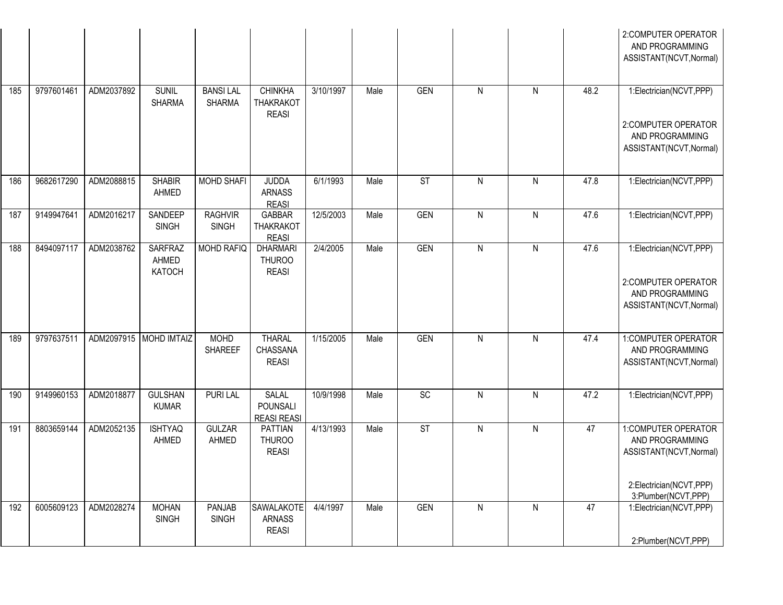|     |            |            |                                          |                                  |                                                    |           |      |            |              |              |      | 2:COMPUTER OPERATOR<br>AND PROGRAMMING<br>ASSISTANT(NCVT, Normal)                            |
|-----|------------|------------|------------------------------------------|----------------------------------|----------------------------------------------------|-----------|------|------------|--------------|--------------|------|----------------------------------------------------------------------------------------------|
| 185 | 9797601461 | ADM2037892 | <b>SUNIL</b><br><b>SHARMA</b>            | <b>BANSILAL</b><br><b>SHARMA</b> | <b>CHINKHA</b><br><b>THAKRAKOT</b><br><b>REASI</b> | 3/10/1997 | Male | <b>GEN</b> | $\mathsf{N}$ | $\mathsf{N}$ | 48.2 | 1:Electrician(NCVT,PPP)<br>2:COMPUTER OPERATOR<br>AND PROGRAMMING<br>ASSISTANT(NCVT, Normal) |
|     |            |            |                                          |                                  |                                                    |           |      |            |              |              |      |                                                                                              |
| 186 | 9682617290 | ADM2088815 | <b>SHABIR</b><br>AHMED                   | <b>MOHD SHAFI</b>                | <b>JUDDA</b><br><b>ARNASS</b><br><b>REASI</b>      | 6/1/1993  | Male | <b>ST</b>  | $\mathsf{N}$ | $\mathsf{N}$ | 47.8 | 1:Electrician(NCVT,PPP)                                                                      |
| 187 | 9149947641 | ADM2016217 | SANDEEP<br><b>SINGH</b>                  | <b>RAGHVIR</b><br><b>SINGH</b>   | <b>GABBAR</b><br><b>THAKRAKOT</b><br><b>REASI</b>  | 12/5/2003 | Male | <b>GEN</b> | $\mathsf{N}$ | $\mathsf{N}$ | 47.6 | 1:Electrician(NCVT,PPP)                                                                      |
| 188 | 8494097117 | ADM2038762 | <b>SARFRAZ</b><br>AHMED<br><b>KATOCH</b> | <b>MOHD RAFIQ</b>                | <b>DHARMARI</b><br><b>THUROO</b><br><b>REASI</b>   | 2/4/2005  | Male | <b>GEN</b> | $\mathsf{N}$ | $\mathsf{N}$ | 47.6 | 1:Electrician(NCVT,PPP)<br>2:COMPUTER OPERATOR<br>AND PROGRAMMING<br>ASSISTANT(NCVT, Normal) |
| 189 | 9797637511 | ADM2097915 | <b>MOHD IMTAIZ</b>                       | <b>MOHD</b><br><b>SHAREEF</b>    | <b>THARAL</b><br>CHASSANA<br><b>REASI</b>          | 1/15/2005 | Male | <b>GEN</b> | $\mathsf{N}$ | $\mathsf{N}$ | 47.4 | 1:COMPUTER OPERATOR<br>AND PROGRAMMING<br>ASSISTANT(NCVT, Normal)                            |
| 190 | 9149960153 | ADM2018877 | <b>GULSHAN</b><br><b>KUMAR</b>           | <b>PURI LAL</b>                  | <b>SALAL</b><br>POUNSALI<br><b>REASI REASI</b>     | 10/9/1998 | Male | SC         | $\mathsf{N}$ | $\mathsf{N}$ | 47.2 | 1:Electrician(NCVT,PPP)                                                                      |
| 191 | 8803659144 | ADM2052135 | <b>ISHTYAQ</b><br>AHMED                  | GULZAR<br>AHMED                  | PATTIAN<br><b>THUROO</b><br><b>REASI</b>           | 4/13/1993 | Male | <b>ST</b>  | $\mathsf{N}$ | $\mathsf{N}$ | 47   | 1:COMPUTER OPERATOR<br>AND PROGRAMMING<br>ASSISTANT(NCVT, Normal)<br>2:Electrician(NCVT,PPP) |
|     |            |            |                                          |                                  |                                                    |           |      |            |              |              |      | 3:Plumber(NCVT,PPP)                                                                          |
| 192 | 6005609123 | ADM2028274 | <b>MOHAN</b><br><b>SINGH</b>             | PANJAB<br><b>SINGH</b>           | SAWALAKOTE<br><b>ARNASS</b><br><b>REASI</b>        | 4/4/1997  | Male | <b>GEN</b> | ${\sf N}$    | $\mathsf{N}$ | 47   | 1:Electrician(NCVT,PPP)<br>2:Plumber(NCVT,PPP)                                               |
|     |            |            |                                          |                                  |                                                    |           |      |            |              |              |      |                                                                                              |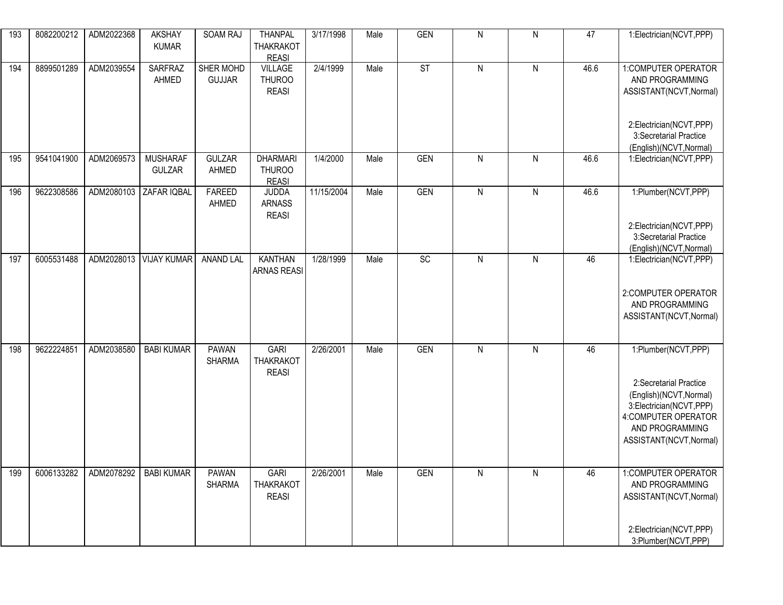| 193 | 8082200212 | ADM2022368 | <b>AKSHAY</b><br><b>KUMAR</b>    | SOAM RAJ                      | <b>THANPAL</b><br><b>THAKRAKOT</b><br><b>REASI</b> | 3/17/1998  | Male | <b>GEN</b> | $\mathsf{N}$   | ${\sf N}$    | 47   | 1:Electrician(NCVT,PPP)                                                                                                                                                   |
|-----|------------|------------|----------------------------------|-------------------------------|----------------------------------------------------|------------|------|------------|----------------|--------------|------|---------------------------------------------------------------------------------------------------------------------------------------------------------------------------|
| 194 | 8899501289 | ADM2039554 | <b>SARFRAZ</b><br>AHMED          | SHER MOHD<br><b>GUJJAR</b>    | <b>VILLAGE</b><br><b>THUROO</b><br><b>REASI</b>    | 2/4/1999   | Male | ST         | N              | $\mathsf{N}$ | 46.6 | 1:COMPUTER OPERATOR<br>AND PROGRAMMING<br>ASSISTANT(NCVT, Normal)<br>2:Electrician(NCVT,PPP)<br>3:Secretarial Practice                                                    |
| 195 | 9541041900 | ADM2069573 | <b>MUSHARAF</b><br><b>GULZAR</b> | <b>GULZAR</b><br>AHMED        | <b>DHARMARI</b><br><b>THUROO</b><br><b>REASI</b>   | 1/4/2000   | Male | <b>GEN</b> | $\mathsf{N}$   | $\mathsf{N}$ | 46.6 | (English)(NCVT, Normal)<br>1:Electrician(NCVT,PPP)                                                                                                                        |
| 196 | 9622308586 | ADM2080103 | ZAFAR IQBAL                      | FAREED<br>AHMED               | <b>JUDDA</b><br><b>ARNASS</b><br><b>REASI</b>      | 11/15/2004 | Male | <b>GEN</b> | $\overline{N}$ | $\mathsf{N}$ | 46.6 | 1:Plumber(NCVT,PPP)<br>2:Electrician(NCVT,PPP)<br>3:Secretarial Practice<br>(English)(NCVT, Normal)                                                                       |
| 197 | 6005531488 | ADM2028013 | <b>VIJAY KUMAR</b>               | <b>ANAND LAL</b>              | <b>KANTHAN</b><br><b>ARNAS REASI</b>               | 1/28/1999  | Male | SC         | $\mathsf{N}$   | ${\sf N}$    | 46   | 1:Electrician(NCVT,PPP)<br>2:COMPUTER OPERATOR<br>AND PROGRAMMING<br>ASSISTANT(NCVT, Normal)                                                                              |
| 198 | 9622224851 | ADM2038580 | <b>BABI KUMAR</b>                | <b>PAWAN</b><br><b>SHARMA</b> | <b>GARI</b><br><b>THAKRAKOT</b><br><b>REASI</b>    | 2/26/2001  | Male | <b>GEN</b> | N              | $\mathsf{N}$ | 46   | 1:Plumber(NCVT,PPP)<br>2:Secretarial Practice<br>(English)(NCVT, Normal)<br>3:Electrician(NCVT,PPP)<br>4: COMPUTER OPERATOR<br>AND PROGRAMMING<br>ASSISTANT(NCVT, Normal) |
| 199 | 6006133282 | ADM2078292 | BABI KUMAR                       | PAWAN<br><b>SHARMA</b>        | <b>GARI</b><br><b>THAKRAKOT</b><br><b>REASI</b>    | 2/26/2001  | Male | GEN        | N              | N            | 46   | 1:COMPUTER OPERATOR<br>AND PROGRAMMING<br>ASSISTANT(NCVT, Normal)<br>2:Electrician(NCVT,PPP)<br>3:Plumber(NCVT,PPP)                                                       |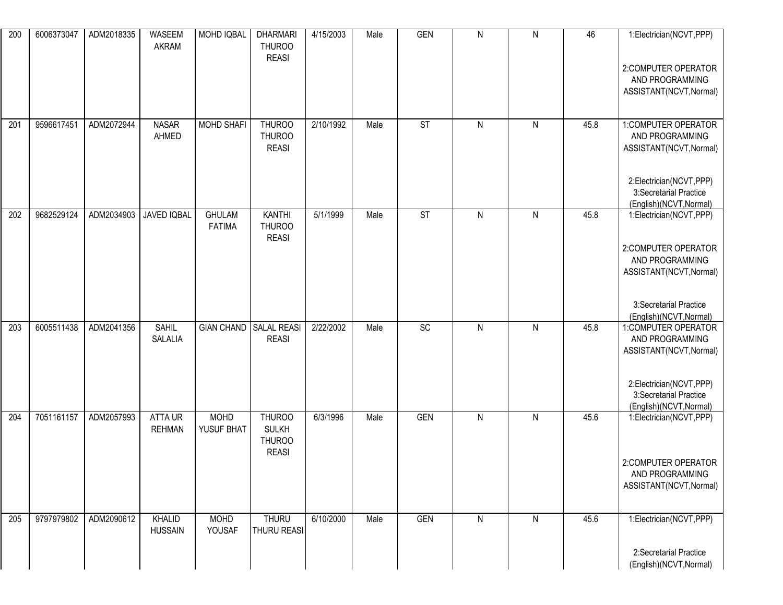| 200 | 6006373047 | ADM2018335 | WASEEM<br><b>AKRAM</b>         | MOHD IQBAL                     | <b>DHARMARI</b><br><b>THUROO</b><br><b>REASI</b>               | 4/15/2003 | Male | <b>GEN</b>             | $\mathsf{N}$ | $\mathsf{N}$ | 46   | 1:Electrician(NCVT,PPP)<br>2:COMPUTER OPERATOR<br>AND PROGRAMMING<br>ASSISTANT(NCVT, Normal)                                                      |
|-----|------------|------------|--------------------------------|--------------------------------|----------------------------------------------------------------|-----------|------|------------------------|--------------|--------------|------|---------------------------------------------------------------------------------------------------------------------------------------------------|
| 201 | 9596617451 | ADM2072944 | <b>NASAR</b><br>AHMED          | <b>MOHD SHAFI</b>              | <b>THUROO</b><br><b>THUROO</b><br><b>REASI</b>                 | 2/10/1992 | Male | <b>ST</b>              | $\mathsf{N}$ | $\mathsf{N}$ | 45.8 | 1:COMPUTER OPERATOR<br>AND PROGRAMMING<br>ASSISTANT(NCVT, Normal)<br>2:Electrician(NCVT,PPP)<br>3:Secretarial Practice<br>(English)(NCVT, Normal) |
| 202 | 9682529124 | ADM2034903 | JAVED IQBAL                    | <b>GHULAM</b><br><b>FATIMA</b> | <b>KANTHI</b><br><b>THUROO</b><br><b>REASI</b>                 | 5/1/1999  | Male | $\overline{\text{ST}}$ | $\mathsf{N}$ | $\mathsf{N}$ | 45.8 | 1:Electrician(NCVT,PPP)<br>2:COMPUTER OPERATOR<br>AND PROGRAMMING<br>ASSISTANT(NCVT, Normal)<br>3:Secretarial Practice<br>(English)(NCVT, Normal) |
| 203 | 6005511438 | ADM2041356 | <b>SAHIL</b><br><b>SALALIA</b> | GIAN CHAND SALAL REASI         | <b>REASI</b>                                                   | 2/22/2002 | Male | $\overline{SC}$        | $\mathsf{N}$ | ${\sf N}$    | 45.8 | 1:COMPUTER OPERATOR<br>AND PROGRAMMING<br>ASSISTANT(NCVT, Normal)<br>2:Electrician(NCVT,PPP)<br>3:Secretarial Practice<br>(English)(NCVT, Normal) |
| 204 | 7051161157 | ADM2057993 | ATTA UR<br><b>REHMAN</b>       | <b>MOHD</b><br>YUSUF BHAT      | <b>THUROO</b><br><b>SULKH</b><br><b>THUROO</b><br><b>REASI</b> | 6/3/1996  | Male | <b>GEN</b>             | $\mathsf{N}$ | $\mathsf{N}$ | 45.6 | 1:Electrician(NCVT,PPP)<br>2:COMPUTER OPERATOR<br>AND PROGRAMMING<br>ASSISTANT(NCVT, Normal)                                                      |
| 205 | 9797979802 | ADM2090612 | KHALID<br><b>HUSSAIN</b>       | <b>MOHD</b><br>YOUSAF          | <b>THURU</b><br>THURU REASI                                    | 6/10/2000 | Male | <b>GEN</b>             | $\mathsf{N}$ | $\mathsf{N}$ | 45.6 | 1:Electrician(NCVT,PPP)<br>2:Secretarial Practice<br>(English)(NCVT, Normal)                                                                      |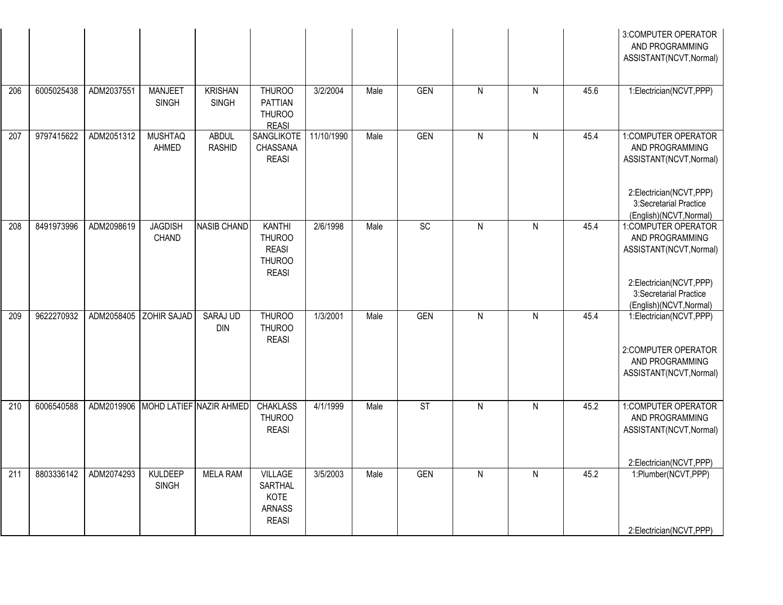|     |            |            |                                |                                    |                                                                                 |            |      |                        |                         |                         |      | 3:COMPUTER OPERATOR<br>AND PROGRAMMING<br>ASSISTANT(NCVT, Normal)                            |
|-----|------------|------------|--------------------------------|------------------------------------|---------------------------------------------------------------------------------|------------|------|------------------------|-------------------------|-------------------------|------|----------------------------------------------------------------------------------------------|
| 206 | 6005025438 | ADM2037551 | <b>MANJEET</b><br><b>SINGH</b> | <b>KRISHAN</b><br><b>SINGH</b>     | <b>THUROO</b><br><b>PATTIAN</b><br><b>THUROO</b><br><b>REASI</b>                | 3/2/2004   | Male | <b>GEN</b>             | $\mathsf{N}$            | ${\sf N}$               | 45.6 | 1:Electrician(NCVT,PPP)                                                                      |
| 207 | 9797415622 | ADM2051312 | <b>MUSHTAQ</b><br>AHMED        | <b>ABDUL</b><br><b>RASHID</b>      | <b>SANGLIKOTE</b><br>CHASSANA<br><b>REASI</b>                                   | 11/10/1990 | Male | <b>GEN</b>             | $\overline{N}$          | $\overline{\mathsf{N}}$ | 45.4 | 1:COMPUTER OPERATOR<br>AND PROGRAMMING<br>ASSISTANT(NCVT, Normal)<br>2:Electrician(NCVT,PPP) |
|     |            |            |                                |                                    |                                                                                 |            |      |                        |                         |                         |      | 3:Secretarial Practice<br>(English)(NCVT, Normal)                                            |
| 208 | 8491973996 | ADM2098619 | <b>JAGDISH</b><br>CHAND        | NASIB CHAND                        | <b>KANTHI</b><br><b>THUROO</b><br><b>REASI</b><br><b>THUROO</b><br><b>REASI</b> | 2/6/1998   | Male | SC                     | $\mathsf{N}$            | ${\sf N}$               | 45.4 | 1:COMPUTER OPERATOR<br>AND PROGRAMMING<br>ASSISTANT(NCVT, Normal)                            |
|     |            |            |                                |                                    |                                                                                 |            |      |                        |                         |                         |      | 2:Electrician(NCVT,PPP)<br>3:Secretarial Practice<br>(English)(NCVT, Normal)                 |
| 209 | 9622270932 | ADM2058405 | ZOHIR SAJAD                    | <b>SARAJ UD</b><br><b>DIN</b>      | <b>THUROO</b><br><b>THUROO</b><br><b>REASI</b>                                  | 1/3/2001   | Male | <b>GEN</b>             | $\mathsf{N}$            | ${\sf N}$               | 45.4 | 1:Electrician(NCVT,PPP)<br>2:COMPUTER OPERATOR<br>AND PROGRAMMING<br>ASSISTANT(NCVT, Normal) |
| 210 | 6006540588 |            |                                | ADM2019906 MOHD LATIEF NAZIR AHMED | <b>CHAKLASS</b><br><b>THUROO</b><br><b>REASI</b>                                | 4/1/1999   | Male | $\overline{\text{ST}}$ | $\overline{\mathsf{N}}$ | $\mathsf{N}$            | 45.2 | 1:COMPUTER OPERATOR<br>AND PROGRAMMING<br>ASSISTANT(NCVT, Normal)                            |
| 211 | 8803336142 | ADM2074293 | KULDEEP<br><b>SINGH</b>        | <b>MELA RAM</b>                    | <b>VILLAGE</b><br>SARTHAL<br>KOTE<br><b>ARNASS</b><br><b>REASI</b>              | 3/5/2003   | Male | <b>GEN</b>             | $\overline{N}$          | $\overline{N}$          | 45.2 | 2:Electrician(NCVT,PPP)<br>1:Plumber(NCVT,PPP)<br>2:Electrician(NCVT,PPP)                    |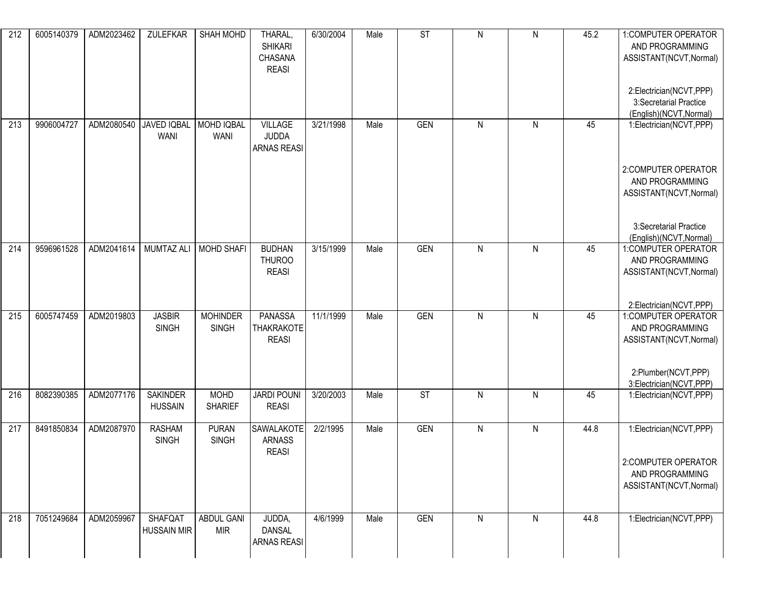| 212 | 6005140379 | ADM2023462 | <b>ZULEFKAR</b>                         | SHAH MOHD                       | THARAL,<br><b>SHIKARI</b><br>CHASANA<br><b>REASI</b> | 6/30/2004 | Male | ST         | $\mathsf{N}$ | $\mathsf{N}$ | 45.2 | 1:COMPUTER OPERATOR<br>AND PROGRAMMING<br>ASSISTANT(NCVT, Normal)            |
|-----|------------|------------|-----------------------------------------|---------------------------------|------------------------------------------------------|-----------|------|------------|--------------|--------------|------|------------------------------------------------------------------------------|
|     |            |            |                                         |                                 |                                                      |           |      |            |              |              |      | 2:Electrician(NCVT,PPP)<br>3:Secretarial Practice<br>(English)(NCVT, Normal) |
| 213 | 9906004727 | ADM2080540 | JAVED IQBAL   MOHD IQBAL<br><b>WANI</b> | <b>WANI</b>                     | <b>VILLAGE</b><br><b>JUDDA</b><br><b>ARNAS REASI</b> | 3/21/1998 | Male | <b>GEN</b> | $\mathsf{N}$ | $\mathsf{N}$ | 45   | 1:Electrician(NCVT,PPP)                                                      |
|     |            |            |                                         |                                 |                                                      |           |      |            |              |              |      | 2:COMPUTER OPERATOR<br>AND PROGRAMMING<br>ASSISTANT(NCVT, Normal)            |
|     |            |            |                                         |                                 |                                                      |           |      |            |              |              |      | 3:Secretarial Practice<br>(English)(NCVT, Normal)                            |
| 214 | 9596961528 | ADM2041614 |                                         | MUMTAZ ALI   MOHD SHAFI         | <b>BUDHAN</b><br><b>THUROO</b><br><b>REASI</b>       | 3/15/1999 | Male | GEN        | $\mathsf{N}$ | $\mathsf{N}$ | 45   | 1:COMPUTER OPERATOR<br>AND PROGRAMMING<br>ASSISTANT(NCVT, Normal)            |
|     |            |            |                                         |                                 |                                                      |           |      |            |              |              |      | 2:Electrician(NCVT,PPP)                                                      |
| 215 | 6005747459 | ADM2019803 | <b>JASBIR</b><br><b>SINGH</b>           | <b>MOHINDER</b><br><b>SINGH</b> | PANASSA<br><b>THAKRAKOTE</b><br><b>REASI</b>         | 11/1/1999 | Male | <b>GEN</b> | $\mathsf{N}$ | $\mathsf{N}$ | 45   | 1:COMPUTER OPERATOR<br>AND PROGRAMMING<br>ASSISTANT(NCVT, Normal)            |
|     |            |            |                                         |                                 |                                                      |           |      |            |              |              |      | 2:Plumber(NCVT,PPP)<br>3:Electrician(NCVT,PPP)                               |
| 216 | 8082390385 | ADM2077176 | <b>SAKINDER</b><br><b>HUSSAIN</b>       | <b>MOHD</b><br><b>SHARIEF</b>   | <b>JARDI POUNI</b><br><b>REASI</b>                   | 3/20/2003 | Male | ST         | $\mathsf{N}$ | ${\sf N}$    | 45   | 1:Electrician(NCVT,PPP)                                                      |
| 217 | 8491850834 | ADM2087970 | <b>RASHAM</b><br><b>SINGH</b>           | <b>PURAN</b><br><b>SINGH</b>    | SAWALAKOTE<br><b>ARNASS</b><br><b>REASI</b>          | 2/2/1995  | Male | <b>GEN</b> | $\mathsf{N}$ | $\mathsf{N}$ | 44.8 | 1:Electrician(NCVT,PPP)                                                      |
|     |            |            |                                         |                                 |                                                      |           |      |            |              |              |      | 2:COMPUTER OPERATOR<br>AND PROGRAMMING<br>ASSISTANT(NCVT, Normal)            |
| 218 | 7051249684 | ADM2059967 | <b>SHAFQAT</b><br><b>HUSSAIN MIR</b>    | <b>ABDUL GANI</b><br><b>MIR</b> | JUDDA,<br><b>DANSAL</b><br><b>ARNAS REASI</b>        | 4/6/1999  | Male | GEN        | $\mathsf{N}$ | $\mathsf{N}$ | 44.8 | 1:Electrician(NCVT,PPP)                                                      |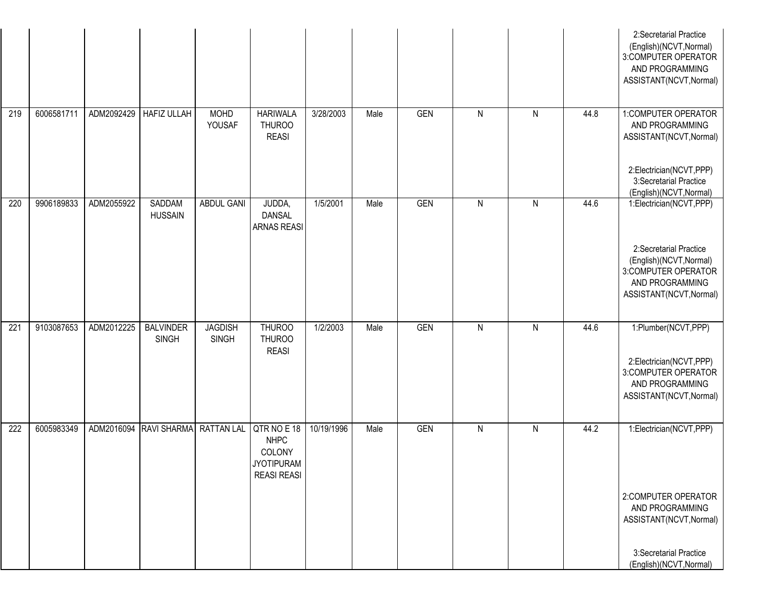|     |            |            |                                  |                         |                                                                  |            |      |            |              |   |      | 2:Secretarial Practice<br>(English)(NCVT, Normal)<br>3:COMPUTER OPERATOR<br>AND PROGRAMMING<br>ASSISTANT(NCVT, Normal)                            |
|-----|------------|------------|----------------------------------|-------------------------|------------------------------------------------------------------|------------|------|------------|--------------|---|------|---------------------------------------------------------------------------------------------------------------------------------------------------|
| 219 | 6006581711 | ADM2092429 | <b>HAFIZ ULLAH</b>               | <b>MOHD</b><br>YOUSAF   | <b>HARIWALA</b><br><b>THUROO</b><br><b>REASI</b>                 | 3/28/2003  | Male | <b>GEN</b> | $\mathsf{N}$ | N | 44.8 | 1:COMPUTER OPERATOR<br>AND PROGRAMMING<br>ASSISTANT(NCVT, Normal)<br>2:Electrician(NCVT,PPP)<br>3:Secretarial Practice<br>(English)(NCVT, Normal) |
| 220 | 9906189833 | ADM2055922 | SADDAM<br><b>HUSSAIN</b>         | ABDUL GANI              | JUDDA,<br><b>DANSAL</b><br><b>ARNAS REASI</b>                    | 1/5/2001   | Male | <b>GEN</b> | $\mathsf{N}$ | N | 44.6 | 1:Electrician(NCVT,PPP)<br>2:Secretarial Practice<br>(English)(NCVT, Normal)<br>3:COMPUTER OPERATOR<br>AND PROGRAMMING<br>ASSISTANT(NCVT, Normal) |
| 221 | 9103087653 | ADM2012225 | <b>BALVINDER</b><br><b>SINGH</b> | <b>JAGDISH</b><br>SINGH | <b>THUROO</b><br><b>THUROO</b><br><b>REASI</b>                   | 1/2/2003   | Male | <b>GEN</b> | $\mathsf{N}$ | N | 44.6 | 1:Plumber(NCVT,PPP)<br>2:Electrician(NCVT,PPP)<br>3:COMPUTER OPERATOR<br>AND PROGRAMMING<br>ASSISTANT(NCVT, Normal)                               |
| 222 | 6005983349 |            | ADM2016094 RAVI SHARMA           | RATTAN LAL QTR NO E 18  | <b>NHPC</b><br>COLONY<br><b>JYOTIPURAM</b><br><b>REASI REASI</b> | 10/19/1996 | Male | <b>GEN</b> | $\mathsf{N}$ | N | 44.2 | 1:Electrician(NCVT,PPP)<br>2:COMPUTER OPERATOR<br>AND PROGRAMMING<br>ASSISTANT(NCVT, Normal)<br>3:Secretarial Practice<br>(English)(NCVT, Normal) |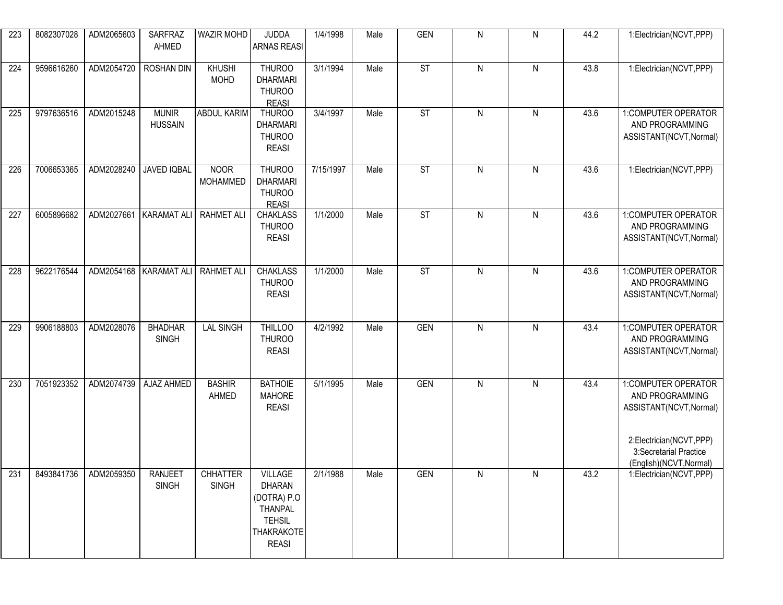| 223 | 8082307028 | ADM2065603 | <b>SARFRAZ</b><br>AHMED        | WAZIR MOHD                      | <b>JUDDA</b><br><b>ARNAS REASI</b>                                                                              | 1/4/1998  | Male | GEN                      | $\mathsf{N}$   | ${\sf N}$ | 44.2 | 1:Electrician(NCVT,PPP)                                                                      |
|-----|------------|------------|--------------------------------|---------------------------------|-----------------------------------------------------------------------------------------------------------------|-----------|------|--------------------------|----------------|-----------|------|----------------------------------------------------------------------------------------------|
| 224 | 9596616260 | ADM2054720 | <b>ROSHAN DIN</b>              | KHUSHI<br><b>MOHD</b>           | <b>THUROO</b><br><b>DHARMARI</b><br><b>THUROO</b><br><b>REASI</b>                                               | 3/1/1994  | Male | ST                       | $\mathsf{N}$   | ${\sf N}$ | 43.8 | 1:Electrician(NCVT,PPP)                                                                      |
| 225 | 9797636516 | ADM2015248 | <b>MUNIR</b><br><b>HUSSAIN</b> | ABDUL KARIM                     | <b>THUROO</b><br><b>DHARMARI</b><br><b>THUROO</b><br><b>REASI</b>                                               | 3/4/1997  | Male | $\overline{\mathsf{ST}}$ | $\mathsf{N}$   | ${\sf N}$ | 43.6 | 1:COMPUTER OPERATOR<br>AND PROGRAMMING<br>ASSISTANT(NCVT, Normal)                            |
| 226 | 7006653365 | ADM2028240 | <b>JAVED IQBAL</b>             | <b>NOOR</b><br><b>MOHAMMED</b>  | THUROO<br><b>DHARMARI</b><br><b>THUROO</b><br><b>REASI</b>                                                      | 7/15/1997 | Male | ST                       | $\mathsf{N}$   | ${\sf N}$ | 43.6 | 1:Electrician(NCVT,PPP)                                                                      |
| 227 | 6005896682 | ADM2027661 | <b>KARAMAT ALI</b>             | <b>RAHMET ALI</b>               | <b>CHAKLASS</b><br><b>THUROO</b><br><b>REASI</b>                                                                | 1/1/2000  | Male | $\overline{\mathsf{ST}}$ | $\mathsf{N}$   | ${\sf N}$ | 43.6 | 1:COMPUTER OPERATOR<br>AND PROGRAMMING<br>ASSISTANT(NCVT, Normal)                            |
| 228 | 9622176544 | ADM2054168 | KARAMAT ALI                    | <b>RAHMET ALI</b>               | <b>CHAKLASS</b><br><b>THUROO</b><br><b>REASI</b>                                                                | 1/1/2000  | Male | <b>ST</b>                | $\mathsf{N}$   | ${\sf N}$ | 43.6 | 1:COMPUTER OPERATOR<br>AND PROGRAMMING<br>ASSISTANT(NCVT, Normal)                            |
| 229 | 9906188803 | ADM2028076 | <b>BHADHAR</b><br><b>SINGH</b> | <b>LAL SINGH</b>                | <b>THILLOO</b><br>THUROO<br><b>REASI</b>                                                                        | 4/2/1992  | Male | <b>GEN</b>               | $\overline{N}$ | ${\sf N}$ | 43.4 | 1:COMPUTER OPERATOR<br>AND PROGRAMMING<br>ASSISTANT(NCVT, Normal)                            |
| 230 | 7051923352 | ADM2074739 | AJAZ AHMED                     | <b>BASHIR</b><br>AHMED          | <b>BATHOIE</b><br><b>MAHORE</b><br><b>REASI</b>                                                                 | 5/1/1995  | Male | GEN                      | $\mathsf{N}$   | ${\sf N}$ | 43.4 | 1:COMPUTER OPERATOR<br>AND PROGRAMMING<br>ASSISTANT(NCVT, Normal)<br>2:Electrician(NCVT,PPP) |
|     |            |            |                                |                                 |                                                                                                                 |           |      |                          |                |           |      | 3:Secretarial Practice<br>(English)(NCVT, Normal)                                            |
| 231 | 8493841736 | ADM2059350 | <b>RANJEET</b><br><b>SINGH</b> | <b>CHHATTER</b><br><b>SINGH</b> | <b>VILLAGE</b><br><b>DHARAN</b><br>(DOTRA) P.O<br>THANPAL<br><b>TEHSIL</b><br><b>THAKRAKOTE</b><br><b>REASI</b> | 2/1/1988  | Male | <b>GEN</b>               | N              | N         | 43.2 | 1:Electrician(NCVT,PPP)                                                                      |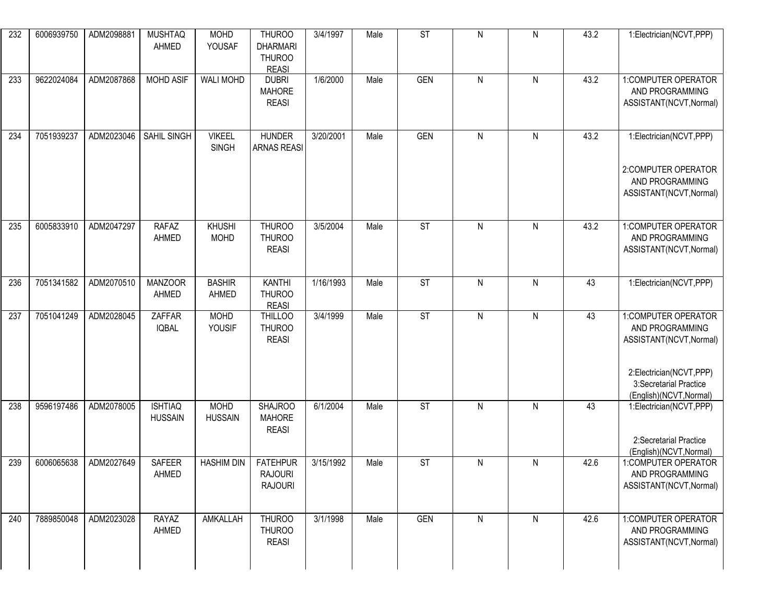| 232 | 6006939750 | ADM2098881 | <b>MUSHTAQ</b><br>AHMED          | <b>MOHD</b><br>YOUSAF         | <b>THUROO</b><br><b>DHARMARI</b><br><b>THUROO</b><br><b>REASI</b> | 3/4/1997  | Male | ST                     | $\mathsf{N}$ | $\mathsf{N}$ | 43.2 | 1:Electrician(NCVT,PPP)                                                                                                                           |
|-----|------------|------------|----------------------------------|-------------------------------|-------------------------------------------------------------------|-----------|------|------------------------|--------------|--------------|------|---------------------------------------------------------------------------------------------------------------------------------------------------|
| 233 | 9622024084 | ADM2087868 | <b>MOHD ASIF</b>                 | <b>WALI MOHD</b>              | <b>DUBRI</b><br><b>MAHORE</b><br><b>REASI</b>                     | 1/6/2000  | Male | <b>GEN</b>             | $\mathsf{N}$ | $\mathsf{N}$ | 43.2 | 1:COMPUTER OPERATOR<br>AND PROGRAMMING<br>ASSISTANT(NCVT, Normal)                                                                                 |
| 234 | 7051939237 | ADM2023046 | SAHIL SINGH                      | <b>VIKEEL</b><br><b>SINGH</b> | <b>HUNDER</b><br><b>ARNAS REASI</b>                               | 3/20/2001 | Male | GEN                    | $\mathsf{N}$ | ${\sf N}$    | 43.2 | 1:Electrician(NCVT,PPP)<br>2:COMPUTER OPERATOR<br>AND PROGRAMMING<br>ASSISTANT(NCVT, Normal)                                                      |
| 235 | 6005833910 | ADM2047297 | <b>RAFAZ</b><br>AHMED            | <b>KHUSHI</b><br><b>MOHD</b>  | <b>THUROO</b><br><b>THUROO</b><br><b>REASI</b>                    | 3/5/2004  | Male | $\overline{\text{ST}}$ | $\mathsf{N}$ | ${\sf N}$    | 43.2 | 1:COMPUTER OPERATOR<br>AND PROGRAMMING<br>ASSISTANT(NCVT, Normal)                                                                                 |
| 236 | 7051341582 | ADM2070510 | <b>MANZOOR</b><br>AHMED          | <b>BASHIR</b><br>AHMED        | <b>KANTHI</b><br><b>THUROO</b><br><b>REASI</b>                    | 1/16/1993 | Male | $\overline{\text{ST}}$ | $\mathsf{N}$ | $\mathsf{N}$ | 43   | 1:Electrician(NCVT,PPP)                                                                                                                           |
| 237 | 7051041249 | ADM2028045 | ZAFFAR<br><b>IQBAL</b>           | <b>MOHD</b><br>YOUSIF         | <b>THILLOO</b><br><b>THUROO</b><br><b>REASI</b>                   | 3/4/1999  | Male | $\overline{\text{ST}}$ | $\mathsf{N}$ | $\mathsf{N}$ | 43   | 1:COMPUTER OPERATOR<br>AND PROGRAMMING<br>ASSISTANT(NCVT, Normal)<br>2:Electrician(NCVT,PPP)<br>3:Secretarial Practice<br>(English)(NCVT, Normal) |
| 238 | 9596197486 | ADM2078005 | <b>ISHTIAQ</b><br><b>HUSSAIN</b> | <b>MOHD</b><br><b>HUSSAIN</b> | <b>SHAJROO</b><br><b>MAHORE</b><br><b>REASI</b>                   | 6/1/2004  | Male | $\overline{\text{ST}}$ | $\mathsf{N}$ | $\mathsf{N}$ | 43   | 1:Electrician(NCVT,PPP)<br>2:Secretarial Practice<br>(English)(NCVT, Normal)                                                                      |
| 239 | 6006065638 | ADM2027649 | <b>SAFEER</b><br>AHMED           | <b>HASHIM DIN</b>             | <b>FATEHPUR</b><br><b>RAJOURI</b><br><b>RAJOURI</b>               | 3/15/1992 | Male | <b>ST</b>              | $\mathsf{N}$ | $\mathsf{N}$ | 42.6 | 1:COMPUTER OPERATOR<br>AND PROGRAMMING<br>ASSISTANT(NCVT, Normal)                                                                                 |
| 240 | 7889850048 | ADM2023028 | RAYAZ<br>AHMED                   | AMKALLAH                      | <b>THUROO</b><br><b>THUROO</b><br><b>REASI</b>                    | 3/1/1998  | Male | <b>GEN</b>             | $\mathsf{N}$ | $\mathsf{N}$ | 42.6 | 1:COMPUTER OPERATOR<br>AND PROGRAMMING<br>ASSISTANT(NCVT, Normal)                                                                                 |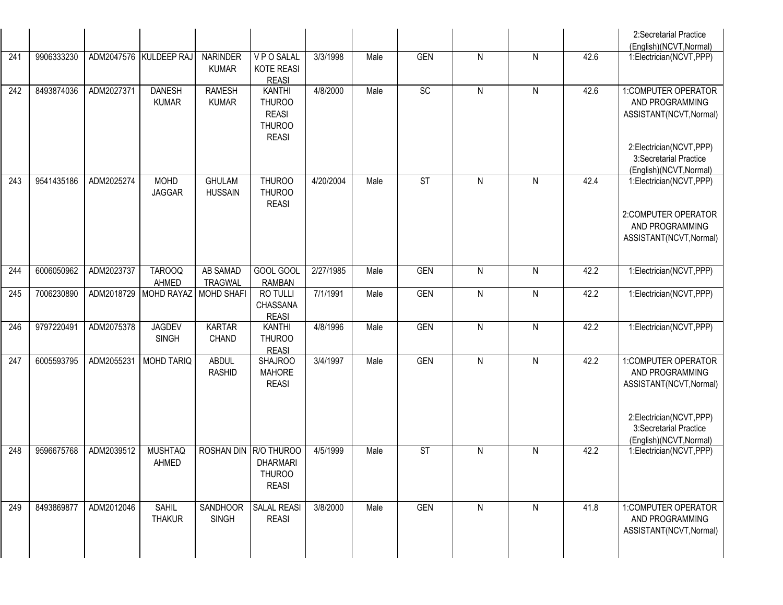|     |            |            |                               |                                   |                                                                                 |                       |      |                        |                |                |      | 2:Secretarial Practice<br>(English)(NCVT, Normal)                                                                      |
|-----|------------|------------|-------------------------------|-----------------------------------|---------------------------------------------------------------------------------|-----------------------|------|------------------------|----------------|----------------|------|------------------------------------------------------------------------------------------------------------------------|
| 241 | 9906333230 |            | ADM2047576 KULDEEP RAJ        | <b>NARINDER</b><br><b>KUMAR</b>   | VPO SALAL<br><b>KOTE REASI</b><br><b>REASI</b>                                  | 3/3/1998              | Male | <b>GEN</b>             | $\mathsf{N}$   | $\mathsf{N}$   | 42.6 | 1:Electrician(NCVT,PPP)                                                                                                |
| 242 | 8493874036 | ADM2027371 | <b>DANESH</b><br><b>KUMAR</b> | <b>RAMESH</b><br><b>KUMAR</b>     | <b>KANTHI</b><br><b>THUROO</b><br><b>REASI</b><br><b>THUROO</b><br><b>REASI</b> | 4/8/2000              | Male | SC                     | $\mathsf{N}$   | $\mathsf{N}$   | 42.6 | 1:COMPUTER OPERATOR<br>AND PROGRAMMING<br>ASSISTANT(NCVT, Normal)<br>2:Electrician(NCVT,PPP)<br>3:Secretarial Practice |
|     |            |            |                               |                                   |                                                                                 |                       |      |                        |                |                |      | (English)(NCVT, Normal)                                                                                                |
| 243 | 9541435186 | ADM2025274 | <b>MOHD</b><br><b>JAGGAR</b>  | <b>GHULAM</b><br><b>HUSSAIN</b>   | <b>THUROO</b><br><b>THUROO</b><br><b>REASI</b>                                  | 4/20/2004             | Male | $\overline{\text{ST}}$ | $\mathsf{N}$   | ${\sf N}$      | 42.4 | 1:Electrician(NCVT,PPP)<br>2:COMPUTER OPERATOR<br>AND PROGRAMMING<br>ASSISTANT(NCVT, Normal)                           |
| 244 | 6006050962 | ADM2023737 | TAROOQ<br>AHMED               | <b>AB SAMAD</b><br><b>TRAGWAL</b> | GOOL GOOL<br><b>RAMBAN</b>                                                      | 2/27/1985             | Male | <b>GEN</b>             | $\mathsf{N}$   | $\mathsf{N}$   | 42.2 | 1:Electrician(NCVT,PPP)                                                                                                |
| 245 | 7006230890 | ADM2018729 | MOHD RAYAZ                    | <b>MOHD SHAFI</b>                 | RO TULLI<br>CHASSANA<br><b>REASI</b>                                            | 7/1/1991              | Male | <b>GEN</b>             | $\mathsf{N}$   | $\mathsf{N}$   | 42.2 | 1:Electrician(NCVT,PPP)                                                                                                |
| 246 | 9797220491 | ADM2075378 | <b>JAGDEV</b><br><b>SINGH</b> | <b>KARTAR</b><br>CHAND            | <b>KANTHI</b><br><b>THUROO</b><br><b>REASI</b>                                  | 4/8/1996              | Male | <b>GEN</b>             | $\overline{N}$ | $\overline{N}$ | 42.2 | 1:Electrician(NCVT,PPP)                                                                                                |
| 247 | 6005593795 | ADM2055231 | <b>MOHD TARIQ</b>             | <b>ABDUL</b><br><b>RASHID</b>     | <b>SHAJROO</b><br><b>MAHORE</b><br><b>REASI</b>                                 | $\overline{3/4/1997}$ | Male | <b>GEN</b>             | $\mathsf{N}$   | $\mathsf{N}$   | 42.2 | 1:COMPUTER OPERATOR<br>AND PROGRAMMING<br>ASSISTANT(NCVT, Normal)<br>2:Electrician(NCVT,PPP)<br>3:Secretarial Practice |
| 248 | 9596675768 | ADM2039512 | <b>MUSHTAQ</b><br>AHMED       | ROSHAN DIN R/O THUROO             | <b>DHARMARI</b><br><b>THUROO</b><br><b>REASI</b>                                | 4/5/1999              | Male | $\overline{\text{ST}}$ | $\mathsf{N}$   | $\mathsf{N}$   | 42.2 | (English)(NCVT, Normal)<br>1:Electrician(NCVT,PPP)                                                                     |
| 249 | 8493869877 | ADM2012046 | <b>SAHIL</b><br><b>THAKUR</b> | SANDHOOR<br>SINGH                 | <b>SALAL REASI</b><br><b>REASI</b>                                              | 3/8/2000              | Male | <b>GEN</b>             | $\mathsf{N}$   | $\mathsf{N}$   | 41.8 | 1:COMPUTER OPERATOR<br>AND PROGRAMMING<br>ASSISTANT(NCVT, Normal)                                                      |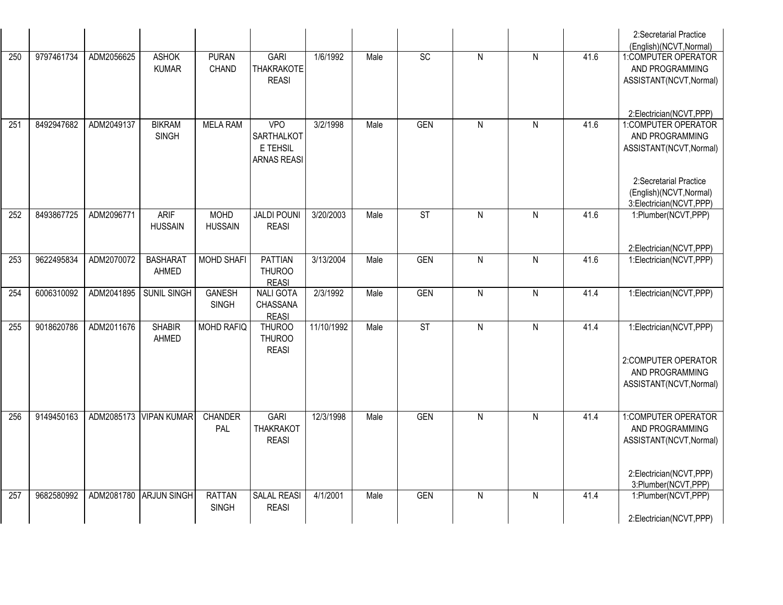|     |            |            |                               |                               |                                                            |            |      |                        |                |                |      | 2:Secretarial Practice<br>(English)(NCVT, Normal)                                                                   |
|-----|------------|------------|-------------------------------|-------------------------------|------------------------------------------------------------|------------|------|------------------------|----------------|----------------|------|---------------------------------------------------------------------------------------------------------------------|
| 250 | 9797461734 | ADM2056625 | <b>ASHOK</b><br><b>KUMAR</b>  | <b>PURAN</b><br><b>CHAND</b>  | GARI<br><b>THAKRAKOTE</b><br><b>REASI</b>                  | 1/6/1992   | Male | SC                     | $\overline{N}$ | $\overline{N}$ | 41.6 | 1:COMPUTER OPERATOR<br>AND PROGRAMMING<br>ASSISTANT(NCVT, Normal)                                                   |
|     |            |            |                               |                               |                                                            |            |      |                        |                |                |      | 2:Electrician(NCVT,PPP)                                                                                             |
| 251 | 8492947682 | ADM2049137 | <b>BIKRAM</b><br><b>SINGH</b> | <b>MELA RAM</b>               | VPO<br><b>SARTHALKOT</b><br>E TEHSIL<br><b>ARNAS REASI</b> | 3/2/1998   | Male | <b>GEN</b>             | $\mathsf{N}$   | $\mathsf{N}$   | 41.6 | 1:COMPUTER OPERATOR<br>AND PROGRAMMING<br>ASSISTANT(NCVT, Normal)                                                   |
|     |            |            |                               |                               |                                                            |            |      |                        |                |                |      | 2:Secretarial Practice<br>(English)(NCVT, Normal)<br>3:Electrician(NCVT,PPP)                                        |
| 252 | 8493867725 | ADM2096771 | <b>ARIF</b><br><b>HUSSAIN</b> | <b>MOHD</b><br><b>HUSSAIN</b> | <b>JALDI POUNI</b><br><b>REASI</b>                         | 3/20/2003  | Male | $\overline{\text{ST}}$ | $\mathsf{N}$   | N              | 41.6 | 1:Plumber(NCVT,PPP)<br>2:Electrician(NCVT,PPP)                                                                      |
| 253 | 9622495834 | ADM2070072 | <b>BASHARAT</b><br>AHMED      | MOHD SHAFI                    | <b>PATTIAN</b><br><b>THUROO</b><br><b>REASI</b>            | 3/13/2004  | Male | <b>GEN</b>             | $\overline{N}$ | $\mathsf{N}$   | 41.6 | 1:Electrician(NCVT,PPP)                                                                                             |
| 254 | 6006310092 | ADM2041895 | SUNIL SINGH                   | <b>GANESH</b><br><b>SINGH</b> | <b>NALI GOTA</b><br>CHASSANA<br><b>REASI</b>               | 2/3/1992   | Male | <b>GEN</b>             | $\overline{N}$ | ${\sf N}$      | 41.4 | 1:Electrician(NCVT,PPP)                                                                                             |
| 255 | 9018620786 | ADM2011676 | <b>SHABIR</b><br>AHMED        | <b>MOHD RAFIQ</b>             | <b>THUROO</b><br><b>THUROO</b><br><b>REASI</b>             | 11/10/1992 | Male | $\overline{\text{ST}}$ | N              | ${\sf N}$      | 41.4 | 1:Electrician(NCVT,PPP)<br>2:COMPUTER OPERATOR<br>AND PROGRAMMING<br>ASSISTANT(NCVT, Normal)                        |
| 256 | 9149450163 | ADM2085173 | <b>VIPAN KUMAR</b>            | <b>CHANDER</b><br>PAL         | <b>GARI</b><br><b>THAKRAKOT</b><br><b>REASI</b>            | 12/3/1998  | Male | <b>GEN</b>             | $\overline{N}$ | $\mathsf{N}$   | 41.4 | 1:COMPUTER OPERATOR<br>AND PROGRAMMING<br>ASSISTANT(NCVT, Normal)<br>2:Electrician(NCVT,PPP)<br>3:Plumber(NCVT,PPP) |
| 257 | 9682580992 | ADM2081780 | <b>ARJUN SINGH</b>            | <b>RATTAN</b><br><b>SINGH</b> | <b>SALAL REASI</b><br><b>REASI</b>                         | 4/1/2001   | Male | <b>GEN</b>             | $\mathsf{N}$   | N              | 41.4 | 1:Plumber(NCVT,PPP)<br>2:Electrician(NCVT,PPP)                                                                      |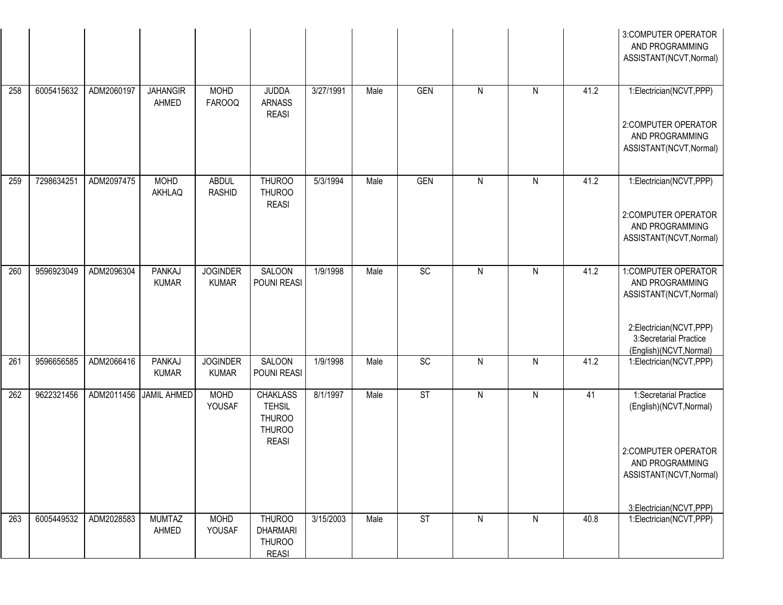|     |            |            |                               |                                 |                                                                                    |           |      |                        |              |                |      | 3:COMPUTER OPERATOR<br>AND PROGRAMMING<br>ASSISTANT(NCVT, Normal)                                                                                 |
|-----|------------|------------|-------------------------------|---------------------------------|------------------------------------------------------------------------------------|-----------|------|------------------------|--------------|----------------|------|---------------------------------------------------------------------------------------------------------------------------------------------------|
| 258 | 6005415632 | ADM2060197 | <b>JAHANGIR</b><br>AHMED      | MOHD<br><b>FAROOQ</b>           | <b>JUDDA</b><br><b>ARNASS</b><br><b>REASI</b>                                      | 3/27/1991 | Male | <b>GEN</b>             | $\mathsf{N}$ | $\mathsf{N}$   | 41.2 | 1:Electrician(NCVT,PPP)<br>2:COMPUTER OPERATOR<br>AND PROGRAMMING<br>ASSISTANT(NCVT, Normal)                                                      |
| 259 | 7298634251 | ADM2097475 | <b>MOHD</b><br>AKHLAQ         | <b>ABDUL</b><br><b>RASHID</b>   | <b>THUROO</b><br><b>THUROO</b><br><b>REASI</b>                                     | 5/3/1994  | Male | <b>GEN</b>             | $\mathsf{N}$ | $\mathsf{N}$   | 41.2 | 1:Electrician(NCVT,PPP)<br>2:COMPUTER OPERATOR<br>AND PROGRAMMING<br>ASSISTANT(NCVT, Normal)                                                      |
| 260 | 9596923049 | ADM2096304 | <b>PANKAJ</b><br><b>KUMAR</b> | <b>JOGINDER</b><br><b>KUMAR</b> | <b>SALOON</b><br>POUNI REASI                                                       | 1/9/1998  | Male | SC                     | $\mathsf{N}$ | $\mathsf{N}$   | 41.2 | 1:COMPUTER OPERATOR<br>AND PROGRAMMING<br>ASSISTANT(NCVT, Normal)<br>2:Electrician(NCVT,PPP)<br>3:Secretarial Practice<br>(English)(NCVT, Normal) |
| 261 | 9596656585 | ADM2066416 | <b>PANKAJ</b><br><b>KUMAR</b> | <b>JOGINDER</b><br><b>KUMAR</b> | <b>SALOON</b><br>POUNI REASI                                                       | 1/9/1998  | Male | SC                     | $\mathsf{N}$ | $\overline{N}$ | 41.2 | 1:Electrician(NCVT,PPP)                                                                                                                           |
| 262 | 9622321456 | ADM2011456 | <b>JAMIL AHMED</b>            | <b>MOHD</b><br>YOUSAF           | <b>CHAKLASS</b><br><b>TEHSIL</b><br><b>THUROO</b><br><b>THUROO</b><br><b>REASI</b> | 8/1/1997  | Male | $\overline{\text{ST}}$ | $\mathsf{N}$ | $\mathsf{N}$   | 41   | 1:Secretarial Practice<br>(English)(NCVT, Normal)<br>2:COMPUTER OPERATOR<br>AND PROGRAMMING<br>ASSISTANT(NCVT, Normal)<br>3:Electrician(NCVT,PPP) |
| 263 | 6005449532 | ADM2028583 | <b>MUMTAZ</b><br>AHMED        | <b>MOHD</b><br>YOUSAF           | <b>THUROO</b><br><b>DHARMARI</b><br><b>THUROO</b><br><b>REASI</b>                  | 3/15/2003 | Male | <b>ST</b>              | $\mathsf{N}$ | $\mathsf{N}$   | 40.8 | 1:Electrician(NCVT,PPP)                                                                                                                           |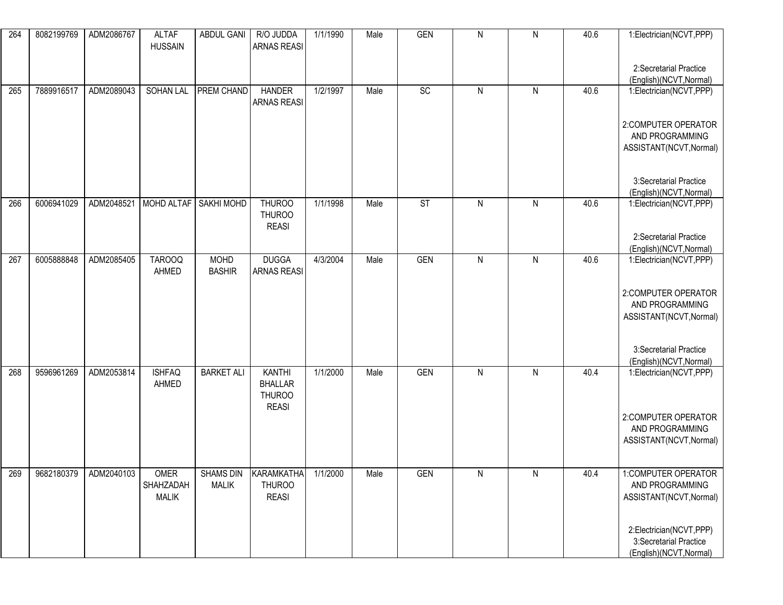| 264 | 8082199769 | ADM2086767 | <b>ALTAF</b><br><b>HUSSAIN</b> | ABDUL GANI           | R/O JUDDA<br><b>ARNAS REASI</b>                | 1/1/1990 | Male | <b>GEN</b> | ${\sf N}$ | ${\sf N}$    | 40.6 | 1:Electrician(NCVT,PPP)                            |
|-----|------------|------------|--------------------------------|----------------------|------------------------------------------------|----------|------|------------|-----------|--------------|------|----------------------------------------------------|
|     |            |            |                                |                      |                                                |          |      |            |           |              |      | 2:Secretarial Practice<br>(English)(NCVT, Normal)  |
| 265 | 7889916517 | ADM2089043 |                                | SOHAN LAL PREM CHAND | <b>HANDER</b><br><b>ARNAS REASI</b>            | 1/2/1997 | Male | SC         | ${\sf N}$ | $\mathsf{N}$ | 40.6 | 1:Electrician(NCVT,PPP)                            |
|     |            |            |                                |                      |                                                |          |      |            |           |              |      | 2:COMPUTER OPERATOR<br>AND PROGRAMMING             |
|     |            |            |                                |                      |                                                |          |      |            |           |              |      | ASSISTANT(NCVT, Normal)                            |
|     |            |            |                                |                      |                                                |          |      |            |           |              |      | 3:Secretarial Practice<br>(English)(NCVT, Normal)  |
| 266 | 6006941029 | ADM2048521 | MOHD ALTAF   SAKHI MOHD        |                      | <b>THUROO</b><br><b>THUROO</b><br><b>REASI</b> | 1/1/1998 | Male | <b>ST</b>  | ${\sf N}$ | $\mathsf{N}$ | 40.6 | 1:Electrician(NCVT,PPP)                            |
|     |            |            |                                |                      |                                                |          |      |            |           |              |      | 2:Secretarial Practice                             |
| 267 | 6005888848 | ADM2085405 | <b>TAROOQ</b>                  | <b>MOHD</b>          | <b>DUGGA</b>                                   | 4/3/2004 | Male | <b>GEN</b> | ${\sf N}$ | ${\sf N}$    | 40.6 | (English)(NCVT, Normal)<br>1:Electrician(NCVT,PPP) |
|     |            |            | AHMED                          | <b>BASHIR</b>        | <b>ARNAS REASI</b>                             |          |      |            |           |              |      |                                                    |
|     |            |            |                                |                      |                                                |          |      |            |           |              |      | 2:COMPUTER OPERATOR                                |
|     |            |            |                                |                      |                                                |          |      |            |           |              |      | AND PROGRAMMING                                    |
|     |            |            |                                |                      |                                                |          |      |            |           |              |      | ASSISTANT(NCVT, Normal)                            |
|     |            |            |                                |                      |                                                |          |      |            |           |              |      |                                                    |
|     |            |            |                                |                      |                                                |          |      |            |           |              |      | 3:Secretarial Practice<br>(English)(NCVT, Normal)  |
| 268 | 9596961269 | ADM2053814 | <b>ISHFAQ</b>                  | <b>BARKET ALI</b>    | <b>KANTHI</b>                                  | 1/1/2000 | Male | <b>GEN</b> | ${\sf N}$ | ${\sf N}$    | 40.4 | 1:Electrician(NCVT,PPP)                            |
|     |            |            | AHMED                          |                      | <b>BHALLAR</b><br><b>THUROO</b>                |          |      |            |           |              |      |                                                    |
|     |            |            |                                |                      | <b>REASI</b>                                   |          |      |            |           |              |      | 2:COMPUTER OPERATOR                                |
|     |            |            |                                |                      |                                                |          |      |            |           |              |      | AND PROGRAMMING                                    |
|     |            |            |                                |                      |                                                |          |      |            |           |              |      | ASSISTANT(NCVT, Normal)                            |
| 269 | 9682180379 | ADM2040103 | OMER                           | <b>SHAMS DIN</b>     | KARAMKATHA                                     | 1/1/2000 | Male | <b>GEN</b> | N         | N            | 40.4 | 1:COMPUTER OPERATOR                                |
|     |            |            | SHAHZADAH<br><b>MALIK</b>      | <b>MALIK</b>         | <b>THUROO</b><br><b>REASI</b>                  |          |      |            |           |              |      | AND PROGRAMMING<br>ASSISTANT(NCVT, Normal)         |
|     |            |            |                                |                      |                                                |          |      |            |           |              |      |                                                    |
|     |            |            |                                |                      |                                                |          |      |            |           |              |      | 2:Electrician(NCVT,PPP)                            |
|     |            |            |                                |                      |                                                |          |      |            |           |              |      | 3:Secretarial Practice<br>(English)(NCVT, Normal)  |
|     |            |            |                                |                      |                                                |          |      |            |           |              |      |                                                    |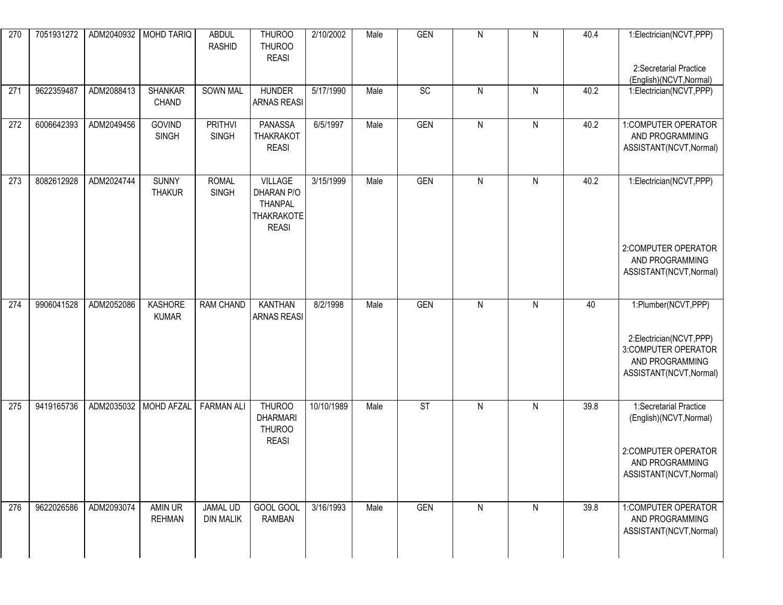| 270 | 7051931272 |            | ADM2040932   MOHD TARIQ          | <b>ABDUL</b><br><b>RASHID</b>       | <b>THUROO</b><br><b>THUROO</b><br><b>REASI</b>                               | 2/10/2002  | Male | <b>GEN</b> | ${\sf N}$    | ${\sf N}$    | 40.4 | 1:Electrician(NCVT,PPP)<br>2:Secretarial Practice<br>(English)(NCVT, Normal)                                           |
|-----|------------|------------|----------------------------------|-------------------------------------|------------------------------------------------------------------------------|------------|------|------------|--------------|--------------|------|------------------------------------------------------------------------------------------------------------------------|
| 271 | 9622359487 | ADM2088413 | <b>SHANKAR</b><br>CHAND          | <b>SOWN MAL</b>                     | <b>HUNDER</b><br><b>ARNAS REASI</b>                                          | 5/17/1990  | Male | SC         | ${\sf N}$    | $\mathsf{N}$ | 40.2 | 1:Electrician(NCVT,PPP)                                                                                                |
| 272 | 6006642393 | ADM2049456 | GOVIND<br><b>SINGH</b>           | <b>PRITHVI</b><br><b>SINGH</b>      | <b>PANASSA</b><br><b>THAKRAKOT</b><br><b>REASI</b>                           | 6/5/1997   | Male | <b>GEN</b> | ${\sf N}$    | ${\sf N}$    | 40.2 | 1:COMPUTER OPERATOR<br>AND PROGRAMMING<br>ASSISTANT(NCVT, Normal)                                                      |
| 273 | 8082612928 | ADM2024744 | <b>SUNNY</b><br><b>THAKUR</b>    | <b>ROMAL</b><br><b>SINGH</b>        | <b>VILLAGE</b><br>DHARAN P/O<br><b>THANPAL</b><br>THAKRAKOTE<br><b>REASI</b> | 3/15/1999  | Male | <b>GEN</b> | $\mathsf{N}$ | ${\sf N}$    | 40.2 | 1:Electrician(NCVT,PPP)                                                                                                |
|     |            |            |                                  |                                     |                                                                              |            |      |            |              |              |      | 2:COMPUTER OPERATOR<br>AND PROGRAMMING<br>ASSISTANT(NCVT, Normal)                                                      |
| 274 | 9906041528 | ADM2052086 | KASHORE<br><b>KUMAR</b>          | <b>RAM CHAND</b>                    | <b>KANTHAN</b><br><b>ARNAS REASI</b>                                         | 8/2/1998   | Male | <b>GEN</b> | ${\sf N}$    | $\mathsf{N}$ | 40   | 1:Plumber(NCVT,PPP)<br>2:Electrician(NCVT,PPP)<br>3: COMPUTER OPERATOR<br>AND PROGRAMMING<br>ASSISTANT(NCVT, Normal)   |
| 275 | 9419165736 |            | ADM2035032 MOHD AFZAL FARMAN ALI |                                     | THUROO<br><b>DHARMARI</b><br><b>THUROO</b><br><b>REASI</b>                   | 10/10/1989 | Male | ST         | ${\sf N}$    | ${\sf N}$    | 39.8 | 1:Secretarial Practice<br>(English)(NCVT, Normal)<br>2:COMPUTER OPERATOR<br>AND PROGRAMMING<br>ASSISTANT(NCVT, Normal) |
| 276 | 9622026586 | ADM2093074 | AMIN UR<br><b>REHMAN</b>         | <b>JAMAL UD</b><br><b>DIN MALIK</b> | GOOL GOOL<br><b>RAMBAN</b>                                                   | 3/16/1993  | Male | <b>GEN</b> | ${\sf N}$    | ${\sf N}$    | 39.8 | 1:COMPUTER OPERATOR<br>AND PROGRAMMING<br>ASSISTANT(NCVT, Normal)                                                      |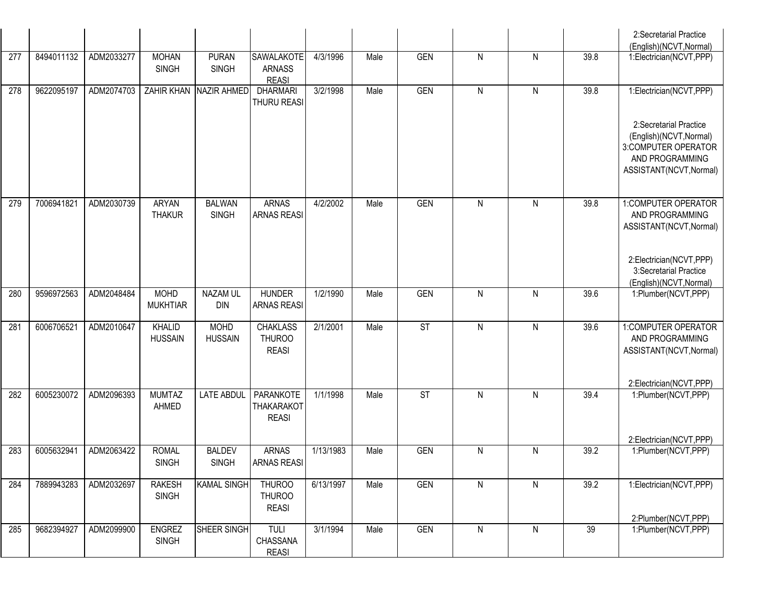|     |            |            |                                |                               |                                                  |           |      |            |                |                |      | 2:Secretarial Practice<br>(English)(NCVT, Normal)                                                                      |
|-----|------------|------------|--------------------------------|-------------------------------|--------------------------------------------------|-----------|------|------------|----------------|----------------|------|------------------------------------------------------------------------------------------------------------------------|
| 277 | 8494011132 | ADM2033277 | <b>MOHAN</b><br><b>SINGH</b>   | <b>PURAN</b><br><b>SINGH</b>  | SAWALAKOTE<br><b>ARNASS</b><br><b>REASI</b>      | 4/3/1996  | Male | <b>GEN</b> | ${\sf N}$      | ${\sf N}$      | 39.8 | 1:Electrician(NCVT,PPP)                                                                                                |
| 278 | 9622095197 | ADM2074703 |                                | ZAHIR KHAN NAZIR AHMED        | <b>DHARMARI</b><br>THURU REASI                   | 3/2/1998  | Male | <b>GEN</b> | ${\sf N}$      | $\mathsf{N}$   | 39.8 | 1:Electrician(NCVT,PPP)                                                                                                |
|     |            |            |                                |                               |                                                  |           |      |            |                |                |      | 2:Secretarial Practice<br>(English)(NCVT, Normal)<br>3:COMPUTER OPERATOR<br>AND PROGRAMMING<br>ASSISTANT(NCVT, Normal) |
| 279 | 7006941821 | ADM2030739 | <b>ARYAN</b><br><b>THAKUR</b>  | <b>BALWAN</b><br><b>SINGH</b> | <b>ARNAS</b><br><b>ARNAS REASI</b>               | 4/2/2002  | Male | <b>GEN</b> | ${\sf N}$      | $\mathsf{N}$   | 39.8 | 1:COMPUTER OPERATOR<br>AND PROGRAMMING<br>ASSISTANT(NCVT, Normal)                                                      |
|     |            |            |                                |                               |                                                  |           |      |            |                |                |      | 2:Electrician(NCVT,PPP)<br>3:Secretarial Practice<br>(English)(NCVT, Normal)                                           |
| 280 | 9596972563 | ADM2048484 | <b>MOHD</b><br><b>MUKHTIAR</b> | <b>NAZAM UL</b><br><b>DIN</b> | <b>HUNDER</b><br><b>ARNAS REASI</b>              | 1/2/1990  | Male | <b>GEN</b> | ${\sf N}$      | $\mathsf{N}$   | 39.6 | 1:Plumber(NCVT,PPP)                                                                                                    |
| 281 | 6006706521 | ADM2010647 | KHALID<br><b>HUSSAIN</b>       | <b>MOHD</b><br><b>HUSSAIN</b> | <b>CHAKLASS</b><br><b>THUROO</b><br><b>REASI</b> | 2/1/2001  | Male | ST         | $\overline{N}$ | $\overline{N}$ | 39.6 | 1:COMPUTER OPERATOR<br>AND PROGRAMMING<br>ASSISTANT(NCVT, Normal)                                                      |
|     |            |            |                                |                               |                                                  |           |      |            |                |                |      | 2:Electrician(NCVT,PPP)                                                                                                |
| 282 | 6005230072 | ADM2096393 | <b>MUMTAZ</b><br>AHMED         | <b>LATE ABDUL</b>             | PARANKOTE<br><b>THAKARAKOT</b><br><b>REASI</b>   | 1/1/1998  | Male | <b>ST</b>  | ${\sf N}$      | ${\sf N}$      | 39.4 | 1:Plumber(NCVT,PPP)                                                                                                    |
|     |            |            |                                |                               |                                                  |           |      |            |                |                |      | 2:Electrician(NCVT,PPP)                                                                                                |
| 283 | 6005632941 | ADM2063422 | <b>ROMAL</b><br><b>SINGH</b>   | <b>BALDEV</b><br><b>SINGH</b> | <b>ARNAS</b><br><b>ARNAS REASI</b>               | 1/13/1983 | Male | <b>GEN</b> | ${\sf N}$      | ${\sf N}$      | 39.2 | 1:Plumber(NCVT,PPP)                                                                                                    |
| 284 | 7889943283 | ADM2032697 | <b>RAKESH</b><br><b>SINGH</b>  | <b>KAMAL SINGH</b>            | <b>THUROO</b><br><b>THUROO</b><br><b>REASI</b>   | 6/13/1997 | Male | <b>GEN</b> | ${\sf N}$      | ${\sf N}$      | 39.2 | 1:Electrician(NCVT,PPP)                                                                                                |
| 285 | 9682394927 | ADM2099900 | <b>ENGREZ</b>                  | SHEER SINGH                   | TULI                                             | 3/1/1994  | Male | GEN        | ${\sf N}$      | $\mathsf{N}$   | 39   | 2:Plumber(NCVT,PPP)<br>1:Plumber(NCVT,PPP)                                                                             |
|     |            |            | <b>SINGH</b>                   |                               | CHASSANA<br><b>REASI</b>                         |           |      |            |                |                |      |                                                                                                                        |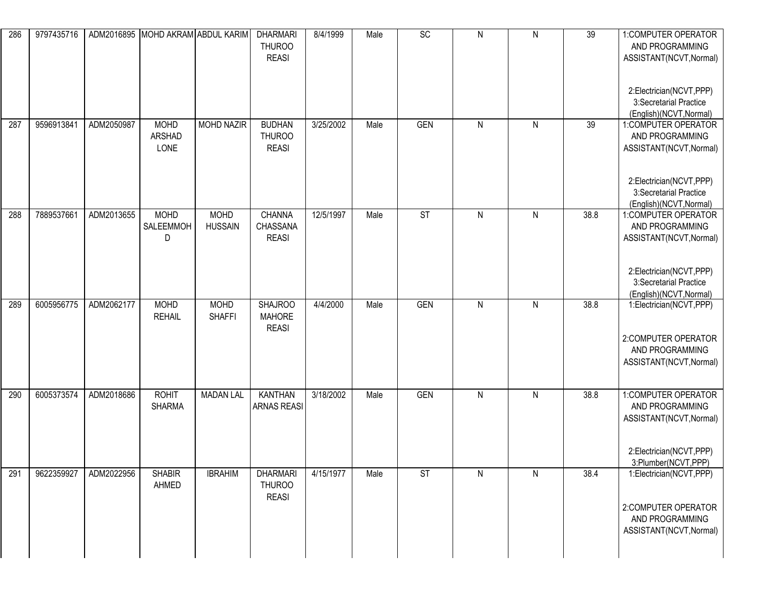| 286 | 9797435716 |            |                               | ADM2016895 MOHD AKRAM ABDUL KARIM | <b>DHARMARI</b><br><b>THUROO</b><br><b>REASI</b> | 8/4/1999  | Male | SC                       | ${\sf N}$ | $\mathsf{N}$ | 39   | 1:COMPUTER OPERATOR<br>AND PROGRAMMING<br>ASSISTANT(NCVT, Normal)<br>2:Electrician(NCVT,PPP)                        |
|-----|------------|------------|-------------------------------|-----------------------------------|--------------------------------------------------|-----------|------|--------------------------|-----------|--------------|------|---------------------------------------------------------------------------------------------------------------------|
|     |            |            |                               |                                   |                                                  |           |      |                          |           |              |      | 3:Secretarial Practice<br>(English)(NCVT, Normal)                                                                   |
| 287 | 9596913841 | ADM2050987 | <b>MOHD</b><br>ARSHAD<br>LONE | <b>MOHD NAZIR</b>                 | <b>BUDHAN</b><br><b>THUROO</b><br><b>REASI</b>   | 3/25/2002 | Male | <b>GEN</b>               | ${\sf N}$ | ${\sf N}$    | 39   | 1:COMPUTER OPERATOR<br>AND PROGRAMMING<br>ASSISTANT(NCVT, Normal)                                                   |
|     |            |            |                               |                                   |                                                  |           |      |                          |           |              |      | 2:Electrician(NCVT,PPP)<br>3:Secretarial Practice<br>(English)(NCVT, Normal)                                        |
| 288 | 7889537661 | ADM2013655 | <b>MOHD</b><br>SALEEMMOH<br>D | <b>MOHD</b><br><b>HUSSAIN</b>     | <b>CHANNA</b><br>CHASSANA<br><b>REASI</b>        | 12/5/1997 | Male | $\overline{\mathsf{ST}}$ | ${\sf N}$ | ${\sf N}$    | 38.8 | 1:COMPUTER OPERATOR<br>AND PROGRAMMING<br>ASSISTANT(NCVT, Normal)                                                   |
|     |            |            |                               |                                   |                                                  |           |      |                          |           |              |      | 2:Electrician(NCVT,PPP)<br>3:Secretarial Practice<br>(English)(NCVT, Normal)                                        |
| 289 | 6005956775 | ADM2062177 | <b>MOHD</b><br><b>REHAIL</b>  | <b>MOHD</b><br><b>SHAFFI</b>      | <b>SHAJROO</b><br><b>MAHORE</b><br><b>REASI</b>  | 4/4/2000  | Male | <b>GEN</b>               | ${\sf N}$ | ${\sf N}$    | 38.8 | 1:Electrician(NCVT,PPP)<br>2:COMPUTER OPERATOR<br>AND PROGRAMMING<br>ASSISTANT(NCVT, Normal)                        |
| 290 | 6005373574 | ADM2018686 | <b>ROHIT</b><br><b>SHARMA</b> | <b>MADAN LAL</b>                  | <b>KANTHAN</b><br><b>ARNAS REASI</b>             | 3/18/2002 | Male | <b>GEN</b>               | ${\sf N}$ | ${\sf N}$    | 38.8 | 1:COMPUTER OPERATOR<br>AND PROGRAMMING<br>ASSISTANT(NCVT, Normal)<br>2:Electrician(NCVT,PPP)<br>3:Plumber(NCVT,PPP) |
| 291 | 9622359927 | ADM2022956 | <b>SHABIR</b><br>AHMED        | <b>IBRAHIM</b>                    | <b>DHARMARI</b><br><b>THUROO</b><br><b>REASI</b> | 4/15/1977 | Male | <b>ST</b>                | N         | N            | 38.4 | 1:Electrician(NCVT,PPP)<br>2:COMPUTER OPERATOR<br>AND PROGRAMMING<br>ASSISTANT(NCVT, Normal)                        |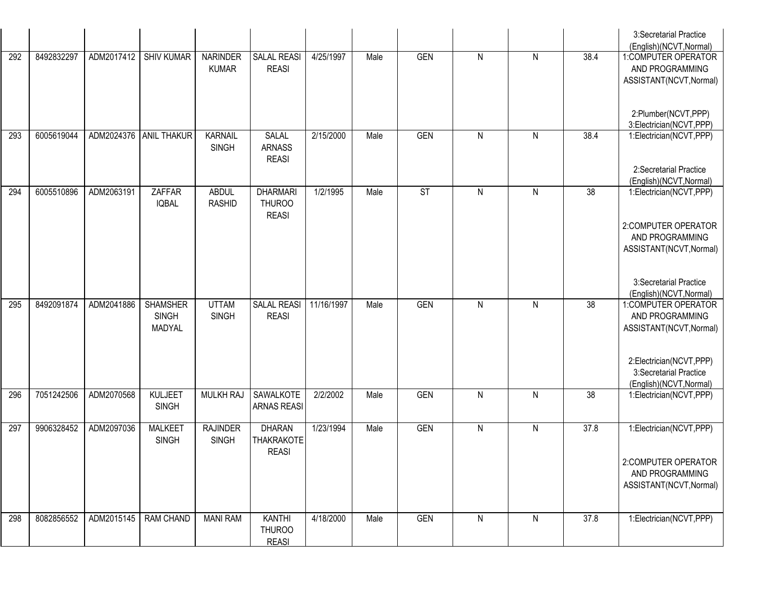|     |            |            |                                           |                                 |                                                    |            |      |                        |              |   |      | 3:Secretarial Practice<br>(English)(NCVT, Normal)                            |
|-----|------------|------------|-------------------------------------------|---------------------------------|----------------------------------------------------|------------|------|------------------------|--------------|---|------|------------------------------------------------------------------------------|
| 292 | 8492832297 | ADM2017412 | <b>SHIV KUMAR</b>                         | <b>NARINDER</b><br><b>KUMAR</b> | <b>SALAL REASI</b><br><b>REASI</b>                 | 4/25/1997  | Male | <b>GEN</b>             | $\mathsf{N}$ | N | 38.4 | 1:COMPUTER OPERATOR<br>AND PROGRAMMING                                       |
|     |            |            |                                           |                                 |                                                    |            |      |                        |              |   |      | ASSISTANT(NCVT, Normal)                                                      |
|     |            |            |                                           |                                 |                                                    |            |      |                        |              |   |      | 2:Plumber(NCVT,PPP)<br>3:Electrician(NCVT,PPP)                               |
| 293 | 6005619044 | ADM2024376 | <b>ANIL THAKUR</b>                        | <b>KARNAIL</b><br><b>SINGH</b>  | SALAL<br><b>ARNASS</b><br><b>REASI</b>             | 2/15/2000  | Male | <b>GEN</b>             | $\mathsf{N}$ | N | 38.4 | 1:Electrician(NCVT,PPP)                                                      |
|     |            |            |                                           |                                 |                                                    |            |      |                        |              |   |      | 2:Secretarial Practice<br>(English)(NCVT, Normal)                            |
| 294 | 6005510896 | ADM2063191 | ZAFFAR<br><b>IQBAL</b>                    | <b>ABDUL</b><br><b>RASHID</b>   | <b>DHARMARI</b><br><b>THUROO</b><br><b>REASI</b>   | 1/2/1995   | Male | $\overline{\text{ST}}$ | $\mathsf{N}$ | N | 38   | 1:Electrician(NCVT,PPP)                                                      |
|     |            |            |                                           |                                 |                                                    |            |      |                        |              |   |      | 2:COMPUTER OPERATOR<br>AND PROGRAMMING<br>ASSISTANT(NCVT, Normal)            |
|     |            |            |                                           |                                 |                                                    |            |      |                        |              |   |      | 3:Secretarial Practice                                                       |
|     |            |            |                                           |                                 |                                                    |            |      |                        |              |   |      | (English)(NCVT, Normal)                                                      |
| 295 | 8492091874 | ADM2041886 | <b>SHAMSHER</b><br><b>SINGH</b><br>MADYAL | <b>UTTAM</b><br><b>SINGH</b>    | SALAL REASI<br><b>REASI</b>                        | 11/16/1997 | Male | <b>GEN</b>             | $\mathsf{N}$ | N | 38   | 1:COMPUTER OPERATOR<br>AND PROGRAMMING<br>ASSISTANT(NCVT, Normal)            |
|     |            |            |                                           |                                 |                                                    |            |      |                        |              |   |      | 2:Electrician(NCVT,PPP)<br>3:Secretarial Practice<br>(English)(NCVT, Normal) |
| 296 | 7051242506 | ADM2070568 | KULJEET<br><b>SINGH</b>                   | <b>MULKH RAJ</b>                | SAWALKOTE<br><b>ARNAS REASI</b>                    | 2/2/2002   | Male | <b>GEN</b>             | $\mathsf{N}$ | N | 38   | 1:Electrician(NCVT,PPP)                                                      |
| 297 | 9906328452 | ADM2097036 | <b>MALKEET</b><br><b>SINGH</b>            | <b>RAJINDER</b><br><b>SINGH</b> | <b>DHARAN</b><br><b>THAKRAKOTE</b><br><b>REASI</b> | 1/23/1994  | Male | <b>GEN</b>             | $\mathsf{N}$ | N | 37.8 | 1:Electrician(NCVT,PPP)                                                      |
|     |            |            |                                           |                                 |                                                    |            |      |                        |              |   |      | 2:COMPUTER OPERATOR<br>AND PROGRAMMING<br>ASSISTANT(NCVT, Normal)            |
| 298 | 8082856552 | ADM2015145 | <b>RAM CHAND</b>                          | <b>MANI RAM</b>                 | <b>KANTHI</b>                                      | 4/18/2000  | Male | <b>GEN</b>             | $\mathsf{N}$ | N | 37.8 | 1:Electrician(NCVT,PPP)                                                      |
|     |            |            |                                           |                                 | <b>THUROO</b><br><b>REASI</b>                      |            |      |                        |              |   |      |                                                                              |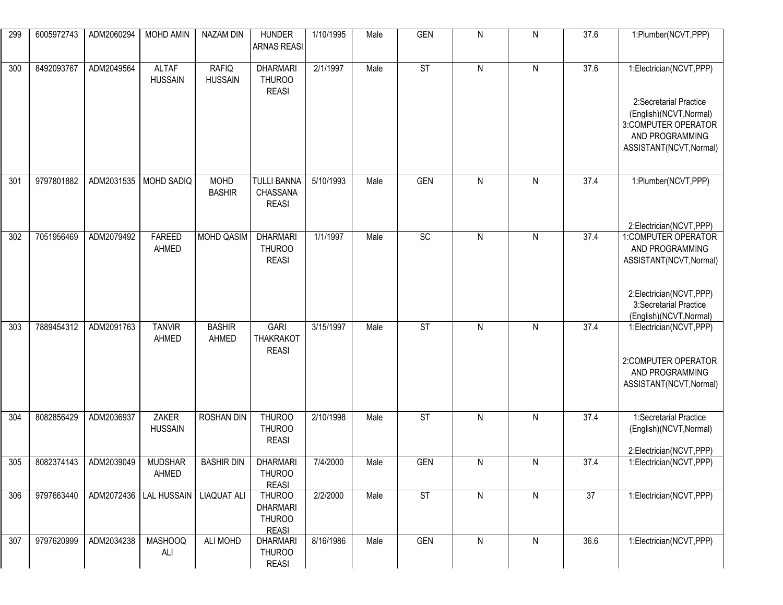| 299 | 6005972743 | ADM2060294 | <b>MOHD AMIN</b>               | NAZAM DIN                      | <b>HUNDER</b><br><b>ARNAS REASI</b>                               | 1/10/1995 | Male | <b>GEN</b>               | $\mathsf{N}$ | N            | 37.6            | 1:Plumber(NCVT,PPP)                                                                                                                               |
|-----|------------|------------|--------------------------------|--------------------------------|-------------------------------------------------------------------|-----------|------|--------------------------|--------------|--------------|-----------------|---------------------------------------------------------------------------------------------------------------------------------------------------|
| 300 | 8492093767 | ADM2049564 | <b>ALTAF</b><br><b>HUSSAIN</b> | <b>RAFIQ</b><br><b>HUSSAIN</b> | <b>DHARMARI</b><br><b>THUROO</b><br><b>REASI</b>                  | 2/1/1997  | Male | ST                       | $\mathsf{N}$ | ${\sf N}$    | 37.6            | 1:Electrician(NCVT,PPP)<br>2:Secretarial Practice<br>(English)(NCVT, Normal)<br>3:COMPUTER OPERATOR<br>AND PROGRAMMING<br>ASSISTANT(NCVT, Normal) |
| 301 | 9797801882 | ADM2031535 | <b>MOHD SADIQ</b>              | <b>MOHD</b><br><b>BASHIR</b>   | <b>TULLI BANNA</b><br>CHASSANA<br><b>REASI</b>                    | 5/10/1993 | Male | <b>GEN</b>               | $\mathsf{N}$ | Ν            | 37.4            | 1:Plumber(NCVT,PPP)<br>2:Electrician(NCVT,PPP)                                                                                                    |
| 302 | 7051956469 | ADM2079492 | <b>FAREED</b><br>AHMED         | <b>MOHD QASIM</b>              | <b>DHARMARI</b><br><b>THUROO</b><br><b>REASI</b>                  | 1/1/1997  | Male | SC                       | $\mathsf{N}$ | N            | 37.4            | 1:COMPUTER OPERATOR<br>AND PROGRAMMING<br>ASSISTANT(NCVT, Normal)<br>2:Electrician(NCVT,PPP)<br>3:Secretarial Practice<br>(English)(NCVT, Normal) |
| 303 | 7889454312 | ADM2091763 | <b>TANVIR</b><br>AHMED         | <b>BASHIR</b><br>AHMED         | <b>GARI</b><br><b>THAKRAKOT</b><br><b>REASI</b>                   | 3/15/1997 | Male | ST                       | $\mathsf{N}$ | $\mathsf{N}$ | 37.4            | 1:Electrician(NCVT,PPP)<br>2:COMPUTER OPERATOR<br>AND PROGRAMMING<br>ASSISTANT(NCVT, Normal)                                                      |
| 304 | 8082856429 | ADM2036937 | <b>ZAKER</b><br><b>HUSSAIN</b> | <b>ROSHAN DIN</b>              | THUROO<br><b>THUROO</b><br><b>REASI</b>                           | 2/10/1998 | Male | $\overline{\mathsf{ST}}$ | $\mathsf{N}$ | $\mathsf{N}$ | 37.4            | 1:Secretarial Practice<br>(English)(NCVT, Normal)<br>2:Electrician(NCVT,PPP)                                                                      |
| 305 | 8082374143 | ADM2039049 | <b>MUDSHAR</b><br>AHMED        | <b>BASHIR DIN</b>              | <b>DHARMARI</b><br><b>THUROO</b><br><b>REASI</b>                  | 7/4/2000  | Male | <b>GEN</b>               | ${\sf N}$    | N            | 37.4            | 1:Electrician(NCVT,PPP)                                                                                                                           |
| 306 | 9797663440 | ADM2072436 | LAL HUSSAIN   LIAQUAT ALI      |                                | <b>THUROO</b><br><b>DHARMARI</b><br><b>THUROO</b><br><b>REASI</b> | 2/2/2000  | Male | ST                       | ${\sf N}$    | N            | $\overline{37}$ | 1:Electrician(NCVT,PPP)                                                                                                                           |
| 307 | 9797620999 | ADM2034238 | <b>MASHOOQ</b><br>ALI          | ALI MOHD                       | <b>DHARMARI</b><br><b>THUROO</b><br><b>REASI</b>                  | 8/16/1986 | Male | <b>GEN</b>               | ${\sf N}$    | N            | 36.6            | 1:Electrician(NCVT,PPP)                                                                                                                           |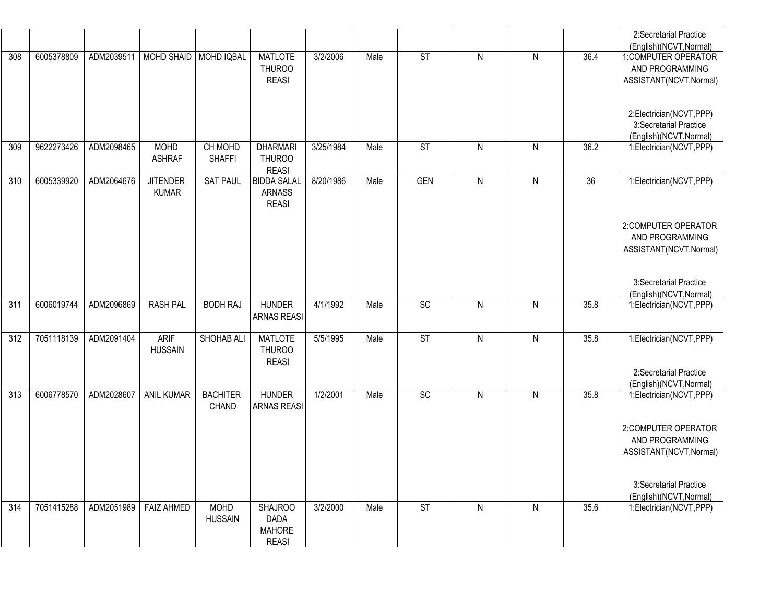|     |            |            |                                 |                                 |                                                                |           |      |                        |              |           |                 | 2:Secretarial Practice<br>(English)(NCVT, Normal)                            |
|-----|------------|------------|---------------------------------|---------------------------------|----------------------------------------------------------------|-----------|------|------------------------|--------------|-----------|-----------------|------------------------------------------------------------------------------|
| 308 | 6005378809 |            | ADM2039511   MOHD SHAID         | <b>MOHD IQBAL</b>               | <b>MATLOTE</b><br><b>THUROO</b><br><b>REASI</b>                | 3/2/2006  | Male | ST                     | $\mathsf{N}$ | N         | 36.4            | 1:COMPUTER OPERATOR<br>AND PROGRAMMING<br>ASSISTANT(NCVT, Normal)            |
|     |            |            |                                 |                                 |                                                                |           |      |                        |              |           |                 | 2:Electrician(NCVT,PPP)<br>3:Secretarial Practice<br>(English)(NCVT, Normal) |
| 309 | 9622273426 | ADM2098465 | <b>MOHD</b><br><b>ASHRAF</b>    | CH MOHD<br><b>SHAFFI</b>        | <b>DHARMARI</b><br><b>THUROO</b><br><b>REASI</b>               | 3/25/1984 | Male | $\overline{\text{ST}}$ | $\mathsf{N}$ | Ν         | 36.2            | 1:Electrician(NCVT,PPP)                                                      |
| 310 | 6005339920 | ADM2064676 | <b>JITENDER</b><br><b>KUMAR</b> | <b>SAT PAUL</b>                 | <b>BIDDA SALAL</b><br><b>ARNASS</b><br><b>REASI</b>            | 8/20/1986 | Male | <b>GEN</b>             | $\mathsf{N}$ | N         | $\overline{36}$ | 1:Electrician(NCVT,PPP)                                                      |
|     |            |            |                                 |                                 |                                                                |           |      |                        |              |           |                 | 2:COMPUTER OPERATOR<br>AND PROGRAMMING<br>ASSISTANT(NCVT, Normal)            |
|     |            |            |                                 |                                 |                                                                |           |      |                        |              |           |                 | 3:Secretarial Practice<br>(English)(NCVT, Normal)                            |
| 311 | 6006019744 | ADM2096869 | <b>RASH PAL</b>                 | <b>BODH RAJ</b>                 | <b>HUNDER</b><br><b>ARNAS REASI</b>                            | 4/1/1992  | Male | $\overline{SC}$        | $\mathsf{N}$ | N         | 35.8            | 1:Electrician(NCVT,PPP)                                                      |
| 312 | 7051118139 | ADM2091404 | <b>ARIF</b><br><b>HUSSAIN</b>   | SHOHAB ALI                      | <b>MATLOTE</b><br><b>THUROO</b><br><b>REASI</b>                | 5/5/1995  | Male | $\overline{\text{ST}}$ | $\mathsf{N}$ | ${\sf N}$ | 35.8            | 1:Electrician(NCVT,PPP)<br>2:Secretarial Practice                            |
| 313 | 6006778570 | ADM2028607 | <b>ANIL KUMAR</b>               | <b>BACHITER</b><br><b>CHAND</b> | <b>HUNDER</b><br><b>ARNAS REASI</b>                            | 1/2/2001  | Male | SC                     | $\mathsf{N}$ | N         | 35.8            | (English)(NCVT, Normal)<br>1:Electrician(NCVT,PPP)                           |
|     |            |            |                                 |                                 |                                                                |           |      |                        |              |           |                 | 2:COMPUTER OPERATOR<br>AND PROGRAMMING<br>ASSISTANT(NCVT, Normal)            |
|     |            |            |                                 |                                 |                                                                |           |      |                        |              |           |                 | 3:Secretarial Practice<br>(English)(NCVT, Normal)                            |
| 314 | 7051415288 | ADM2051989 | <b>FAIZ AHMED</b>               | <b>MOHD</b><br><b>HUSSAIN</b>   | <b>SHAJROO</b><br><b>DADA</b><br><b>MAHORE</b><br><b>REASI</b> | 3/2/2000  | Male | <b>ST</b>              | $\mathsf{N}$ | N         | 35.6            | 1:Electrician(NCVT,PPP)                                                      |